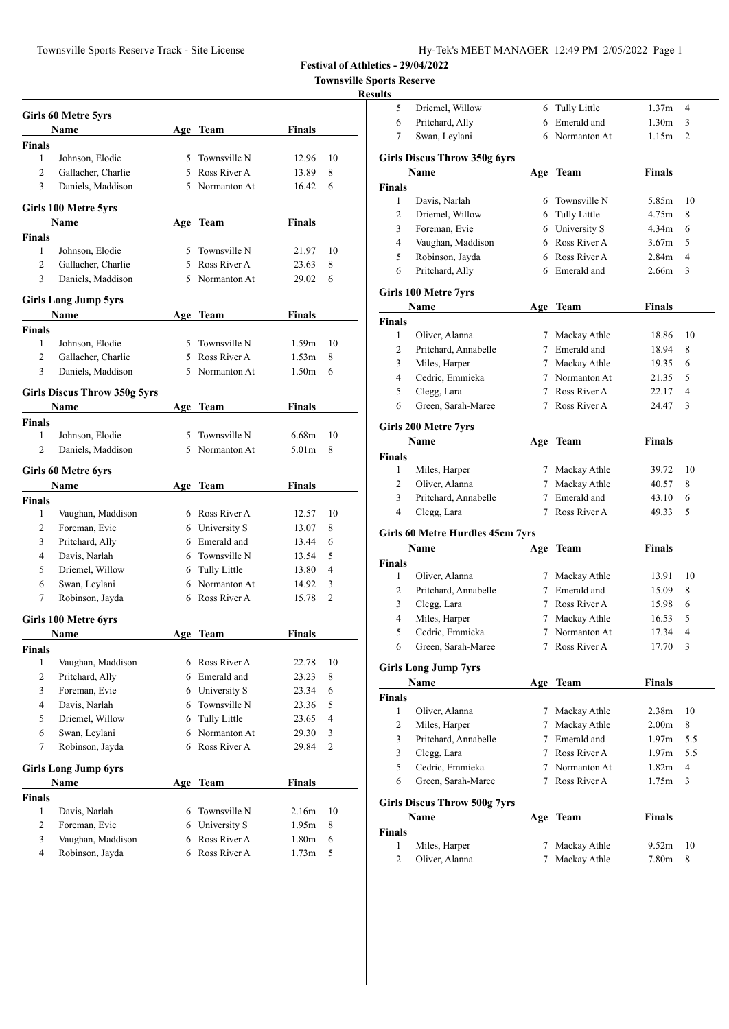|  | Hy-Tek's MEET MANAGER 12:49 PM 2/05/2022 Page 1 |  |  |  |
|--|-------------------------------------------------|--|--|--|
|  |                                                 |  |  |  |

**Festival of Athletics - 29/04/2022**

|                    | Girls 60 Metre 5yrs                 |     |                |                   |                     |
|--------------------|-------------------------------------|-----|----------------|-------------------|---------------------|
|                    | Name                                |     | Age Team       | <b>Finals</b>     |                     |
| <b>Finals</b>      |                                     |     |                |                   |                     |
| 1                  | Johnson, Elodie                     | 5.  | Townsville N   | 12.96             | 10                  |
| $\overline{c}$     | Gallacher, Charlie                  |     | 5 Ross River A | 13.89             | 8                   |
| 3                  | Daniels, Maddison                   | 5   | Normanton At   | 16.42             | 6                   |
|                    | Girls 100 Metre 5yrs                |     |                |                   |                     |
|                    | Name                                |     | Age Team       | Finals            |                     |
| Finals             |                                     |     |                |                   |                     |
| 1                  | Johnson, Elodie                     | 5.  | Townsville N   | 21.97             | 10                  |
| $\overline{2}$     | Gallacher, Charlie                  |     | 5 Ross River A | 23.63             | 8                   |
| 3                  | Daniels, Maddison                   |     | 5 Normanton At | 29.02             | 6                   |
|                    | <b>Girls Long Jump 5yrs</b>         |     |                |                   |                     |
|                    | Name                                |     | Age Team       | Finals            |                     |
| Finals             |                                     |     |                |                   |                     |
| 1                  | Johnson, Elodie                     |     | 5 Townsville N | 1.59m             | 10                  |
| $\overline{2}$     | Gallacher, Charlie                  |     | 5 Ross River A | 1.53m             | 8                   |
| 3                  | Daniels, Maddison                   |     | 5 Normanton At | 1.50 <sub>m</sub> | 6                   |
|                    | <b>Girls Discus Throw 350g 5yrs</b> |     |                |                   |                     |
|                    | Name                                |     | Age Team       | Finals            |                     |
| <b>Finals</b>      |                                     |     |                |                   |                     |
| 1                  | Johnson, Elodie                     | 5   | Townsville N   | 6.68m             | 10                  |
| $\overline{2}$     | Daniels, Maddison                   |     | 5 Normanton At | 5.01 <sub>m</sub> | 8                   |
|                    |                                     |     |                |                   |                     |
|                    | Girls 60 Metre 6yrs                 |     |                |                   |                     |
|                    | Name                                |     | Age Team       | Finals            |                     |
| <b>Finals</b><br>1 |                                     |     | 6 Ross River A | 12.57             | 10                  |
| 2                  | Vaughan, Maddison<br>Foreman, Evie  |     | 6 University S | 13.07             | 8                   |
| 3                  |                                     |     | 6 Emerald and  | 13.44             | 6                   |
| 4                  | Pritchard, Ally<br>Davis, Narlah    |     | 6 Townsville N | 13.54             | 5                   |
| 5                  |                                     |     | Tully Little   |                   | 4                   |
|                    | Driemel, Willow                     | 6   | 6 Normanton At | 13.80             |                     |
| 6<br>7             | Swan, Leylani<br>Robinson, Jayda    |     | 6 Ross River A | 14.92<br>15.78    | 3<br>$\overline{c}$ |
|                    |                                     |     |                |                   |                     |
|                    | Girls 100 Metre 6yrs                |     |                |                   |                     |
|                    | Name                                |     | Age Team       | Finals            |                     |
| <b>Finals</b>      |                                     |     |                |                   |                     |
| 1                  | Vaughan, Maddison                   |     | 6 Ross River A | 22.78             | 10                  |
| 2                  | Pritchard, Ally                     | 6   | Emerald and    | 23.23             | 8                   |
| 3                  | Foreman, Evie                       |     | 6 University S | 23.34             | 6                   |
| 4                  | Davis, Narlah                       |     | 6 Townsville N | 23.36             | 5                   |
| 5                  | Driemel, Willow                     | 6   | Tully Little   | 23.65             | 4                   |
| 6                  | Swan, Leylani                       |     | 6 Normanton At | 29.30             | 3                   |
| 7                  | Robinson, Jayda                     |     | 6 Ross River A | 29.84             | $\overline{c}$      |
|                    | <b>Girls Long Jump 6yrs</b>         |     |                |                   |                     |
|                    | Name                                | Age | <b>Team</b>    | Finals            |                     |
| <b>Finals</b>      |                                     |     |                |                   |                     |
| 1                  | Davis, Narlah                       | 6   | Townsville N   | 2.16m             | 10                  |
| 2                  | Foreman, Evie                       | 6   | University S   | 1.95m             | 8                   |
| 3                  | Vaughan, Maddison                   | 6   | Ross River A   | 1.80 <sub>m</sub> | 6                   |
| $\overline{4}$     | Robinson, Jayda                     | 6   | Ross River A   | 1.73m             | 5                   |

| ults          |                                         |     |                |                   |                |
|---------------|-----------------------------------------|-----|----------------|-------------------|----------------|
| 5             | Driemel, Willow                         | 6   | Tully Little   | 1.37m             | 4              |
| 6             | Pritchard, Ally                         |     | 6 Emerald and  | 1.30 <sub>m</sub> | 3              |
| 7             | Swan, Leylani                           |     | 6 Normanton At | 1.15m             | $\overline{2}$ |
|               | <b>Girls Discus Throw 350g 6yrs</b>     |     |                |                   |                |
|               | Name                                    |     | Age Team       | <b>Finals</b>     |                |
| <b>Finals</b> |                                         |     |                |                   |                |
| 1             | Davis, Narlah                           |     | 6 Townsville N | 5.85m             | 10             |
| 2             | Driemel, Willow                         |     | 6 Tully Little | 4.75m             | 8              |
| 3             | Foreman, Evie                           |     | 6 University S | 4.34m             | 6              |
| 4             | Vaughan, Maddison                       |     | 6 Ross River A | 3.67 <sub>m</sub> | 5              |
| 5             | Robinson, Jayda                         |     | 6 Ross River A | 2.84m             | 4              |
| 6             | Pritchard, Ally                         | 6.  | Emerald and    | 2.66m             | 3              |
|               | Girls 100 Metre 7yrs                    |     |                |                   |                |
|               | Name                                    |     | Age Team       | <b>Finals</b>     |                |
| Finals        |                                         |     |                |                   |                |
| 1             | Oliver, Alanna                          |     | 7 Mackay Athle | 18.86             | 10             |
| 2             | Pritchard, Annabelle                    |     | 7 Emerald and  | 18.94             | 8              |
| 3             | Miles, Harper                           |     | 7 Mackay Athle | 19.35             | 6              |
| 4             | Cedric, Emmieka                         |     | 7 Normanton At | 21.35             | 5              |
| 5             | Clegg, Lara                             |     | 7 Ross River A | 22.17             | $\overline{4}$ |
| 6             | Green, Sarah-Maree                      | 7   | Ross River A   | 24.47             | 3              |
|               | Girls 200 Metre 7yrs                    |     |                |                   |                |
|               | Name                                    | Age | Team           | <b>Finals</b>     |                |
| Finals        |                                         |     |                |                   |                |
| 1             | Miles, Harper                           | 7   | Mackay Athle   | 39.72             | 10             |
| 2             | Oliver, Alanna                          | 7   | Mackay Athle   | 40.57             | 8              |
| 3             | Pritchard, Annabelle                    | 7   | Emerald and    | 43.10             | 6              |
| 4             | Clegg, Lara                             | 7   | Ross River A   | 49.33             | 5              |
|               | <b>Girls 60 Metre Hurdles 45cm 7yrs</b> |     |                |                   |                |
|               | Name                                    | Age | Team           | <b>Finals</b>     |                |
| <b>Finals</b> |                                         |     |                |                   |                |
| 1             | Oliver, Alanna                          |     | 7 Mackay Athle | 13.91             | 10             |
| 2             | Pritchard, Annabelle                    |     | 7 Emerald and  | 15.09             | 8              |
| 3             | Clegg, Lara                             |     | 7 Ross River A | 15.98             | 6              |
| 4             | Miles, Harper                           | 7   | Mackay Athle   | 16.53             | 5              |
| 5             | Cedric, Emmieka                         | 7   | Normanton At   | 17.34             | 4              |
| 6             | Green, Sarah-Maree                      | 7   | Ross River A   | 17.70             | 3              |
|               | <b>Girls Long Jump 7yrs</b>             |     |                |                   |                |
|               | Name                                    |     | Age Team       | <b>Finals</b>     |                |
| Finals        |                                         |     |                |                   |                |
| 1             | Oliver, Alanna                          | 7   | Mackay Athle   | 2.38m             | 10             |
| 2             | Miles, Harper                           | 7   | Mackay Athle   | 2.00 <sub>m</sub> | 8              |
| 3             | Pritchard, Annabelle                    | 7   | Emerald and    | 1.97 <sub>m</sub> | 5.5            |
| 3             | Clegg, Lara                             |     | 7 Ross River A | 1.97 <sub>m</sub> | 5.5            |
| 5             | Cedric, Emmieka                         |     | 7 Normanton At | 1.82m             | 4              |
| 6             | Green, Sarah-Maree                      | 7   | Ross River A   | 1.75m             | 3              |
|               | <b>Girls Discus Throw 500g 7yrs</b>     |     |                |                   |                |
|               | Name                                    |     | Age Team       | Finals            |                |
| Finals        |                                         |     |                |                   |                |
| 1             | Miles, Harper                           | 7   | Mackay Athle   | 9.52m             | 10             |
| 2             | Oliver, Alanna                          | 7   | Mackay Athle   | 7.80m             | 8              |
|               |                                         |     |                |                   |                |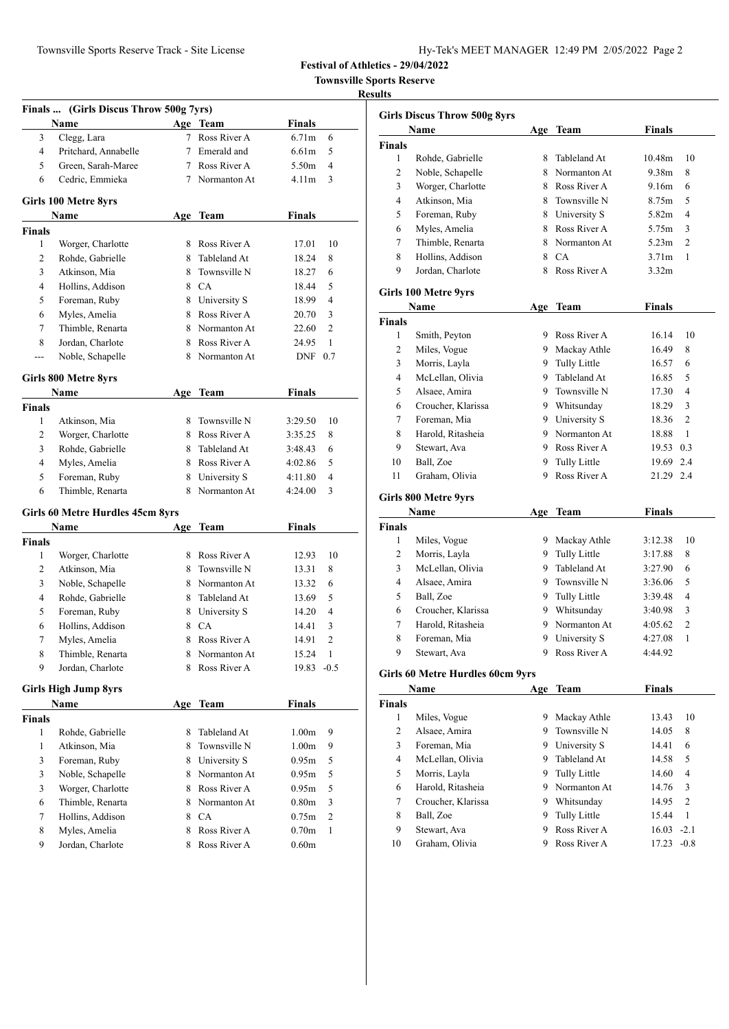| Hy-Tek's MEET MANAGER 12:49 PM 2/05/2022 Page 2 |  |  |  |
|-------------------------------------------------|--|--|--|
|-------------------------------------------------|--|--|--|

# **Townsville Sports Reserve Resul**

|                | Finals  (Girls Discus Throw 500g 7yrs) |     |                |                   |              |
|----------------|----------------------------------------|-----|----------------|-------------------|--------------|
|                | Name                                   |     | Age Team       | Finals            |              |
| 3              | Clegg, Lara                            | 7   | Ross River A   | 6.71 <sub>m</sub> | 6            |
| 4              | Pritchard, Annabelle                   |     | 7 Emerald and  | 6.61 <sub>m</sub> | 5            |
| 5              | Green, Sarah-Maree                     |     | 7 Ross River A | 5.50 <sub>m</sub> | 4            |
| 6              | Cedric, Emmieka                        |     | 7 Normanton At | 4.11m             | 3            |
|                | Girls 100 Metre 8yrs                   |     |                |                   |              |
|                | Name                                   |     | Age Team       | Finals            |              |
| <b>Finals</b>  |                                        |     |                |                   |              |
| 1              | Worger, Charlotte                      |     | 8 Ross River A | 17.01             | 10           |
| 2              | Rohde, Gabrielle                       | 8.  | Tableland At   | 18.24             | 8            |
| 3              | Atkinson, Mia                          |     | 8 Townsville N | 18.27             | 6            |
| 4              | Hollins, Addison                       |     | 8 CA           | 18.44             | 5            |
| 5              | Foreman, Ruby                          |     | 8 University S | 18.99             | 4            |
| 6              | Myles, Amelia                          |     | 8 Ross River A | 20.70             | 3            |
| 7              | Thimble, Renarta                       |     | 8 Normanton At | 22.60             | 2            |
| 8              | Jordan, Charlote                       |     | 8 Ross River A | 24.95             | 1            |
| $\overline{a}$ | Noble, Schapelle                       |     | 8 Normanton At | DNF 0.7           |              |
|                | <b>Girls 800 Metre 8yrs</b>            |     |                |                   |              |
|                | Name                                   | Age | Team           | <b>Finals</b>     |              |
| Finals         |                                        |     |                |                   |              |
| 1              | Atkinson, Mia                          |     | 8 Townsville N | 3:29.50           | 10           |
| 2              | Worger, Charlotte                      |     | 8 Ross River A | 3:35.25           | 8            |
| 3              | Rohde, Gabrielle                       |     | 8 Tableland At | 3:48.43           | 6            |
| 4              | Myles, Amelia                          |     | 8 Ross River A | 4:02.86           | 5            |
| 5              | Foreman, Ruby                          |     | 8 University S | 4:11.80           | 4            |
| 6              | Thimble, Renarta                       | 8   | Normanton At   | 4:24.00           | 3            |
|                | Girls 60 Metre Hurdles 45cm 8yrs       |     |                |                   |              |
|                | Name                                   | Age | <b>Team</b>    | Finals            |              |
| <b>Finals</b>  |                                        |     |                |                   |              |
| 1              | Worger, Charlotte                      |     | 8 Ross River A | 12.93             | 10           |
| 2              | Atkinson, Mia                          | 8.  | Townsville N   | 13.31             | 8            |
| 3              | Noble, Schapelle                       |     | 8 Normanton At | 13.32             | 6            |
| $\overline{4}$ | Rohde, Gabrielle                       |     | 8 Tableland At | 13.69             | 5            |
| 5              | Foreman, Ruby                          |     | 8 University S | 14.20             | 4            |
| 6              | Hollins, Addison                       | 8   | <b>CA</b>      | 14.41             | 3            |
| 7              | Myles, Amelia                          | 8   | Ross River A   | 14.91             | 2            |
| 8              | Thimble, Renarta                       | 8   | Normanton At   | 15.24             | $\mathbf{1}$ |
| 9              | Jordan, Charlote                       | 8   | Ross River A   | 19.83             | $-0.5$       |
|                | <b>Girls High Jump 8yrs</b>            |     |                |                   |              |
|                | Name                                   |     | Age Team       | <b>Finals</b>     |              |
| Finals         |                                        |     |                |                   |              |
| 1              | Rohde, Gabrielle                       | 8   | Tableland At   | 1.00 <sub>m</sub> | 9            |
| 1              | Atkinson, Mia                          | 8.  | Townsville N   | 1.00 <sub>m</sub> | 9            |
| 3              | Foreman, Ruby                          | 8   | University S   | 0.95m             | 5            |
| 3              | Noble, Schapelle                       |     | 8 Normanton At | 0.95m             | 5            |
| 3              | Worger, Charlotte                      |     | 8 Ross River A | 0.95m             | 5            |
| 6              | Thimble, Renarta                       |     | 8 Normanton At | $0.80\mathrm{m}$  | 3            |
| 7              | Hollins, Addison                       |     | 8 CA           | 0.75m             | 2            |
| 8              | Myles, Amelia                          | 8   | Ross River A   | 0.70 <sub>m</sub> | 1            |
| 9              | Jordan, Charlote                       | 8   | Ross River A   | 0.60 <sub>m</sub> |              |

|                | <b>Girls Discus Throw 500g 8yrs</b> |     |                     |                   |                |
|----------------|-------------------------------------|-----|---------------------|-------------------|----------------|
|                | Name                                |     | Age Team            | <b>Finals</b>     |                |
| <b>Finals</b>  |                                     |     |                     |                   |                |
| 1              | Rohde, Gabrielle                    | 8   | Tableland At        | 10.48m            | 10             |
| 2              | Noble, Schapelle                    |     | 8 Normanton At      | 9.38m             | 8              |
| 3              | Worger, Charlotte                   |     | 8 Ross River A      | 9.16m             | 6              |
| 4              | Atkinson, Mia                       |     | 8 Townsville N      | 8.75m             | 5              |
| 5              | Foreman, Ruby                       |     | 8 University S      | 5.82m             | 4              |
| 6              | Myles, Amelia                       | 8   | Ross River A        | 5.75m             | 3              |
| 7              | Thimble, Renarta                    | 8   | Normanton At        | 5.23m             | $\overline{2}$ |
| 8              | Hollins, Addison                    | 8   | CA                  | 3.71 <sub>m</sub> | 1              |
| 9              | Jordan, Charlote                    | 8.  | Ross River A        | 3.32 <sub>m</sub> |                |
|                | Girls 100 Metre 9yrs                |     |                     |                   |                |
|                | Name                                |     | Age Team            | <b>Finals</b>     |                |
| Finals         |                                     |     |                     |                   |                |
| 1              | Smith, Peyton                       |     | 9 Ross River A      | 16.14             | 10             |
| 2              | Miles, Vogue                        |     | 9 Mackay Athle      | 16.49             | 8              |
| 3              | Morris, Layla                       |     | 9 Tully Little      | 16.57             | 6              |
| 4              | McLellan, Olivia                    |     | 9 Tableland At      | 16.85             | 5              |
| 5              | Alsaee, Amira                       |     | 9 Townsville N      | 17.30             | 4              |
| 6              | Croucher, Klarissa                  |     | 9 Whitsunday        | 18.29             | 3              |
| 7              | Foreman, Mia                        |     | 9 University S      | 18.36             | 2              |
| 8              | Harold, Ritasheia                   |     | 9 Normanton At      | 18.88             | $\mathbf{1}$   |
| 9              | Stewart, Ava                        |     | 9 Ross River A      | 19.53 0.3         |                |
| 10             | Ball, Zoe                           | 9.  | Tully Little        | 19.69             | 2.4            |
| 11             | Graham, Olivia                      | 9   | Ross River A        | 21.29             | 2.4            |
|                | Girls 800 Metre 9yrs                |     |                     |                   |                |
|                | Name                                | Age | Team                | <b>Finals</b>     |                |
| <b>Finals</b>  |                                     |     |                     |                   |                |
| $\mathbf{1}$   | Miles, Vogue                        |     | 9 Mackay Athle      | 3:12.38           | 10             |
| 2              | Morris, Layla                       |     | 9 Tully Little      | 3:17.88           | 8              |
| 3              | McLellan, Olivia                    |     | 9 Tableland At      | 3:27.90           | 6              |
| 4              | Alsaee, Amira                       | 9   | Townsville N        | 3:36.06           | 5              |
| 5              | Ball, Zoe                           | 9   | <b>Tully Little</b> | 3:39.48           | 4              |
| 6              | Croucher, Klarissa                  |     | 9 Whitsunday        | 3:40.98           | 3              |
| 7              | Harold, Ritasheia                   | 9   | Normanton At        | 4:05.62           | $\overline{2}$ |
| 8              | Foreman, Mia                        | 9   | University S        | 4:27.08           | 1              |
| 9              | Stewart, Ava                        |     | 9 Ross River A      | 4:44.92           |                |
|                | Girls 60 Metre Hurdles 60cm 9yrs    |     |                     |                   |                |
|                | Name                                |     | Age Team            | <b>Finals</b>     |                |
| <b>Finals</b>  |                                     |     |                     |                   |                |
| $\mathbf{1}$   | Miles, Vogue                        |     | 9 Mackay Athle      | 13.43             | 10             |
| $\overline{c}$ | Alsaee, Amira                       |     | 9 Townsville N      | 14.05             | 8              |
| 3              | Foreman, Mia                        |     | 9 University S      | 14.41             | 6              |
| 4              | McLellan, Olivia                    |     | 9 Tableland At      | 14.58             | 5              |
| 5              | Morris, Layla                       | 9.  | Tully Little        | 14.60             | 4              |
| 6              | Harold, Ritasheia                   | 9.  | Normanton At        | 14.76             | 3              |
| 7              | Croucher, Klarissa                  |     | 9 Whitsunday        | 14.95             | 2              |
| 8              | Ball, Zoe                           | 9.  | Tully Little        | 15.44             | $\mathbf{1}$   |
| 9              | Stewart, Ava                        | 9   | Ross River A        | 16.03             | $-2.1$         |
| 10             | Graham, Olivia                      |     | 9 Ross River A      | $17.23 -0.8$      |                |

Graham, Olivia 9 Ross River A 17.23 -0.8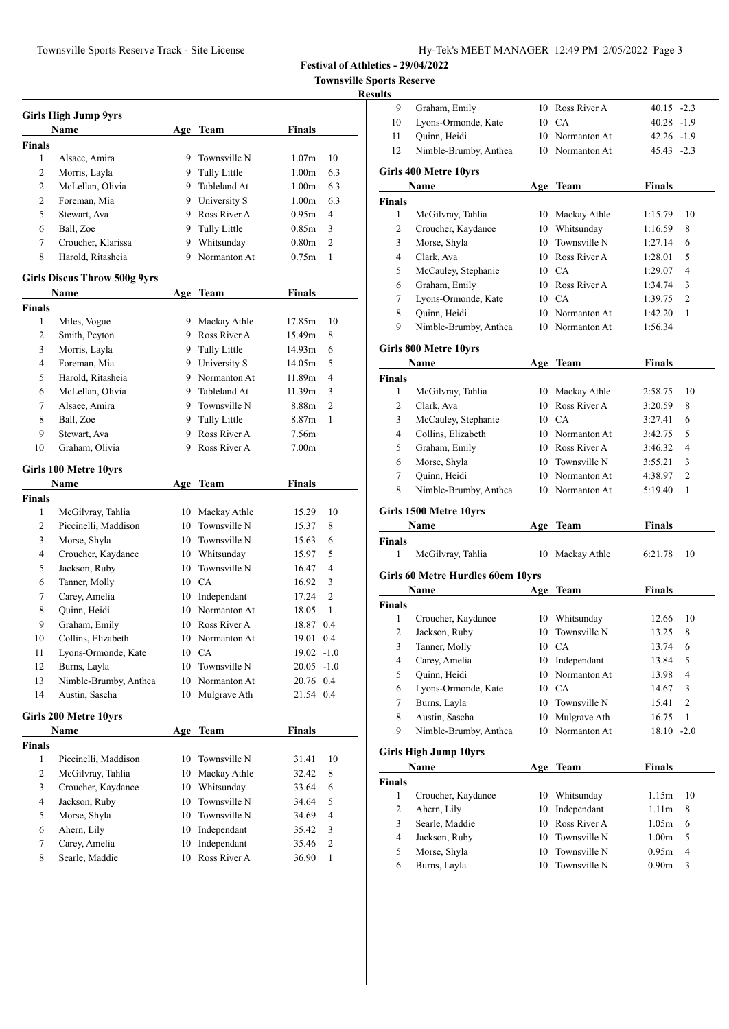| Hy-Tek's MEET MANAGER 12:49 PM 2/05/2022 Page 3 |  |  |  |
|-------------------------------------------------|--|--|--|
|-------------------------------------------------|--|--|--|

|                    | <b>Girls High Jump 9yrs</b>         |     |                 |                   |                |
|--------------------|-------------------------------------|-----|-----------------|-------------------|----------------|
|                    | Name                                |     | Age Team        | Finals            |                |
| <b>Finals</b>      |                                     |     |                 |                   |                |
| 1                  | Alsaee, Amira                       | 9.  | Townsville N    | 1.07 <sub>m</sub> | 10             |
| 2                  | Morris, Layla                       |     | 9 Tully Little  | 1.00m             | 6.3            |
| 2                  | McLellan, Olivia                    |     | 9 Tableland At  | 1.00 <sub>m</sub> | 6.3            |
| 2                  | Foreman, Mia                        |     | 9 University S  | 1.00 <sub>m</sub> | 6.3            |
| 5                  | Stewart, Ava                        |     | 9 Ross River A  | 0.95m             | $\overline{4}$ |
| 6                  | Ball, Zoe                           |     | 9 Tully Little  | 0.85m             | 3              |
| 7                  | Croucher, Klarissa                  |     | 9 Whitsunday    | 0.80 <sub>m</sub> | 2              |
| 8                  | Harold, Ritasheia                   |     | 9 Normanton At  | 0.75m             | 1              |
|                    | <b>Girls Discus Throw 500g 9yrs</b> |     |                 |                   |                |
|                    | Name                                | Age | Team            | <b>Finals</b>     |                |
| <b>Finals</b>      |                                     |     |                 |                   |                |
| 1                  | Miles, Vogue                        |     | 9 Mackay Athle  | 17.85m            | 10             |
| $\overline{c}$     | Smith, Peyton                       |     | 9 Ross River A  | 15.49m            | 8              |
| 3                  | Morris, Layla                       | 9   | Tully Little    | 14.93m            | 6              |
| 4                  | Foreman, Mia                        |     | 9 University S  | 14.05m            | 5              |
| 5                  | Harold, Ritasheia                   |     | 9 Normanton At  | 11.89m            | 4              |
| 6                  | McLellan, Olivia                    |     | 9 Tableland At  | 11.39m            | 3              |
| 7                  | Alsaee, Amira                       |     | 9 Townsville N  | 8.88m             | $\overline{c}$ |
| 8                  | Ball, Zoe                           |     | 9 Tully Little  | 8.87 <sub>m</sub> | 1              |
| 9                  | Stewart, Ava                        |     | 9 Ross River A  | 7.56m             |                |
| 10                 | Graham, Olivia                      |     | 9 Ross River A  | 7.00 <sub>m</sub> |                |
|                    |                                     |     |                 |                   |                |
|                    | Girls 100 Metre 10yrs               |     |                 | <b>Finals</b>     |                |
|                    | Name                                |     | Age Team        |                   |                |
| <b>Finals</b><br>1 | McGilvray, Tahlia                   | 10  | Mackay Athle    | 15.29             | 10             |
| $\overline{c}$     | Piccinelli, Maddison                | 10. | Townsville N    | 15.37             | 8              |
| 3                  | Morse, Shyla                        |     | 10 Townsville N | 15.63             | 6              |
| 4                  | Croucher, Kaydance                  |     | 10 Whitsunday   | 15.97             | 5              |
| 5                  | Jackson, Ruby                       |     | 10 Townsville N | 16.47             | 4              |
| 6                  | Tanner, Molly                       |     | 10 CA           | 16.92             | 3              |
| 7                  | Carey, Amelia                       |     | 10 Independant  | 17.24             | 2              |
| 8                  | Quinn, Heidi                        |     | 10 Normanton At | 18.05             | 1              |
| 9                  | Graham, Emily                       |     | 10 Ross River A | 18.87             | 0.4            |
| 10                 | Collins, Elizabeth                  |     | 10 Normanton At | 19.01             | 0.4            |
| 11                 | Lyons-Ormonde, Kate                 |     | 10 CA           | 19.02             | $-1.0$         |
| 12                 | Burns, Layla                        | 10  | Townsville N    | 20.05             | $-1.0$         |
| 13                 | Nimble-Brumby, Anthea               |     | 10 Normanton At | 20.76             | $0.4\,$        |
| 14                 | Austin, Sascha                      | 10  | Mulgrave Ath    | 21.54 0.4         |                |
|                    |                                     |     |                 |                   |                |
|                    | Girls 200 Metre 10yrs               |     |                 |                   |                |
|                    | Name                                |     | Age Team        | <b>Finals</b>     |                |
| Finals<br>1        | Piccinelli, Maddison                | 10  | Townsville N    | 31.41             | 10             |
| 2                  | McGilvray, Tahlia                   | 10  | Mackay Athle    | 32.42             | 8              |
| 3                  | Croucher, Kaydance                  |     | 10 Whitsunday   | 33.64             | 6              |
| 4                  | Jackson, Ruby                       |     | 10 Townsville N | 34.64             | 5              |
| 5                  | Morse, Shyla                        |     | 10 Townsville N | 34.69             | 4              |
| 6                  | Ahern, Lily                         |     | 10 Independant  | 35.42             | 3              |
| 7                  | Carey, Amelia                       | 10  | Independant     | 35.46             | 2              |
| 8                  | Searle, Maddie                      | 10  | Ross River A    | 36.90             | 1              |
|                    |                                     |     |                 |                   |                |

| 9              | Graham, Emily                            | 10       | Ross River A                 | $40.15 - 2.3$          |
|----------------|------------------------------------------|----------|------------------------------|------------------------|
| 10             | Lyons-Ormonde, Kate                      | 10       | CA                           | $40.28 - 1.9$          |
| 11             | Quinn, Heidi                             | 10       | Normanton At                 | $42.26 - 1.9$          |
| 12             | Nimble-Brumby, Anthea                    | 10       | Normanton At                 | $45.43 -2.3$           |
|                |                                          |          |                              |                        |
|                | Girls 400 Metre 10yrs<br>Name            |          |                              | <b>Finals</b>          |
|                |                                          |          | Age Team                     |                        |
| <b>Finals</b>  |                                          |          |                              |                        |
| 1              | McGilvray, Tahlia                        | 10       | Mackay Athle                 | 10<br>1:15.79          |
| 2              | Croucher, Kaydance                       | 10       | Whitsunday<br>Townsville N   | 1:16.59<br>8           |
| 3              | Morse, Shyla                             | 10       |                              | 1:27.14<br>6           |
| 4              | Clark, Ava                               | 10       | Ross River A                 | 5<br>1:28.01           |
| 5              | McCauley, Stephanie                      |          | 10 CA                        | 4<br>1:29.07           |
| 6              | Graham, Emily                            | 10       | Ross River A                 | 1:34.74<br>3           |
| 7              | Lyons-Ormonde, Kate                      |          | 10 CA                        | 2<br>1:39.75           |
| 8              | Quinn, Heidi                             |          | 10 Normanton At              | 1:42.20<br>1           |
| 9              | Nimble-Brumby, Anthea                    |          | 10 Normanton At              | 1:56.34                |
|                | Girls 800 Metre 10yrs                    |          |                              |                        |
|                | Name                                     |          | Age Team                     | <b>Finals</b>          |
| <b>Finals</b>  |                                          |          |                              |                        |
| 1              | McGilvray, Tahlia                        | 10       | Mackay Athle                 | 2:58.75<br>10          |
| 2              | Clark, Ava                               | 10       | Ross River A                 | 8<br>3:20.59           |
| 3              | McCauley, Stephanie                      | 10       | CA                           | 3:27.41<br>6           |
| 4              | Collins, Elizabeth                       | 10       | Normanton At                 | 3:42.75<br>5           |
| 5              | Graham, Emily                            | 10       | Ross River A                 | 4<br>3:46.32           |
| 6              | Morse, Shyla                             | 10       | Townsville N                 | 3:55.21<br>3           |
| 7              | Quinn, Heidi                             | 10       | Normanton At                 | 2<br>4:38.97           |
| 8              | Nimble-Brumby, Anthea                    | 10       | Normanton At                 | 1<br>5:19.40           |
|                |                                          |          |                              |                        |
|                |                                          |          |                              |                        |
|                | Girls 1500 Metre 10yrs                   |          |                              |                        |
|                | Name                                     |          | Age Team                     | Finals                 |
| <b>Finals</b>  |                                          |          |                              |                        |
| 1              | McGilvray, Tahlia                        |          | 10 Mackay Athle              | 10<br>6:21.78          |
|                | <b>Girls 60 Metre Hurdles 60cm 10yrs</b> |          |                              |                        |
|                | Name                                     |          | Age Team                     | <b>Finals</b>          |
| <b>Finals</b>  |                                          |          |                              |                        |
| 1              | Croucher, Kaydance                       | 10       | Whitsunday                   | 12.66<br>10            |
| 2              | Jackson, Ruby                            | 10       | Townsville N                 | 8<br>13.25             |
| 3              | Tanner, Molly                            |          | 10 CA                        | 13.74<br>6             |
| 4              | Carey, Amelia                            | 10       | Independant                  | 5                      |
|                |                                          | 10       |                              | 13.84<br>4             |
| 5              | Quinn, Heidi                             | 10       | Normanton At<br>CA           | 13.98<br>3             |
| 6              | Lyons-Ormonde, Kate                      |          |                              | 14.67<br>2             |
| $\tau$         | Burns, Layla                             | 10<br>10 | Townsville N                 | 15.41<br>$\mathbf{1}$  |
| 8              | Austin, Sascha                           | 10       | Mulgrave Ath<br>Normanton At | 16.75                  |
| 9              | Nimble-Brumby, Anthea                    |          |                              | 18.10<br>$-2.0$        |
|                | <b>Girls High Jump 10yrs</b>             |          |                              |                        |
|                | Name                                     |          | Age Team                     | <b>Finals</b>          |
| <b>Finals</b>  |                                          |          |                              |                        |
| $\mathbf{1}$   | Croucher, Kaydance                       | 10       | Whitsunday                   | 1.15m<br>10            |
| $\mathfrak{2}$ | Ahern, Lily                              | 10       | Independant                  | 1.11m<br>8             |
| 3              | Searle, Maddie                           | 10       | Ross River A                 | 1.05m<br>6             |
| 4              | Jackson, Ruby                            | 10       | Townsville N                 | 1.00m<br>5             |
| 5              | Morse, Shyla                             | 10       | Townsville N                 | 4<br>0.95m             |
| 6              | Burns, Layla                             | 10       | Townsville N                 | 0.90 <sub>m</sub><br>3 |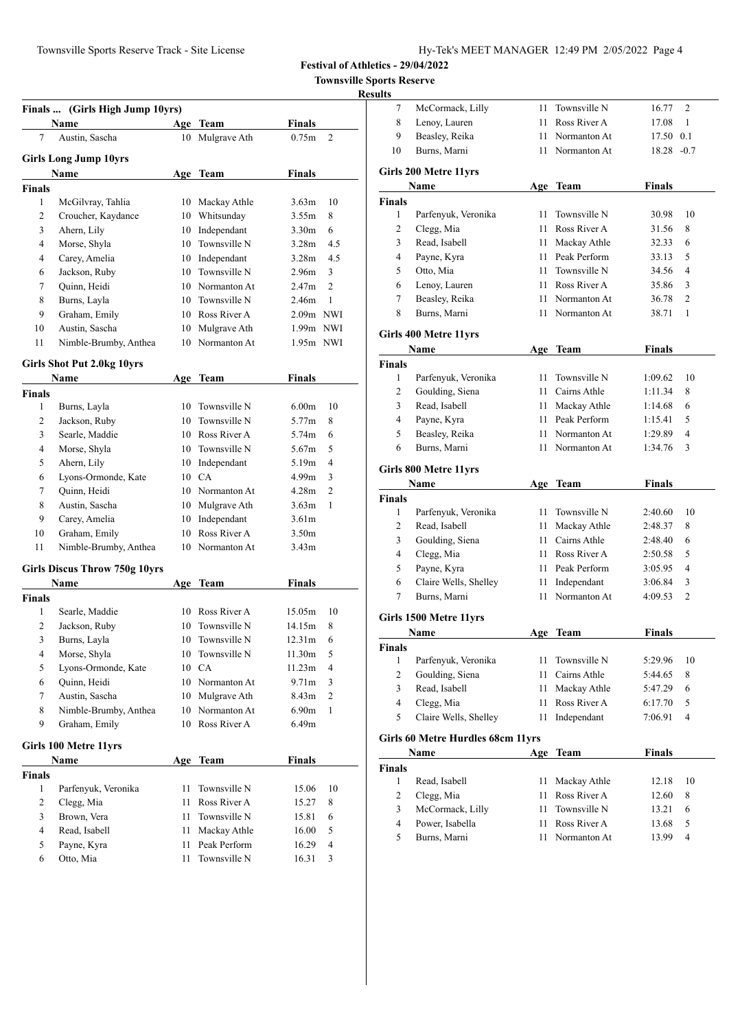|                         | Finals  (Girls High Jump 10yrs)      |     |                                 |                   |                |
|-------------------------|--------------------------------------|-----|---------------------------------|-------------------|----------------|
|                         | Name                                 |     | Age Team                        | Finals            |                |
| 7                       | Austin, Sascha                       | 10  | Mulgrave Ath                    | 0.75m             | $\overline{2}$ |
|                         |                                      |     |                                 |                   |                |
|                         | <b>Girls Long Jump 10yrs</b><br>Name |     | Age Team                        | Finals            |                |
| <b>Finals</b>           |                                      |     |                                 |                   |                |
| 1                       | McGilvray, Tahlia                    | 10  | Mackay Athle                    | 3.63 <sub>m</sub> | 10             |
| 2                       | Croucher, Kaydance                   | 10  | Whitsunday                      | 3.55m             | 8              |
| 3                       | Ahern, Lily                          | 10  | Independant                     | 3.30 <sub>m</sub> | 6              |
| $\overline{4}$          | Morse, Shyla                         |     | 10 Townsville N                 | 3.28 <sub>m</sub> | 4.5            |
| $\overline{4}$          | Carey, Amelia                        |     | 10 Independant                  | 3.28 <sub>m</sub> | 4.5            |
| 6                       | Jackson, Ruby                        |     | 10 Townsville N                 | 2.96m             | 3              |
| 7                       | Quinn, Heidi                         |     | 10 Normanton At                 | 2.47m             | $\overline{c}$ |
| 8                       | Burns, Layla                         |     | 10 Townsville N                 | 2.46m             | 1              |
| 9                       | Graham, Emily                        |     | 10 Ross River A                 | 2.09m NWI         |                |
| 10                      | Austin, Sascha                       | 10  | Mulgrave Ath                    | 1.99m NWI         |                |
| 11                      | Nimble-Brumby, Anthea                | 10  | Normanton At                    | 1.95m NWI         |                |
|                         |                                      |     |                                 |                   |                |
|                         | <b>Girls Shot Put 2.0kg 10yrs</b>    |     |                                 |                   |                |
|                         | Name                                 | Age | Team                            | Finals            |                |
| <b>Finals</b>           |                                      |     |                                 |                   |                |
| 1                       | Burns, Layla                         | 10  | Townsville N                    | 6.00 <sub>m</sub> | 10             |
| 2<br>3                  | Jackson, Ruby<br>Searle, Maddie      | 10  | Townsville N<br>10 Ross River A | 5.77m<br>5.74m    | 8<br>6         |
| $\overline{4}$          |                                      |     | 10 Townsville N                 | 5.67m             | 5              |
|                         | Morse, Shyla                         |     |                                 |                   | $\overline{4}$ |
| 5<br>6                  | Ahern, Lily<br>Lyons-Ormonde, Kate   | 10  | Independant<br>10 CA            | 5.19m<br>4.99m    | 3              |
| 7                       | Quinn, Heidi                         |     | 10 Normanton At                 | 4.28 <sub>m</sub> | $\overline{c}$ |
| 8                       | Austin, Sascha                       |     | 10 Mulgrave Ath                 | 3.63 <sub>m</sub> | 1              |
| 9                       | Carey, Amelia                        | 10  | Independant                     | 3.61 <sub>m</sub> |                |
| 10                      | Graham, Emily                        | 10  | Ross River A                    | 3.50 <sub>m</sub> |                |
| 11                      | Nimble-Brumby, Anthea                | 10  | Normanton At                    | 3.43 <sub>m</sub> |                |
|                         |                                      |     |                                 |                   |                |
|                         | Girls Discus Throw 750g 10yrs        |     |                                 |                   |                |
|                         | Name                                 |     | Age Team                        | <b>Finals</b>     |                |
| <b>Finals</b>           |                                      |     |                                 |                   |                |
| 1                       | Searle, Maddie                       | 10  | Ross River A                    | 15.05m            | 10             |
| 2                       | Jackson, Ruby                        | 10  | Townsville N                    | 14.15m            | 8              |
| 3                       | Burns, Layla                         | 10  | Townsville N                    | 12.31m            | 6              |
| $\overline{\mathbf{4}}$ | Morse, Shyla                         | 10  | Townsville N                    | 11.30m            | 5              |
| 5                       | Lyons-Ormonde, Kate                  | 10  | CA                              | 11.23m            | $\overline{4}$ |
| 6                       | Quinn, Heidi                         |     | 10 Normanton At                 | 9.71 <sub>m</sub> | 3              |
| $\tau$                  | Austin, Sascha                       | 10  | Mulgrave Ath                    | 8.43m             | $\overline{c}$ |
| 8                       | Nimble-Brumby, Anthea                | 10  | Normanton At                    | 6.90m             | $\mathbf{1}$   |
| 9                       | Graham, Emily                        | 10  | Ross River A                    | 6.49m             |                |
|                         | Girls 100 Metre 11yrs                |     |                                 |                   |                |
|                         | <b>Name</b>                          |     | Age Team                        | Finals            |                |
| Finals                  |                                      |     |                                 |                   |                |
| 1                       | Parfenyuk, Veronika                  | 11  | Townsville N                    | 15.06             | 10             |
| $\overline{c}$          | Clegg, Mia                           | 11  | Ross River A                    | 15.27             | 8              |
| 3                       | Brown, Vera                          | 11  | Townsville N                    | 15.81             | 6              |
| 4                       | Read, Isabell                        | 11  | Mackay Athle                    | 16.00             | 5              |
| 5                       | Payne, Kyra                          | 11  | Peak Perform                    | 16.29             | $\overline{4}$ |
| 6                       | Otto, Mia                            | 11  | Townsville N                    | 16.31             | 3              |
|                         |                                      |     |                                 |                   |                |

| uns            |                                   |      |                 |               |                |
|----------------|-----------------------------------|------|-----------------|---------------|----------------|
| 7              | McCormack, Lilly                  | 11   | Townsville N    | 16.77         | 2              |
| 8              | Lenoy, Lauren                     | 11   | Ross River A    | 17.08         | 1              |
| 9              | Beasley, Reika                    | 11   | Normanton At    | 17.50         | 0.1            |
| 10             | Burns, Marni                      | 11   | Normanton At    | $18.28 - 0.7$ |                |
|                | Girls 200 Metre 11yrs             |      |                 |               |                |
|                | Name                              |      |                 | Finals        |                |
| <b>Finals</b>  |                                   | Age  | Team            |               |                |
| 1              | Parfenyuk, Veronika               | 11   | Townsville N    | 30.98         | 10             |
| 2              | Clegg, Mia                        |      | 11 Ross River A | 31.56         | 8              |
| 3              | Read, Isabell                     | 11 - | Mackay Athle    | 32.33         | 6              |
| 4              | Payne, Kyra                       |      | 11 Peak Perform | 33.13         | 5              |
| 5              | Otto, Mia                         | 11   | Townsville N    | 34.56         | 4              |
| 6              | Lenoy, Lauren                     |      | 11 Ross River A | 35.86         | 3              |
| 7              | Beasley, Reika                    | 11   | Normanton At    | 36.78         | 2              |
| 8              | Burns, Marni                      | 11   | Normanton At    | 38.71         | 1              |
|                |                                   |      |                 |               |                |
|                | Girls 400 Metre 11yrs             |      |                 |               |                |
|                | Name                              | Age  | Team            | <b>Finals</b> |                |
| <b>Finals</b>  |                                   |      |                 |               |                |
| 1              | Parfenyuk, Veronika               | 11   | Townsville N    | 1:09.62       | 10             |
| 2              | Goulding, Siena                   |      | 11 Cairns Athle | 1:11.34       | 8              |
| 3              | Read, Isabell                     | 11 - | Mackay Athle    | 1:14.68       | 6              |
| 4              | Payne, Kyra                       |      | 11 Peak Perform | 1:15.41       | 5              |
| 5              | Beasley, Reika                    | 11   | Normanton At    | 1:29.89       | 4              |
| 6              | Burns, Marni                      | 11   | Normanton At    | 1:34.76       | 3              |
|                | Girls 800 Metre 11yrs             |      |                 |               |                |
|                | Name                              | Age  | <b>Team</b>     | <b>Finals</b> |                |
| Finals         |                                   |      |                 |               |                |
| 1              | Parfenyuk, Veronika               | 11   | Townsville N    | 2:40.60       | 10             |
| 2              | Read, Isabell                     |      | 11 Mackay Athle | 2:48.37       | 8              |
| 3              | Goulding, Siena                   |      | 11 Cairns Athle | 2:48.40       | 6              |
| 4              | Clegg, Mia                        |      | 11 Ross River A | 2:50.58       | 5              |
| 5              | Payne, Kyra                       |      | 11 Peak Perform | 3:05.95       | 4              |
| 6              | Claire Wells, Shelley             | 11   | Independant     | 3:06.84       | 3              |
| 7              | Burns, Marni                      | 11   | Normanton At    | 4:09.53       | 2              |
|                | Girls 1500 Metre 11yrs            |      |                 |               |                |
|                | Name                              |      | Age Team        | Finals        |                |
| Finals         |                                   |      |                 |               |                |
| 1              | Parfenyuk, Veronika               | 11   | Townsville N    | 5:29.96       | 10             |
| $\overline{c}$ | Goulding, Siena                   | 11   | Cairns Athle    | 5:44.65       | 8              |
| 3              | Read, Isabell                     | 11   | Mackay Athle    | 5:47.29       | 6              |
| $\overline{4}$ | Clegg, Mia                        | 11   | Ross River A    | 6:17.70       | 5              |
| 5              | Claire Wells, Shelley             | 11   | Independant     | 7:06.91       | 4              |
|                |                                   |      |                 |               |                |
|                | Girls 60 Metre Hurdles 68cm 11yrs |      |                 |               |                |
|                | Name                              | Age  | <b>Team</b>     | <b>Finals</b> |                |
| <b>Finals</b>  |                                   |      |                 |               |                |
| $\mathbf{1}$   | Read, Isabell                     | 11   | Mackay Athle    | 12.18         | 10             |
| $\overline{c}$ | Clegg, Mia                        | 11   | Ross River A    | 12.60         | 8              |
| 3              | McCormack, Lilly                  | 11   | Townsville N    | 13.21         | 6              |
| 4              | Power, Isabella                   | 11   | Ross River A    | 13.68         | 5              |
| 5              | Burns, Marni                      | 11   | Normanton At    | 13.99         | $\overline{4}$ |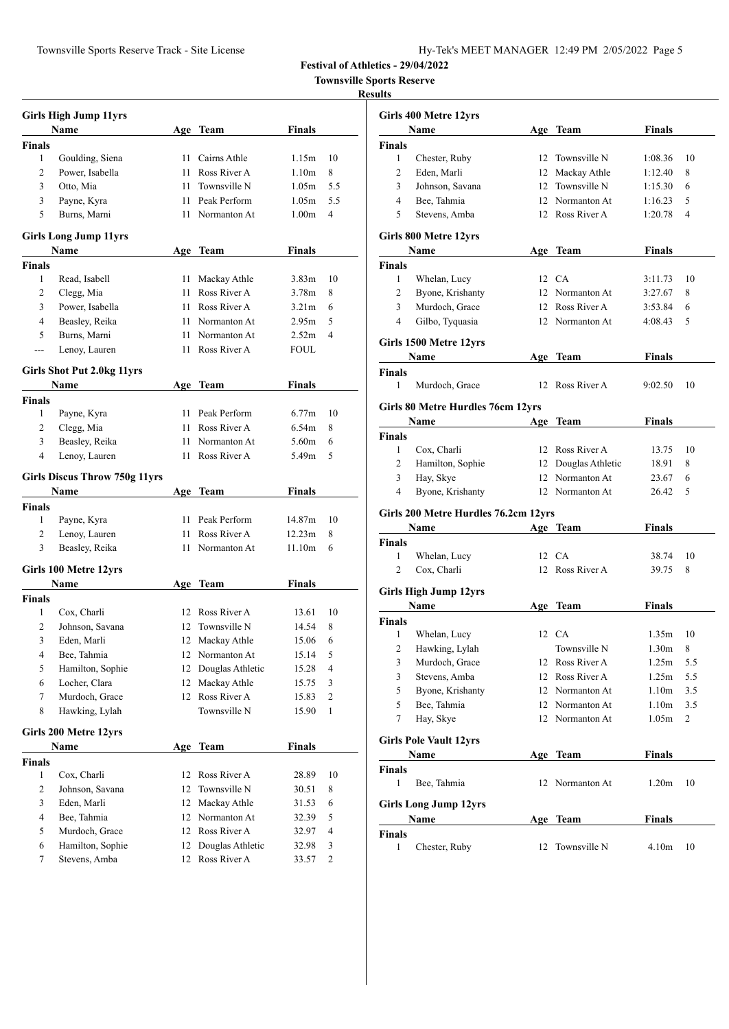| Hy-Tek's MEET MANAGER 12:49 PM 2/05/2022 Page 5 |  |  |  |
|-------------------------------------------------|--|--|--|
|-------------------------------------------------|--|--|--|

|                | Girls High Jump 11yrs                |     |                  |                   |                |
|----------------|--------------------------------------|-----|------------------|-------------------|----------------|
|                | Name                                 |     | Age Team         | Finals            |                |
| <b>Finals</b>  |                                      |     |                  |                   |                |
| 1              | Goulding, Siena                      |     | 11 Cairns Athle  | 1.15m             | 10             |
| 2              | Power, Isabella                      | 11  | Ross River A     | 1.10 <sub>m</sub> | 8              |
| 3              | Otto, Mia                            | 11  | Townsville N     | 1.05m             | 5.5            |
| 3              | Payne, Kyra                          |     | 11 Peak Perform  | 1.05m             | 5.5            |
| 5              | Burns, Marni                         | 11  | Normanton At     | 1.00 <sub>m</sub> | 4              |
|                | <b>Girls Long Jump 11yrs</b>         |     |                  |                   |                |
|                | Name                                 | Age | Team             | Finals            |                |
| <b>Finals</b>  |                                      |     |                  |                   |                |
| 1              | Read, Isabell                        | 11  | Mackay Athle     | 3.83 <sub>m</sub> | 10             |
| 2              | Clegg, Mia                           |     | 11 Ross River A  | 3.78m             | 8              |
| 3              | Power, Isabella                      |     | 11 Ross River A  | 3.21 <sub>m</sub> | 6              |
| 4              | Beasley, Reika                       |     | 11 Normanton At  | 2.95m             | 5              |
| 5              | Burns, Marni                         | 11  | Normanton At     | 2.52 <sub>m</sub> | 4              |
| ---            | Lenoy, Lauren                        | 11  | Ross River A     | <b>FOUL</b>       |                |
|                |                                      |     |                  |                   |                |
|                | Girls Shot Put 2.0kg 11yrs           |     |                  |                   |                |
|                | Name                                 |     | Age Team         | Finals            |                |
| <b>Finals</b>  |                                      |     |                  |                   |                |
| 1              | Payne, Kyra                          |     | 11 Peak Perform  | 6.77m             | 10             |
| 2              | Clegg, Mia                           | 11  | Ross River A     | 6.54m             | 8              |
| 3              | Beasley, Reika                       | 11  | Normanton At     | 5.60m             | 6              |
| 4              | Lenoy, Lauren                        | 11  | Ross River A     | 5.49m             | 5              |
|                | <b>Girls Discus Throw 750g 11yrs</b> |     |                  |                   |                |
|                | Name                                 |     | Age Team         | Finals            |                |
| <b>Finals</b>  |                                      |     |                  |                   |                |
| 1              | Payne, Kyra                          | 11. | Peak Perform     | 14.87m            | 10             |
| 2              | Lenoy, Lauren                        | 11  | Ross River A     | 12.23m            | 8              |
| 3              | Beasley, Reika                       | 11  | Normanton At     | 11.10m            | 6              |
|                |                                      |     |                  |                   |                |
|                | Girls 100 Metre 12yrs                |     |                  |                   |                |
|                | Name                                 |     | Age Team         | <b>Finals</b>     |                |
| Finals         |                                      |     |                  |                   |                |
| 1              | Cox, Charli                          |     | 12 Ross River A  | 13.61             | 10             |
| 2              | Johnson, Savana                      |     | 12 Townsville N  | 14.54             | 8              |
| 3              | Eden, Marli                          | 12  | Mackay Athle     | 15.06             | 6              |
| 4              | Bee, Tahmia                          | 12  | Normanton At     | 15.14             | 5              |
| 5              | Hamilton, Sophie                     | 12  | Douglas Athletic | 15.28             | 4              |
| 6              | Locher, Clara                        | 12  | Mackay Athle     | 15.75             | 3              |
| 7              | Murdoch, Grace                       | 12  | Ross River A     | 15.83             | $\mathbf{2}$   |
| 8              | Hawking, Lylah                       |     | Townsville N     | 15.90             | 1              |
|                | Girls 200 Metre 12yrs                |     |                  |                   |                |
|                | Name                                 |     | Age Team         | <b>Finals</b>     |                |
| <b>Finals</b>  |                                      |     |                  |                   |                |
| 1              | Cox, Charli                          | 12  | Ross River A     | 28.89             | 10             |
| $\overline{c}$ | Johnson, Savana                      | 12  | Townsville N     | 30.51             | 8              |
| 3              | Eden, Marli                          |     | 12 Mackay Athle  | 31.53             | 6              |
| 4              | Bee, Tahmia                          |     | 12 Normanton At  | 32.39             | 5              |
| 5              | Murdoch, Grace                       |     | 12 Ross River A  | 32.97             | 4              |
| 6              | Hamilton, Sophie                     | 12  | Douglas Athletic | 32.98             | 3              |
| 7              | Stevens, Amba                        | 12  | Ross River A     | 33.57             | $\overline{c}$ |
|                |                                      |     |                  |                   |                |

|               | Girls 400 Metre 12yrs                |     |                  |                   |     |
|---------------|--------------------------------------|-----|------------------|-------------------|-----|
|               | Name                                 |     | Age Team         | <b>Finals</b>     |     |
| Finals        |                                      |     |                  |                   |     |
| 1             | Chester, Ruby                        |     | 12 Townsville N  | 1:08.36           | 10  |
| 2             | Eden, Marli                          | 12  | Mackay Athle     | 1:12.40           | 8   |
| 3             | Johnson, Savana                      | 12  | Townsville N     | 1:15.30           | 6   |
| 4             | Bee, Tahmia                          |     | 12 Normanton At  | 1:16.23           | 5   |
| 5             | Stevens, Amba                        |     | 12 Ross River A  | 1:20.78           | 4   |
|               | Girls 800 Metre 12yrs                |     |                  |                   |     |
|               | Name                                 | Age | Team             | Finals            |     |
| Finals        |                                      |     |                  |                   |     |
| 1             | Whelan, Lucy                         |     | 12 CA            | 3:11.73           | 10  |
| 2             | Byone, Krishanty                     |     | 12 Normanton At  | 3:27.67           | 8   |
| 3             | Murdoch, Grace                       |     | 12 Ross River A  | 3:53.84           | 6   |
| 4             | Gilbo, Tyquasia                      |     | 12 Normanton At  | 4:08.43           | 5   |
|               | Girls 1500 Metre 12yrs               |     |                  |                   |     |
|               | Name                                 | Age | Team             | <b>Finals</b>     |     |
| <b>Finals</b> |                                      |     |                  |                   |     |
| 1             | Murdoch, Grace                       |     | 12 Ross River A  | 9:02.50           | 10  |
|               | Girls 80 Metre Hurdles 76cm 12yrs    |     |                  |                   |     |
|               | <b>Name</b>                          | Age | Team             | Finals            |     |
| Finals        |                                      |     |                  |                   |     |
| 1             | Cox, Charli                          | 12  | Ross River A     | 13.75             | 10  |
| 2             | Hamilton, Sophie                     | 12  | Douglas Athletic | 18.91             | 8   |
| 3             | Hay, Skye                            | 12  | Normanton At     | 23.67             | 6   |
| 4             | Byone, Krishanty                     |     | 12 Normanton At  | 26.42             | 5   |
|               | Girls 200 Metre Hurdles 76.2cm 12yrs |     |                  |                   |     |
|               | Name                                 |     | Age Team         | <b>Finals</b>     |     |
| Finals        |                                      |     |                  |                   |     |
| 1             | Whelan, Lucy                         |     | 12 CA            | 38.74             | 10  |
| 2             | Cox, Charli                          |     | 12 Ross River A  | 39.75             | 8   |
|               |                                      |     |                  |                   |     |
|               | <b>Girls High Jump 12yrs</b>         |     |                  |                   |     |
|               | Name                                 |     | Age Team         | <b>Finals</b>     |     |
| Finals        |                                      |     |                  |                   |     |
| 1             | Whelan, Lucy                         |     | 12 CA            | 1.35m             | 10  |
| $\mathbf{2}$  | Hawking, Lylah                       |     | Townsville N     | 1.30 <sub>m</sub> | 8   |
| 3             | Murdoch, Grace                       | 12  | Ross River A     | 1.25m             | 5.5 |
| 3             | Stevens, Amba                        | 12  | Ross River A     | 1.25m             | 5.5 |
| 5             | Byone, Krishanty                     | 12  | Normanton At     | 1.10 <sub>m</sub> | 3.5 |
| 5             | Bee, Tahmia                          |     | 12 Normanton At  | 1.10 <sub>m</sub> | 3.5 |
| 7             | Hay, Skye                            |     | 12 Normanton At  | 1.05m             | 2   |
|               | <b>Girls Pole Vault 12yrs</b>        |     |                  |                   |     |
|               | Name                                 |     | Age Team         | Finals            |     |
| Finals        |                                      |     |                  |                   |     |
| 1             | Bee, Tahmia                          | 12  | Normanton At     | 1.20m             | 10  |
|               | <b>Girls Long Jump 12yrs</b>         |     |                  |                   |     |
|               | Name                                 |     | Age Team         | <b>Finals</b>     |     |
| Finals        |                                      |     |                  |                   |     |
| 1             | Chester, Ruby                        | 12  | Townsville N     | 4.10m             | 10  |
|               |                                      |     |                  |                   |     |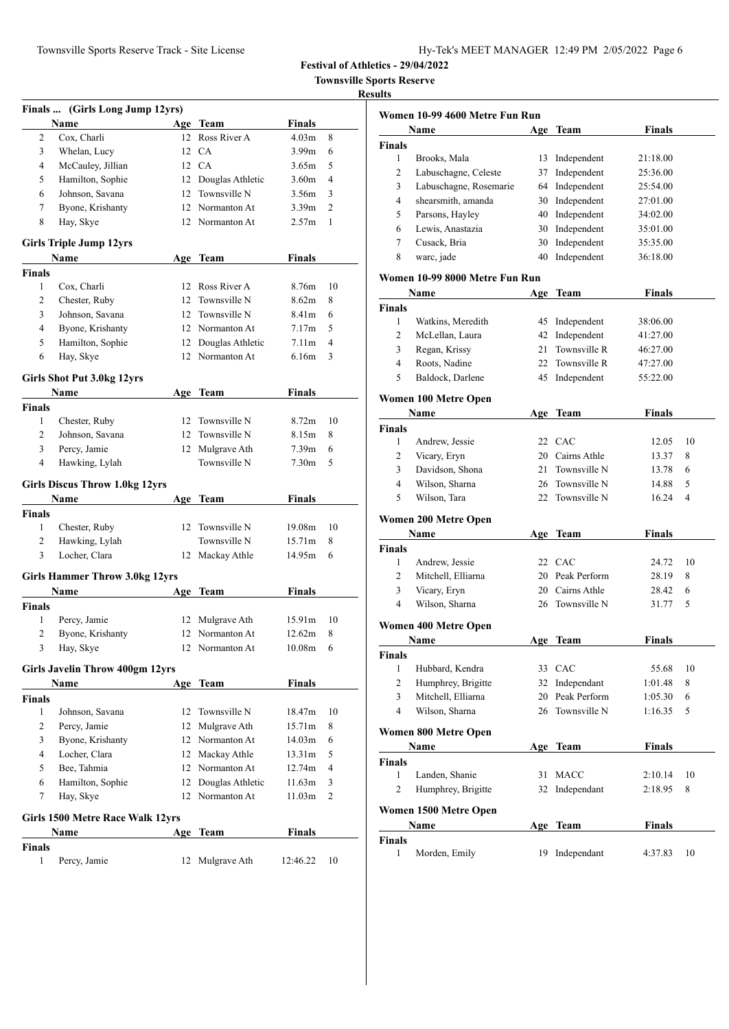Townsville Sports Reserve Track - Site License

| Hy-Tek's MEET MANAGER 12:49 PM 2/05/2022 Page 6 |  |  |  |
|-------------------------------------------------|--|--|--|
|-------------------------------------------------|--|--|--|

**Festival of Athletics - 29/04/2022**

|                | Finals  (Girls Long Jump 12yrs)        |     |                     |                   |                |
|----------------|----------------------------------------|-----|---------------------|-------------------|----------------|
|                | Name                                   |     | Age Team            | <b>Finals</b>     |                |
| 2              | Cox, Charli                            |     | 12 Ross River A     | 4.03m             | 8              |
| 3              | Whelan, Lucy                           |     | 12 CA               | 3.99m             | 6              |
| 4              | McCauley, Jillian                      |     | 12 CA               | 3.65m             | 5              |
| 5              | Hamilton, Sophie                       |     | 12 Douglas Athletic | 3.60 <sub>m</sub> | 4              |
| 6              | Johnson, Savana                        | 12  | Townsville N        | 3.56m             | 3              |
| 7              | Byone, Krishanty                       | 12  | Normanton At        | 3.39m             | $\overline{c}$ |
| 8              | Hay, Skye                              | 12  | Normanton At        | 2.57m             | 1              |
|                | <b>Girls Triple Jump 12yrs</b>         |     |                     |                   |                |
|                | Name                                   |     | Age Team            | Finals            |                |
| <b>Finals</b>  |                                        |     |                     |                   |                |
| 1              | Cox, Charli                            |     | 12 Ross River A     | 8.76m             | 10             |
| 2              | Chester, Ruby                          |     | 12 Townsville N     | 8.62m             | 8              |
| 3              | Johnson, Savana                        |     | 12 Townsville N     | 8.41m             | 6              |
| 4              | Byone, Krishanty                       |     | 12 Normanton At     | 7.17 <sub>m</sub> | 5              |
| 5              | Hamilton, Sophie                       |     | 12 Douglas Athletic | 7.11m             | 4              |
| 6              | Hay, Skye                              |     | 12 Normanton At     | 6.16m             | 3              |
|                | Girls Shot Put 3.0kg 12yrs             |     |                     |                   |                |
|                | <b>Name</b>                            | Age | Team                | Finals            |                |
| <b>Finals</b>  |                                        |     |                     |                   |                |
| 1              | Chester, Ruby                          | 12  | Townsville N        | 8.72m             | 10             |
| 2              | Johnson, Savana                        |     | 12 Townsville N     | 8.15m             | 8              |
| 3              | Percy, Jamie                           |     | 12 Mulgrave Ath     | 7.39m             | 6              |
| $\overline{4}$ | Hawking, Lylah                         |     | Townsville N        | 7.30 <sub>m</sub> | 5              |
|                | Girls Discus Throw 1.0kg 12yrs         |     |                     |                   |                |
|                | Name                                   | Age | Team                | Finals            |                |
| <b>Finals</b>  |                                        |     |                     |                   |                |
| 1              | Chester, Ruby                          |     | 12 Townsville N     | 19.08m            | 10             |
| 2              | Hawking, Lylah                         |     | Townsville N        | 15.71m            | 8              |
| 3              | Locher, Clara                          |     | 12 Mackay Athle     | 14.95m            | 6              |
|                | <b>Girls Hammer Throw 3.0kg 12yrs</b>  |     |                     |                   |                |
|                | Name                                   | Age | <b>Team</b>         | <b>Finals</b>     |                |
| <b>Finals</b>  |                                        |     |                     |                   |                |
| 1              | Percy, Jamie                           | 12  | Mulgrave Ath        | 15.91m            | 10             |
| 2              | Byone, Krishanty                       |     | 12 Normanton At     | 12.62m            | 8              |
| 3              | Hay, Skye                              |     | 12 Normanton At     | $10.08\mathrm{m}$ | $\sqrt{6}$     |
|                | <b>Girls Javelin Throw 400gm 12yrs</b> |     |                     |                   |                |
|                | Name                                   | Age | Team                | Finals            |                |
| Finals         |                                        |     |                     |                   |                |
| 1              | Johnson, Savana                        |     | 12 Townsville N     | 18.47m            | 10             |
| 2              | Percy, Jamie                           |     | 12 Mulgrave Ath     | 15.71m            | 8              |
| 3              | Byone, Krishanty                       |     | 12 Normanton At     | 14.03m            | 6              |
| 4              | Locher, Clara                          |     | 12 Mackay Athle     | 13.31m            | 5              |
| 5              | Bee, Tahmia                            |     | 12 Normanton At     | 12.74m            | 4              |
| 6              | Hamilton, Sophie                       |     | 12 Douglas Athletic | 11.63m            | 3              |
| 7              | Hay, Skye                              | 12  | Normanton At        | 11.03m            | 2              |
|                |                                        |     |                     |                   |                |
|                | Girls 1500 Metre Race Walk 12yrs       |     |                     |                   |                |
|                | Name                                   |     | Age Team            | Finals            |                |
| Finals<br>1    | Percy, Jamie                           | 12  | Mulgrave Ath        | 12:46.22          | 10             |
|                |                                        |     |                     |                   |                |

|                | Women 10-99 4600 Metre Fun Run |     |                 |               |    |
|----------------|--------------------------------|-----|-----------------|---------------|----|
|                | <b>Name</b>                    |     | Age Team        | Finals        |    |
| Finals         |                                |     |                 |               |    |
| 1              | Brooks, Mala                   | 13  | Independent     | 21:18.00      |    |
| 2              | Labuschagne, Celeste           | 37  | Independent     | 25:36.00      |    |
| 3              | Labuschagne, Rosemarie         | 64  | Independent     | 25:54.00      |    |
| 4              | shearsmith, amanda             | 30  | Independent     | 27:01.00      |    |
| 5              | Parsons, Hayley                |     | 40 Independent  | 34:02.00      |    |
| 6              | Lewis, Anastazia               |     | 30 Independent  | 35:01.00      |    |
| 7              | Cusack, Bria                   | 30  | Independent     | 35:35.00      |    |
| 8              | warc, jade                     | 40  | Independent     | 36:18.00      |    |
|                | Women 10-99 8000 Metre Fun Run |     |                 |               |    |
|                | Name                           | Age | Team            | Finals        |    |
| Finals         |                                |     |                 |               |    |
| 1              | Watkins, Meredith              | 45  | Independent     | 38:06.00      |    |
| 2              | McLellan, Laura                | 42  | Independent     | 41:27.00      |    |
| 3              | Regan, Krissy                  | 21  | Townsville R    | 46:27.00      |    |
| 4              | Roots, Nadine                  | 22  | Townsville R    | 47:27.00      |    |
| 5              | Baldock, Darlene               | 45  | Independent     | 55:22.00      |    |
|                |                                |     |                 |               |    |
|                | Women 100 Metre Open           |     |                 |               |    |
|                | Name                           | Age | Team            | Finals        |    |
| Finals         |                                |     |                 |               |    |
| 1              | Andrew, Jessie                 |     | 22 CAC          | 12.05         | 10 |
| 2              | Vicary, Eryn                   |     | 20 Cairns Athle | 13.37         | 8  |
| 3              | Davidson, Shona                |     | 21 Townsville N | 13.78         | 6  |
| 4              | Wilson, Sharna                 |     | 26 Townsville N | 14.88         | 5  |
| 5              | Wilson, Tara                   | 22  | Townsville N    | 16.24         | 4  |
|                | Women 200 Metre Open           |     |                 |               |    |
|                | Name                           |     | Age Team        | Finals        |    |
| <b>Finals</b>  |                                |     |                 |               |    |
| 1              | Andrew, Jessie                 |     | 22 CAC          | 24.72         | 10 |
| $\overline{c}$ | Mitchell, Elliarna             |     | 20 Peak Perform | 28.19         | 8  |
| 3              | Vicary, Eryn                   |     | 20 Cairns Athle | 28.42         | 6  |
| 4              | Wilson, Sharna                 | 26  | Townsville N    | 31.77         | 5  |
|                | Women 400 Metre Open           |     |                 |               |    |
|                | Name                           |     | Age Team        | Finals        |    |
| Finals         |                                |     |                 |               |    |
| 1              | Hubbard, Kendra                | 33  | CAC             | 55.68         | 10 |
| $\overline{c}$ | Humphrey, Brigitte             | 32  | Independant     | 1:01.48       | 8  |
| 3              | Mitchell, Elliarna             | 20  | Peak Perform    | 1:05.30       | 6  |
| 4              | Wilson, Sharna                 | 26  | Townsville N    | 1:16.35       | 5  |
|                | <b>Women 800 Metre Open</b>    |     |                 |               |    |
|                | Name                           | Age | <b>Team</b>     | <b>Finals</b> |    |
| <b>Finals</b>  |                                |     |                 |               |    |
| $\mathbf{1}$   | Landen, Shanie                 | 31  | MACC            | 2:10.14       | 10 |
| 2              | Humphrey, Brigitte             | 32  | Independant     | 2:18.95       | 8  |
|                |                                |     |                 |               |    |
|                | Women 1500 Metre Open          |     |                 |               |    |
|                | Name                           |     | Age Team        | <b>Finals</b> |    |
| Finals         |                                |     |                 |               |    |
| 1              | Morden, Emily                  | 19  | Independant     | 4:37.83       | 10 |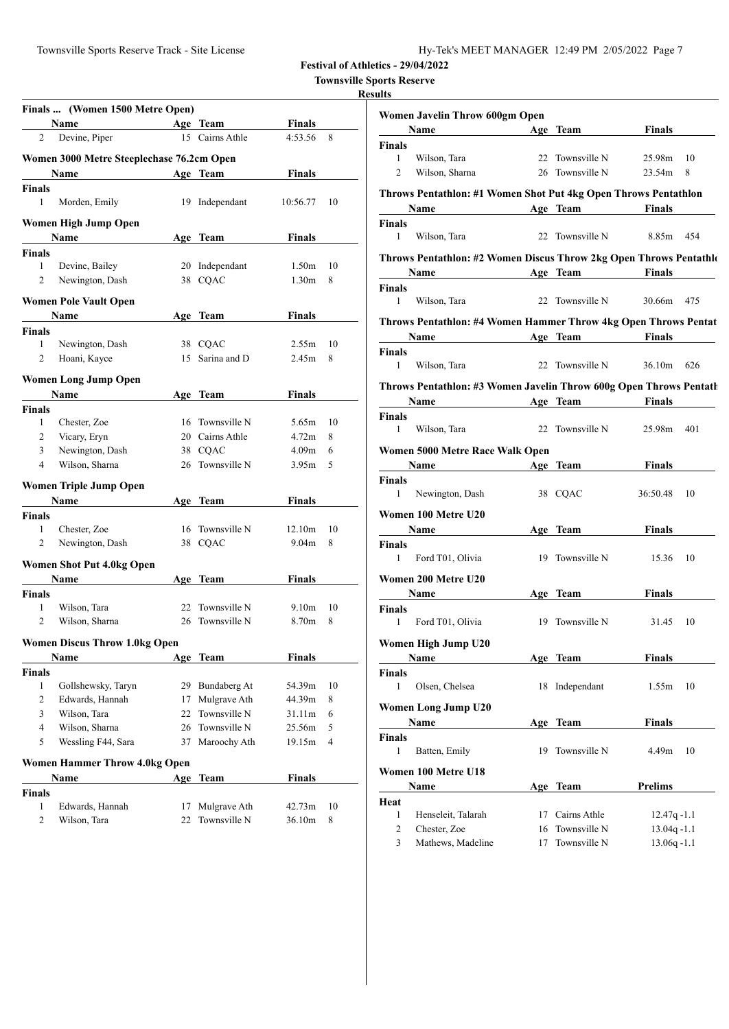| Hy-Tek's MEET MANAGER 12:49 PM 2/05/2022 Page 7 |  |  |  |  |
|-------------------------------------------------|--|--|--|--|
|-------------------------------------------------|--|--|--|--|

|                | Finals  (Women 1500 Metre Open)           |     |                     |                   |    |
|----------------|-------------------------------------------|-----|---------------------|-------------------|----|
|                | Name                                      |     | Age Team            | <b>Finals</b>     |    |
| 2              | Devine, Piper                             | 15  | Cairns Athle        | 4:53.56           | 8  |
|                |                                           |     |                     |                   |    |
|                | Women 3000 Metre Steeplechase 76.2cm Open |     |                     |                   |    |
|                | Name                                      |     | Age Team            | <b>Finals</b>     |    |
| Finals         |                                           |     |                     |                   |    |
| 1              | Morden, Emily                             | 19  | Independant         | 10:56.77          | 10 |
|                | Women High Jump Open                      |     |                     |                   |    |
|                | Name                                      |     | Age Team            | Finals            |    |
| Finals         |                                           |     |                     |                   |    |
| 1              | Devine, Bailey                            |     | 20 Independant      | 1.50 <sub>m</sub> | 10 |
| $\overline{2}$ | Newington, Dash                           |     | 38 CQAC             | 1.30 <sub>m</sub> | 8  |
|                |                                           |     |                     |                   |    |
|                | <b>Women Pole Vault Open</b><br>Name      |     |                     |                   |    |
|                |                                           |     | Age Team            | Finals            |    |
| Finals<br>1    | Newington, Dash                           |     | 38 COAC             | 2.55m             | 10 |
| 2              | Hoani, Kayce                              |     | 15 Sarina and D     | 2.45m             | 8  |
|                |                                           |     |                     |                   |    |
|                | Women Long Jump Open                      |     |                     |                   |    |
|                | Name                                      |     | Age Team            | Finals            |    |
| Finals         |                                           |     |                     |                   |    |
| 1              | Chester, Zoe                              |     | 16 Townsville N     | 5.65m             | 10 |
| 2              | Vicary, Eryn                              |     | 20 Cairns Athle     | 4.72m             | 8  |
| 3              | Newington, Dash                           |     | 38 CQAC             | 4.09m             | 6  |
| $\overline{4}$ | Wilson, Sharna                            | 26  | Townsville N        | 3.95m             | 5  |
|                | Women Triple Jump Open                    |     |                     |                   |    |
|                | Name                                      |     | Age Team            | Finals            |    |
| Finals         |                                           |     |                     |                   |    |
| $\mathbf{1}$   | Chester, Zoe                              |     | 16 Townsville N     | 12.10m            | 10 |
| 2              | Newington, Dash                           |     | 38 CQAC             | 9.04m             | 8  |
|                |                                           |     |                     |                   |    |
|                | <b>Women Shot Put 4.0kg Open</b>          |     |                     |                   |    |
|                | Name                                      |     | Age Team            | <b>Finals</b>     |    |
| <b>Finals</b>  |                                           |     |                     |                   |    |
| 1              | Wilson, Tara                              | 22  | Townsville N        | 9.10 <sub>m</sub> | 10 |
| 2              | Wilson, Sharna                            | 26  | Townsville N        | 8.70m             | 8  |
|                | <b>Women Discus Throw 1.0kg Open</b>      |     |                     |                   |    |
|                | Name                                      | Age | <b>Team</b>         | <b>Finals</b>     |    |
| Finals         |                                           |     |                     |                   |    |
| 1              | Gollshewsky, Taryn                        | 29  | <b>Bundaberg At</b> | 54.39m            | 10 |
| $\mathbf{2}$   | Edwards, Hannah                           | 17  | Mulgrave Ath        | 44.39m            | 8  |
| 3              | Wilson, Tara                              | 22  | Townsville N        | 31.11m            | 6  |
| 4              | Wilson, Sharna                            | 26  | Townsville N        | 25.56m            | 5  |
| 5              | Wessling F44, Sara                        | 37  | Maroochy Ath        | 19.15m            | 4  |
|                | Women Hammer Throw 4.0kg Open             |     |                     |                   |    |
|                | Name                                      | Age |                     | <b>Finals</b>     |    |
|                |                                           |     | Team                |                   |    |
| Finals<br>1    | Edwards, Hannah                           | 17  | Mulgrave Ath        | 42.73m            | 10 |
| $\overline{c}$ | Wilson, Tara                              | 22  | Townsville N        | 36.10m            | 8  |
|                |                                           |     |                     |                   |    |

|                | Women Javelin Throw 600gm Open                                                                                                                                                                                                |     |                  |                 |  |
|----------------|-------------------------------------------------------------------------------------------------------------------------------------------------------------------------------------------------------------------------------|-----|------------------|-----------------|--|
|                | Name and the same state of the state of the state of the state of the state of the state of the state of the state of the state of the state of the state of the state of the state of the state of the state of the state of |     | Age Team         | Finals          |  |
| Finals         |                                                                                                                                                                                                                               |     |                  |                 |  |
| 1              | Wilson, Tara                                                                                                                                                                                                                  |     | 22 Townsville N  | 10<br>25.98m    |  |
| $\overline{2}$ | Wilson, Sharna                                                                                                                                                                                                                |     | 26 Townsville N  | 23.54m<br>8     |  |
|                | Throws Pentathlon: #1 Women Shot Put 4kg Open Throws Pentathlon                                                                                                                                                               |     |                  |                 |  |
|                | Name                                                                                                                                                                                                                          |     | Age Team         | Finals          |  |
| Finals         |                                                                                                                                                                                                                               |     |                  |                 |  |
| 1              | Wilson, Tara                                                                                                                                                                                                                  |     | 22. Townsville N | 8.85m<br>454    |  |
|                | Throws Pentathlon: #2 Women Discus Throw 2kg Open Throws Pentathlo                                                                                                                                                            |     |                  |                 |  |
|                | Name<br>Age Team                                                                                                                                                                                                              |     |                  | <b>Finals</b>   |  |
| Finals         |                                                                                                                                                                                                                               |     |                  |                 |  |
| 1              | Wilson, Tara                                                                                                                                                                                                                  |     | 22 Townsville N  | 30.66m<br>- 475 |  |
|                | Throws Pentathlon: #4 Women Hammer Throw 4kg Open Throws Pentat                                                                                                                                                               |     |                  |                 |  |
|                | Name                                                                                                                                                                                                                          |     | Age Team         | Finals          |  |
| Finals         |                                                                                                                                                                                                                               |     |                  |                 |  |
| 1              | Wilson, Tara                                                                                                                                                                                                                  |     | 22 Townsville N  | 36.10m<br>626   |  |
|                | Throws Pentathlon: #3 Women Javelin Throw 600g Open Throws Pentath                                                                                                                                                            |     |                  |                 |  |
|                | Name and the same state of the state of the state of the state of the state of the state of the state of the state of the state of the state of the state of the state of the state of the state of the state of the state of |     | Age Team         | Finals          |  |
| Finals         |                                                                                                                                                                                                                               |     |                  |                 |  |
| 1              | Wilson, Tara                                                                                                                                                                                                                  |     | 22 Townsville N  | 25.98m<br>401   |  |
|                | Women 5000 Metre Race Walk Open                                                                                                                                                                                               |     |                  |                 |  |
|                | Name                                                                                                                                                                                                                          |     | Age Team         | Finals          |  |
| Finals         |                                                                                                                                                                                                                               |     |                  |                 |  |
| 1              | Newington, Dash                                                                                                                                                                                                               |     | 38 CQAC          | 36:50.48<br>10  |  |
|                | Women 100 Metre U20                                                                                                                                                                                                           |     |                  |                 |  |
|                | Name                                                                                                                                                                                                                          |     | Age Team         | Finals          |  |
| Finals         |                                                                                                                                                                                                                               |     |                  |                 |  |
| 1              | Ford T01, Olivia                                                                                                                                                                                                              |     | 19 Townsville N  | 15.36<br>10     |  |
|                |                                                                                                                                                                                                                               |     |                  |                 |  |
|                | Women 200 Metre U20                                                                                                                                                                                                           |     |                  |                 |  |
|                | Name                                                                                                                                                                                                                          |     | Age Team         | Finals          |  |
| Finals<br>1    | Ford T01, Olivia                                                                                                                                                                                                              |     | 19 Townsville N  | 31.45<br>10     |  |
|                |                                                                                                                                                                                                                               |     |                  |                 |  |
|                | Women High Jump U20                                                                                                                                                                                                           |     |                  |                 |  |
|                | Name                                                                                                                                                                                                                          | Age | <b>Team</b>      | <b>Finals</b>   |  |
| <b>Finals</b>  |                                                                                                                                                                                                                               |     |                  |                 |  |
| 1              | Olsen, Chelsea                                                                                                                                                                                                                |     | 18 Independant   | 1.55m<br>10     |  |
|                | <b>Women Long Jump U20</b>                                                                                                                                                                                                    |     |                  |                 |  |
|                | Name                                                                                                                                                                                                                          |     | Age Team         | <b>Finals</b>   |  |
| Finals         |                                                                                                                                                                                                                               |     |                  |                 |  |
| 1              | Batten, Emily                                                                                                                                                                                                                 |     | 19 Townsville N  | 4.49m<br>10     |  |
|                | Women 100 Metre U18                                                                                                                                                                                                           |     |                  |                 |  |
|                | Name                                                                                                                                                                                                                          | Age | <b>Team</b>      | <b>Prelims</b>  |  |
| Heat           |                                                                                                                                                                                                                               |     |                  |                 |  |
| 1              | Henseleit, Talarah                                                                                                                                                                                                            |     | 17 Cairns Athle  | $12.47q - 1.1$  |  |
| 2              | Chester, Zoe                                                                                                                                                                                                                  | 16  | Townsville N     | $13.04q - 1.1$  |  |
| 3              | Mathews, Madeline                                                                                                                                                                                                             | 17  | Townsville N     | $13.06q - 1.1$  |  |
|                |                                                                                                                                                                                                                               |     |                  |                 |  |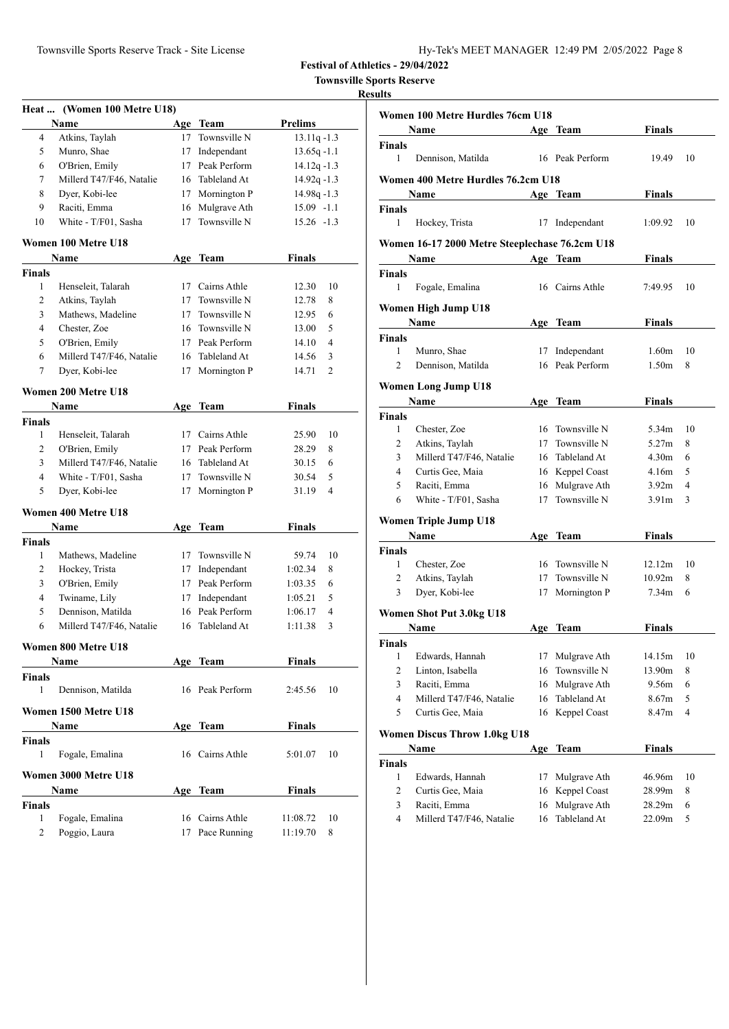| Hy-Tek's MEET MANAGER 12:49 PM 2/05/2022 Page 8 |  |  |  |
|-------------------------------------------------|--|--|--|
|-------------------------------------------------|--|--|--|

|               | Heat  (Women 100 Metre U18) |     |                 |                |    |
|---------------|-----------------------------|-----|-----------------|----------------|----|
|               | Name                        |     | Age Team        | <b>Prelims</b> |    |
| 4             | Atkins, Taylah              |     | 17 Townsville N | $13.11q - 1.3$ |    |
| 5             | Munro, Shae                 |     | 17 Independant  | $13.65q - 1.1$ |    |
| 6             | O'Brien, Emily              |     | 17 Peak Perform | $14.12q - 1.3$ |    |
| 7             | Millerd T47/F46, Natalie    |     | 16 Tableland At | $14.92q - 1.3$ |    |
| 8             | Dyer, Kobi-lee              |     | 17 Mornington P | 14.98q-1.3     |    |
| 9             | Raciti, Emma                | 16  | Mulgrave Ath    | $15.09 - 1.1$  |    |
| 10            | White - T/F01, Sasha        | 17  | Townsville N    | $15.26 -1.3$   |    |
|               | Women 100 Metre U18         |     |                 |                |    |
|               | Name                        |     | Age Team        | <b>Finals</b>  |    |
| <b>Finals</b> |                             |     |                 |                |    |
| 1             | Henseleit, Talarah          |     | 17 Cairns Athle | 12.30          | 10 |
| 2             | Atkins, Taylah              |     | 17 Townsville N | 12.78          | 8  |
| 3             | Mathews, Madeline           |     | 17 Townsville N | 12.95          | 6  |
| 4             | Chester, Zoe                |     | 16 Townsville N | 13.00          | 5  |
| 5             | O'Brien, Emily              |     | 17 Peak Perform | 14.10          | 4  |
| 6             | Millerd T47/F46, Natalie    |     | 16 Tableland At | 14.56          | 3  |
| 7             | Dyer, Kobi-lee              |     | 17 Mornington P | 14.71          | 2  |
|               | Women 200 Metre U18         |     |                 |                |    |
|               | Name                        |     | Age Team        | <b>Finals</b>  |    |
| <b>Finals</b> |                             |     |                 |                |    |
| 1             | Henseleit, Talarah          |     | 17 Cairns Athle | 25.90          | 10 |
| 2             | O'Brien, Emily              |     | 17 Peak Perform | 28.29          | 8  |
| 3             | Millerd T47/F46, Natalie    |     | 16 Tableland At | 30.15          | 6  |
| 4             | White - T/F01, Sasha        |     | 17 Townsville N | 30.54          | 5  |
| 5             | Dyer, Kobi-lee              |     | 17 Mornington P | 31.19          | 4  |
|               | Women 400 Metre U18         |     |                 |                |    |
|               | Name                        | Age | <b>Team</b>     | <b>Finals</b>  |    |
| <b>Finals</b> |                             |     |                 |                |    |
| 1             | Mathews, Madeline           |     | 17 Townsville N | 59.74          | 10 |
| 2             | Hockey, Trista              |     | 17 Independant  | 1:02.34        | 8  |
| 3             | O'Brien, Emily              |     | 17 Peak Perform | 1:03.35        | 6  |
| 4             | Twiname, Lily               |     | 17 Independant  | 1:05.21        | 5  |
| 5             | Dennison, Matilda           |     | 16 Peak Perform | 1:06.17        | 4  |
| 6             | Millerd T47/F46, Natalie    |     | 16 Tableland At | 1:11.38        | 3  |
|               | Women 800 Metre U18         |     |                 |                |    |
|               | Name                        |     | Age Team        | <b>Finals</b>  |    |
| <b>Finals</b> |                             |     |                 |                |    |
| 1             | Dennison, Matilda           |     | 16 Peak Perform | 2:45.56        | 10 |
|               | Women 1500 Metre U18        |     |                 |                |    |
|               | Name                        |     | Age Team        | Finals         |    |
| Finals        |                             |     |                 |                |    |
| 1             | Fogale, Emalina             |     | 16 Cairns Athle | 5:01.07        | 10 |
|               | Women 3000 Metre U18        |     |                 |                |    |
|               | Name                        |     | Age Team        | <b>Finals</b>  |    |
| Finals        |                             |     |                 |                |    |
| 1             | Fogale, Emalina             |     | 16 Cairns Athle | 11:08.72       | 10 |
| 2             | Poggio, Laura               | 17  | Pace Running    | 11:19.70       | 8  |

|                | Women 100 Metre Hurdles 76cm U18               |     |                              |                   |                |
|----------------|------------------------------------------------|-----|------------------------------|-------------------|----------------|
|                | Name                                           |     | Age Team                     | Finals            |                |
| Finals         |                                                |     |                              |                   |                |
| 1              | Dennison, Matilda                              |     | 16 Peak Perform              | 19.49             | 10             |
|                | Women 400 Metre Hurdles 76.2cm U18             |     |                              |                   |                |
|                | Name                                           |     | Age Team                     | Finals            |                |
| <b>Finals</b>  |                                                |     |                              |                   |                |
| 1              | Hockey, Trista                                 | 17  | Independant                  | 1:09.92           | 10             |
|                | Women 16-17 2000 Metre Steeplechase 76.2cm U18 |     |                              |                   |                |
|                | Name                                           |     | Age Team                     | Finals            |                |
| <b>Finals</b>  |                                                |     |                              |                   |                |
| 1              | Fogale, Emalina                                |     | 16 Cairns Athle              | 7:49.95           | 10             |
|                | Women High Jump U18                            |     |                              |                   |                |
|                | Name                                           |     | Age Team                     | Finals            |                |
| Finals         |                                                |     |                              |                   |                |
| 1              | Munro, Shae                                    | 17  | Independant                  | 1.60m             | 10             |
| 2              | Dennison, Matilda                              |     | 16 Peak Perform              | 1.50 <sub>m</sub> | 8              |
|                | Women Long Jump U18                            |     |                              |                   |                |
|                | <b>Name</b>                                    |     | Age Team                     | Finals            |                |
| <b>Finals</b>  |                                                |     |                              |                   |                |
| 1              | Chester, Zoe                                   | 16  | Townsville N                 | 5.34m             | 10             |
| 2              | Atkins, Taylah                                 | 17  | Townsville N                 | 5.27m             | 8              |
| 3              | Millerd T47/F46, Natalie                       |     | 16 Tableland At              | 4.30 <sub>m</sub> | 6              |
| 4              | Curtis Gee, Maia                               |     | 16 Keppel Coast              | 4.16m             | 5              |
| 5              | Raciti, Emma                                   |     | 16 Mulgrave Ath              | 3.92m             | 4              |
| 6              | White - T/F01, Sasha                           | 17  | Townsville N                 | 3.91 <sub>m</sub> | 3              |
|                | Women Triple Jump U18                          |     |                              |                   |                |
|                | Name                                           |     | Age Team                     | Finals            |                |
| <b>Finals</b>  |                                                |     |                              |                   |                |
| 1              | Chester, Zoe                                   | 16  | Townsville N                 | 12.12m            | 10             |
| 2              | Atkins, Taylah                                 | 17  | Townsville N                 | 10.92m            | 8              |
| 3              | Dyer, Kobi-lee                                 | 17  | Mornington P                 | 7.34m             | 6              |
|                | Women Shot Put 3.0kg U18                       |     |                              |                   |                |
|                | Name                                           |     |                              |                   |                |
|                |                                                |     | Age Team                     | Finals            |                |
| Finals         |                                                |     |                              | 14.15m            |                |
| 1              | Edwards, Hannah                                | 17  | Mulgrave Ath<br>Townsville N |                   | 10             |
| $\overline{c}$ | Linton, Isabella                               | 16  |                              | 13.90m            | 8              |
| 3              | Raciti, Emma                                   | 16  | Mulgrave Ath                 | 9.56m             | 6              |
| 4              | Millerd T47/F46, Natalie                       | 16  | Tableland At                 | 8.67m             | 5              |
| 5              | Curtis Gee, Maia                               | 16  | Keppel Coast                 | 8.47m             | $\overline{4}$ |
|                | <b>Women Discus Throw 1.0kg U18</b>            |     |                              |                   |                |
|                | Name                                           | Age | <b>Team</b>                  | <b>Finals</b>     |                |
| <b>Finals</b>  |                                                |     |                              |                   |                |
| $\mathbf{1}$   | Edwards, Hannah                                | 17  | Mulgrave Ath                 | 46.96m            | 10             |
| 2              | Curtis Gee, Maia                               | 16  | Keppel Coast                 | 28.99m            | 8              |
| 3              | Raciti, Emma                                   | 16  | Mulgrave Ath                 | 28.29m            | 6              |
| 4              | Millerd T47/F46, Natalie                       | 16  | Tableland At                 | 22.09m            | 5              |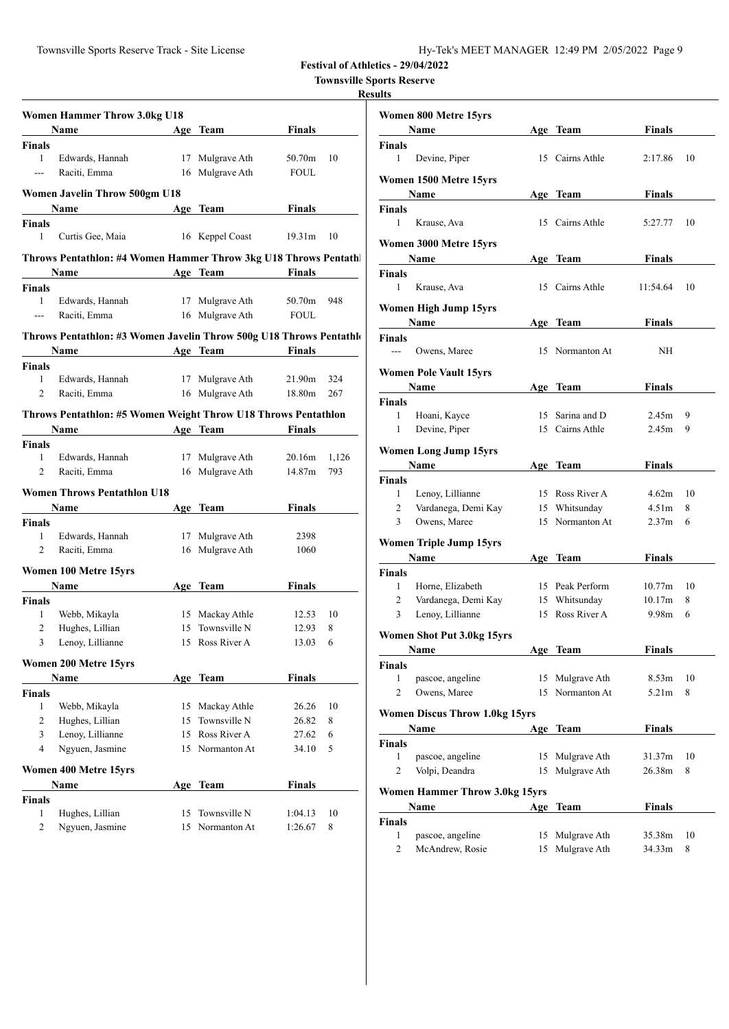| Hy-Tek's MEET MANAGER 12:49 PM 2/05/2022 Page 9 |  |  |  |  |
|-------------------------------------------------|--|--|--|--|
|-------------------------------------------------|--|--|--|--|

|                | Women Hammer Throw 3.0kg U18                                        |     |                 |                    |       |
|----------------|---------------------------------------------------------------------|-----|-----------------|--------------------|-------|
|                | Name                                                                |     | Age Team        | <b>Finals</b>      |       |
| Finals         |                                                                     |     |                 |                    |       |
| 1              | Edwards, Hannah                                                     | 17  | Mulgrave Ath    | 50.70m             | 10    |
| ---            | Raciti, Emma                                                        | 16  | Mulgrave Ath    | <b>FOUL</b>        |       |
|                | Women Javelin Throw 500gm U18                                       |     |                 |                    |       |
|                | Name                                                                |     | Age Team        | Finals             |       |
| Finals         |                                                                     |     |                 |                    |       |
| 1              | Curtis Gee, Maia                                                    |     | 16 Keppel Coast | 19.31 <sub>m</sub> | 10    |
|                |                                                                     |     |                 |                    |       |
|                | Throws Pentathlon: #4 Women Hammer Throw 3kg U18 Throws Pentath     |     |                 |                    |       |
|                | Name                                                                |     | Age Team        | Finals             |       |
| Finals         |                                                                     |     |                 |                    |       |
| 1              | Edwards, Hannah                                                     |     | 17 Mulgrave Ath | 50.70m             | 948   |
| $\overline{a}$ | Raciti, Emma                                                        |     | 16 Mulgrave Ath | <b>FOUL</b>        |       |
|                | Throws Pentathlon: #3 Women Javelin Throw 500g U18 Throws Pentathlo |     |                 |                    |       |
|                | Name                                                                |     | Age Team        | Finals             |       |
| Finals         |                                                                     |     |                 |                    |       |
| $\mathbf{1}$   | Edwards, Hannah                                                     | 17  | Mulgrave Ath    | 21.90m             | 324   |
| 2              | Raciti, Emma                                                        |     | 16 Mulgrave Ath | 18.80m             | 267   |
|                |                                                                     |     |                 |                    |       |
|                | Throws Pentathlon: #5 Women Weight Throw U18 Throws Pentathlon      |     |                 |                    |       |
|                | Name                                                                |     | Age Team        | Finals             |       |
| Finals         |                                                                     |     |                 |                    |       |
| 1              | Edwards, Hannah                                                     | 17  | Mulgrave Ath    | 20.16m             | 1,126 |
| 2              | Raciti, Emma                                                        |     | 16 Mulgrave Ath | 14.87m             | 793   |
|                | Women Throws Pentathlon U18                                         |     |                 |                    |       |
|                | Name                                                                |     | Age Team        | Finals             |       |
| Finals         |                                                                     |     |                 |                    |       |
| 1              | Edwards, Hannah                                                     |     | 17 Mulgrave Ath | 2398               |       |
| 2              | Raciti, Emma                                                        |     | 16 Mulgrave Ath | 1060               |       |
|                |                                                                     |     |                 |                    |       |
|                | Women 100 Metre 15yrs                                               |     |                 |                    |       |
|                | Name                                                                |     | Age Team        | Finals             |       |
| <b>Finals</b>  |                                                                     |     |                 |                    |       |
| 1              | Webb, Mikayla                                                       |     | 15 Mackay Athle | 12.53              | 10    |
| 2              | Hughes, Lillian                                                     | 15  | Townsville N    | 12.93              | 8     |
| 3              | Lenoy, Lillianne                                                    |     | 15 Ross River A | 13.03              | 6     |
|                | Women 200 Metre 15yrs                                               |     |                 |                    |       |
|                | Name                                                                |     | Age Team        | Finals             |       |
| Finals         |                                                                     |     |                 |                    |       |
| 1              | Webb, Mikayla                                                       | 15  | Mackay Athle    | 26.26              | 10    |
| $\mathbf{2}$   | Hughes, Lillian                                                     | 15  | Townsville N    | 26.82              | 8     |
| 3              | Lenoy, Lillianne                                                    | 15  | Ross River A    | 27.62              | 6     |
| 4              | Ngyuen, Jasmine                                                     | 15  | Normanton At    | 34.10              | 5     |
|                |                                                                     |     |                 |                    |       |
|                | Women 400 Metre 15yrs                                               |     |                 |                    |       |
|                | Name                                                                | Age | <b>Team</b>     | Finals             |       |
| Finals         |                                                                     |     |                 |                    |       |
| 1              | Hughes, Lillian                                                     | 15  | Townsville N    | 1:04.13            | 10    |
| 2              | Ngyuen, Jasmine                                                     | 15  | Normanton At    | 1:26.67            | 8     |

|                    | Women 800 Metre 15yrs                 |     |                                  |                                        |         |
|--------------------|---------------------------------------|-----|----------------------------------|----------------------------------------|---------|
|                    | Name                                  |     | Age Team                         | Finals                                 |         |
| <b>Finals</b>      |                                       |     |                                  |                                        |         |
| 1                  | Devine, Piper                         |     | 15 Cairns Athle                  | 2:17.86                                | 10      |
|                    | Women 1500 Metre 15yrs                |     |                                  |                                        |         |
|                    | <b>Name</b>                           |     | Age Team                         | Finals                                 |         |
| Finals             |                                       |     |                                  |                                        |         |
| $\mathbf{1}$       | Krause, Ava                           |     | 15 Cairns Athle                  | 5:27.77                                | 10      |
|                    | Women 3000 Metre 15yrs                |     |                                  |                                        |         |
|                    | Name                                  |     | Age Team                         | Finals                                 |         |
| Finals             |                                       |     |                                  |                                        |         |
| 1                  | Krause, Ava                           |     | 15 Cairns Athle                  | 11:54.64                               | 10      |
|                    | Women High Jump 15yrs                 |     |                                  |                                        |         |
|                    | Name                                  |     | Age Team                         | Finals                                 |         |
| Finals             |                                       |     |                                  |                                        |         |
|                    | Owens, Maree                          |     | 15 Normanton At                  | NH                                     |         |
|                    | <b>Women Pole Vault 15yrs</b>         |     |                                  |                                        |         |
|                    | Name                                  |     | Age Team                         | Finals                                 |         |
| Finals             |                                       |     |                                  |                                        |         |
| 1                  | Hoani, Kayce                          |     | 15 Sarina and D                  | 2.45m                                  | 9       |
| 1                  | Devine, Piper                         |     | 15 Cairns Athle                  | 2.45m                                  | 9       |
|                    |                                       |     |                                  |                                        |         |
|                    | <b>Women Long Jump 15yrs</b>          |     |                                  |                                        |         |
|                    | Name                                  |     | Age Team                         | Finals                                 |         |
| Finals             |                                       |     |                                  |                                        |         |
| 1                  | Lenoy, Lillianne                      |     | 15 Ross River A                  | 4.62m                                  | 10<br>8 |
| 2<br>3             | Vardanega, Demi Kay<br>Owens, Maree   |     | 15 Whitsunday<br>15 Normanton At | 4.51 <sub>m</sub><br>2.37 <sub>m</sub> | 6       |
|                    |                                       |     |                                  |                                        |         |
|                    | <b>Women Triple Jump 15yrs</b>        |     |                                  |                                        |         |
|                    | Name                                  |     | Age Team                         | Finals                                 |         |
| Finals             |                                       |     |                                  |                                        |         |
| 1                  | Horne, Elizabeth                      |     | 15 Peak Perform                  | 10.77m                                 | 10      |
| 2                  | Vardanega, Demi Kay                   |     | 15 Whitsunday                    | 10.17m                                 | 8       |
| 3                  | Lenoy, Lillianne                      |     | 15 Ross River A                  | 9.98m                                  | 6       |
|                    | Women Shot Put 3.0kg 15yrs            |     |                                  |                                        |         |
|                    | Name                                  |     | Age Team                         | <u>Finals</u>                          |         |
| <b>Finals</b>      |                                       |     |                                  |                                        |         |
| $\mathbf{1}$       | pascoe, angeline                      | 15  | Mulgrave Ath                     | 8.53m                                  | 10      |
| 2                  | Owens, Maree                          | 15  | Normanton At                     | 5.21m                                  | 8       |
|                    | <b>Women Discus Throw 1.0kg 15yrs</b> |     |                                  |                                        |         |
|                    | Name                                  |     | Age Team                         | <b>Finals</b>                          |         |
| <b>Finals</b>      |                                       |     |                                  |                                        |         |
| 1                  | pascoe, angeline                      | 15  | Mulgrave Ath                     | 31.37m                                 | 10      |
| $\overline{c}$     | Volpi, Deandra                        | 15  | Mulgrave Ath                     | 26.38m                                 | 8       |
|                    |                                       |     |                                  |                                        |         |
|                    | <b>Women Hammer Throw 3.0kg 15yrs</b> |     |                                  |                                        |         |
|                    | Name                                  | Age | Team                             | <b>Finals</b>                          |         |
| <b>Finals</b><br>1 | pascoe, angeline                      | 15  | Mulgrave Ath                     | 35.38m                                 | 10      |
| 2                  | McAndrew, Rosie                       | 15  | Mulgrave Ath                     | 34.33m                                 | 8       |
|                    |                                       |     |                                  |                                        |         |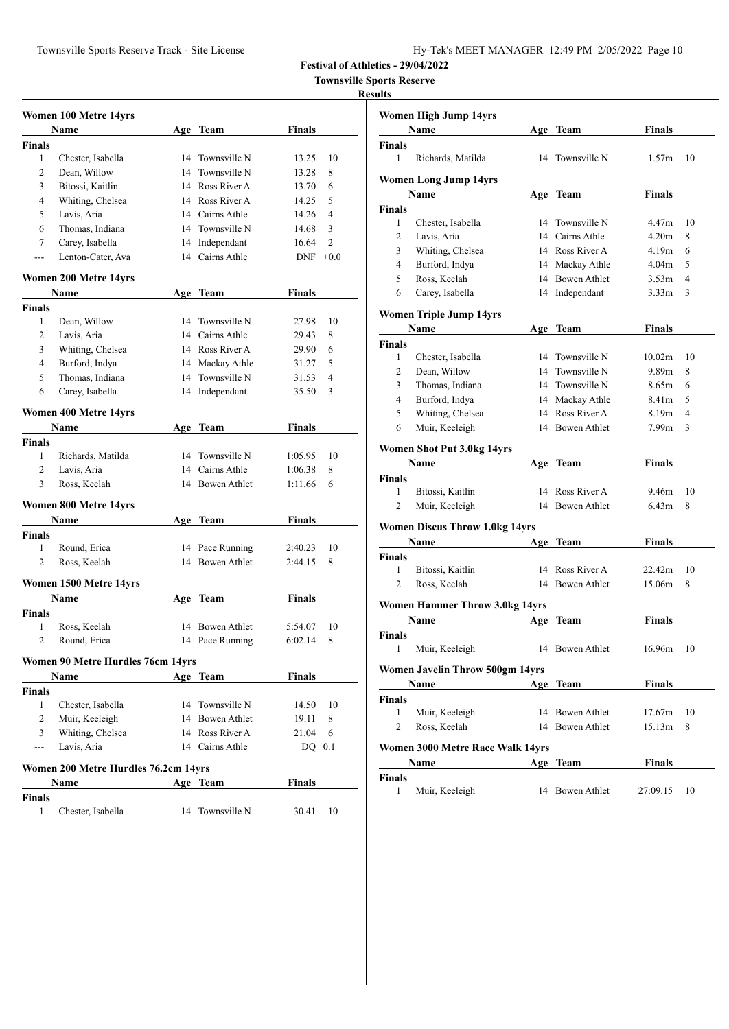| Hy-Tek's MEET MANAGER 12:49 PM 2/05/2022 Page 10 |  |  |  |  |
|--------------------------------------------------|--|--|--|--|
|--------------------------------------------------|--|--|--|--|

|                | Women 100 Metre 14yrs                        |    |                 |                    |                |
|----------------|----------------------------------------------|----|-----------------|--------------------|----------------|
|                | <b>Name</b>                                  |    | Age Team        | <b>Finals</b>      |                |
| <b>Finals</b>  |                                              |    |                 |                    |                |
| $\mathbf{1}$   | Chester, Isabella                            |    | 14 Townsville N | 13.25              | 10             |
| 2              | Dean, Willow                                 |    | 14 Townsville N | 13.28              | 8              |
| 3              | Bitossi, Kaitlin                             |    | 14 Ross River A | 13.70              | 6              |
| 4              | Whiting, Chelsea                             |    | 14 Ross River A | 14.25              | 5              |
| 5              | Lavis, Aria                                  |    | 14 Cairns Athle | 14.26              | $\overline{4}$ |
| 6              | Thomas, Indiana                              |    | 14 Townsville N | 14.68              | 3              |
| 7              | Carey, Isabella                              |    | 14 Independant  | 16.64              | $\overline{2}$ |
| ---            | Lenton-Cater, Ava                            |    | 14 Cairns Athle | <b>DNF</b>         | $+0.0$         |
|                | Women 200 Metre 14yrs                        |    |                 |                    |                |
|                | Name                                         |    | Age Team        | <b>Finals</b>      |                |
| <b>Finals</b>  |                                              |    |                 |                    |                |
| 1              | Dean, Willow                                 |    | 14 Townsville N | 27.98              | 10             |
| 2              | Lavis, Aria                                  |    | 14 Cairns Athle | 29.43              | 8              |
| 3              | Whiting, Chelsea                             |    | 14 Ross River A | 29.90              | 6              |
| $\overline{4}$ | Burford, Indya                               |    | 14 Mackay Athle | 31.27              | 5              |
| 5              | Thomas, Indiana                              |    | 14 Townsville N | 31.53              | 4              |
| 6              | Carey, Isabella                              | 14 | Independant     | 35.50              | 3              |
|                |                                              |    |                 |                    |                |
|                | Women 400 Metre 14yrs                        |    |                 |                    |                |
|                | Name                                         |    | Age Team        | <b>Finals</b>      |                |
| Finals         |                                              |    |                 |                    |                |
| 1              | Richards, Matilda                            |    | 14 Townsville N | 1:05.95            | 10             |
| 2              | Lavis, Aria                                  |    | 14 Cairns Athle | 1:06.38            | 8              |
| 3              | Ross, Keelah                                 |    | 14 Bowen Athlet | 1:11.66            | 6              |
|                | Women 800 Metre 14yrs                        |    |                 |                    |                |
|                | Name                                         |    | Age Team        | Finals             |                |
| Finals         |                                              |    |                 |                    |                |
| $\mathbf{1}$   | Round, Erica                                 | 14 | Pace Running    | 2:40.23            | 10             |
| 2              | Ross, Keelah                                 | 14 | Bowen Athlet    | 2:44.15            | 8              |
|                |                                              |    |                 |                    |                |
|                | Women 1500 Metre 14yrs                       |    |                 |                    |                |
|                | Name                                         |    | Age Team        | <b>Finals</b>      |                |
| <b>Finals</b>  |                                              |    |                 |                    |                |
| 1<br>2         | Ross, Keelah<br>Round, Erica                 |    | 14 Bowen Athlet | 5:54.07<br>6:02.14 | 10<br>8        |
|                |                                              |    | 14 Pace Running |                    |                |
|                | <b>Women 90 Metre Hurdles 76cm 14yrs</b>     |    |                 |                    |                |
|                | Name                                         |    | Age Team        | Finals             |                |
| Finals         |                                              |    |                 |                    |                |
| 1              | Chester, Isabella                            |    | 14 Townsville N | 14.50              | 10             |
| 2              | Muir, Keeleigh                               |    | 14 Bowen Athlet | 19.11              | 8              |
| 3              | Whiting, Chelsea                             |    | 14 Ross River A | 21.04              | 6              |
| $\cdots$       | Lavis, Aria                                  |    | 14 Cairns Athle | DQ                 | 0.1            |
|                |                                              |    |                 |                    |                |
|                | Women 200 Metre Hurdles 76.2cm 14yrs<br>Name |    |                 | <b>Finals</b>      |                |
|                |                                              |    | Age Team        |                    |                |
| Finals<br>1    | Chester, Isabella                            | 14 | Townsville N    | 30.41              | 10             |
|                |                                              |    |                 |                    |                |

|                | Women High Jump 14yrs                    |     |                 |                   |                |
|----------------|------------------------------------------|-----|-----------------|-------------------|----------------|
|                | Name                                     |     | Age Team        | Finals            |                |
| Finals         |                                          |     |                 |                   |                |
| 1              | Richards, Matilda                        | 14  | Townsville N    | 1.57m             | 10             |
|                | <b>Women Long Jump 14yrs</b>             |     |                 |                   |                |
|                | Name                                     |     | Age Team        | Finals            |                |
| <b>Finals</b>  |                                          |     |                 |                   |                |
| 1              | Chester, Isabella                        |     | 14 Townsville N | 4.47m             | 10             |
| 2              | Lavis, Aria                              |     | 14 Cairns Athle | 4.20m             | 8              |
| 3              | Whiting, Chelsea                         |     | 14 Ross River A | 4.19 <sub>m</sub> | 6              |
| 4              | Burford, Indya                           |     | 14 Mackay Athle | 4.04 <sub>m</sub> | 5              |
| 5              | Ross, Keelah                             |     | 14 Bowen Athlet | 3.53m             | $\overline{4}$ |
| 6              | Carey, Isabella                          |     | 14 Independant  | 3.33 <sub>m</sub> | 3              |
|                | <b>Women Triple Jump 14yrs</b>           |     |                 |                   |                |
|                | Name                                     |     | Age Team        | Finals            |                |
| <b>Finals</b>  |                                          |     |                 |                   |                |
| 1              | Chester, Isabella                        |     | 14 Townsville N | 10.02m            | 10             |
| 2              | Dean, Willow                             |     | 14 Townsville N | 9.89m             | 8              |
| 3              | Thomas, Indiana                          |     | 14 Townsville N | 8.65m             | 6              |
| 4              | Burford, Indya                           |     | 14 Mackay Athle | 8.41m             | 5              |
| 5              | Whiting, Chelsea                         |     | 14 Ross River A | 8.19m             | 4              |
| 6              | Muir, Keeleigh                           |     | 14 Bowen Athlet | 7.99m             | 3              |
|                | Women Shot Put 3.0kg 14yrs               |     |                 |                   |                |
|                | Name                                     |     | Age Team        | Finals            |                |
| Finals         |                                          |     |                 |                   |                |
| 1              | Bitossi, Kaitlin                         |     | 14 Ross River A | 9.46m             | 10             |
| $\overline{c}$ | Muir, Keeleigh                           |     | 14 Bowen Athlet | 6.43 <sub>m</sub> | 8              |
|                | <b>Women Discus Throw 1.0kg 14yrs</b>    |     |                 |                   |                |
|                | Name                                     |     | Age Team        | Finals            |                |
| Finals         |                                          |     |                 |                   |                |
| 1              | Bitossi, Kaitlin                         |     | 14 Ross River A | 22.42m            | 10             |
| 2              | Ross, Keelah                             |     | 14 Bowen Athlet | 15.06m            | 8              |
|                | <b>Women Hammer Throw 3.0kg 14yrs</b>    |     |                 |                   |                |
|                | Name                                     |     |                 | Finals            |                |
|                |                                          | Age | Team            |                   |                |
| Finals<br>1    | Muir, Keeleigh                           |     | 14 Bowen Athlet | 16.96m            | 10             |
|                | Women Javelin Throw 500gm 14yrs          |     |                 |                   |                |
|                | Name                                     |     | Age Team        | <b>Finals</b>     |                |
| Finals         |                                          |     |                 |                   |                |
| 1              | Muir, Keeleigh                           |     | 14 Bowen Athlet | 17.67m            | 10             |
| 2              | Ross, Keelah                             | 14  | Bowen Athlet    | 15.13m            | 8              |
|                |                                          |     |                 |                   |                |
|                | Women 3000 Metre Race Walk 14yrs<br>Name | Age | Team            | <b>Finals</b>     |                |
|                |                                          |     |                 |                   |                |
| Finals<br>1    | Muir, Keeleigh                           | 14  | Bowen Athlet    | 27:09.15          | 10             |
|                |                                          |     |                 |                   |                |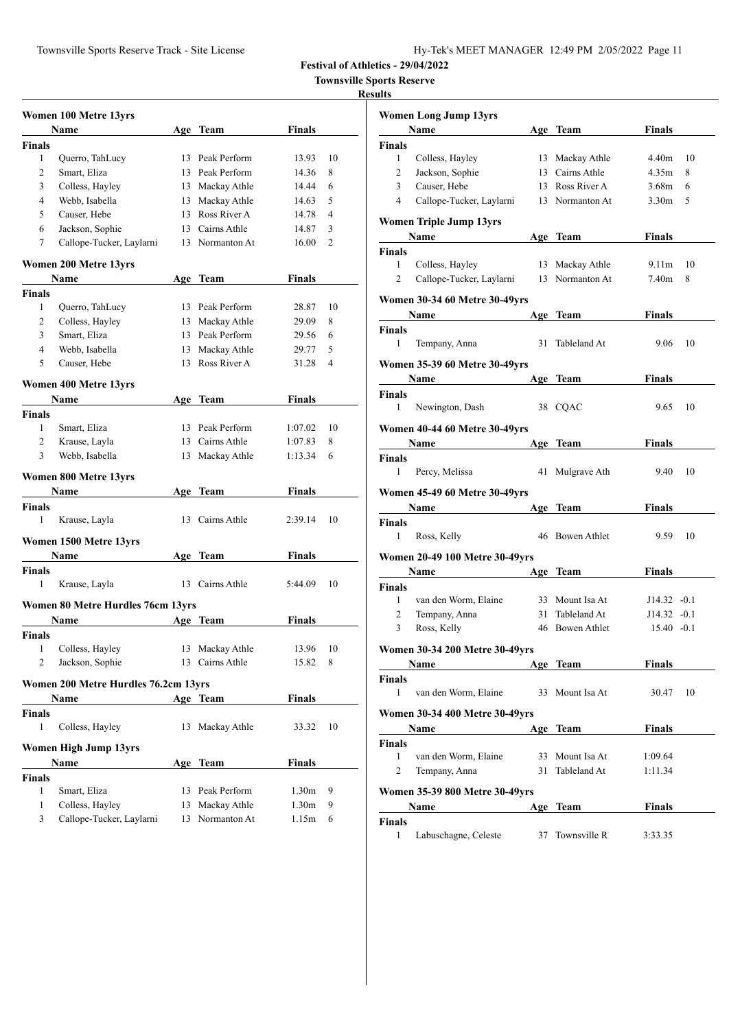| Hy-Tek's MEET MANAGER 12:49 PM 2/05/2022 Page 11 |  |  |  |
|--------------------------------------------------|--|--|--|
|--------------------------------------------------|--|--|--|

|               | Women 100 Metre 13yrs                    |    |                 |                   |    |
|---------------|------------------------------------------|----|-----------------|-------------------|----|
|               | Name                                     |    | Age Team        | Finals            |    |
| Finals        |                                          |    |                 |                   |    |
| 1             | Querro, TahLucy                          |    | 13 Peak Perform | 13.93             | 10 |
| 2             | Smart, Eliza                             |    | 13 Peak Perform | 14.36             | 8  |
| 3             | Colless, Hayley                          |    | 13 Mackay Athle | 14.44             | 6  |
| 4             | Webb, Isabella                           |    | 13 Mackay Athle | 14.63             | 5  |
| 5             | Causer, Hebe                             |    | 13 Ross River A | 14.78             | 4  |
| 6             | Jackson, Sophie                          |    | 13 Cairns Athle | 14.87             | 3  |
| 7             | Callope-Tucker, Laylarni                 |    | 13 Normanton At | 16.00             | 2  |
|               | <b>Women 200 Metre 13yrs</b>             |    |                 |                   |    |
|               | Name                                     |    | Age Team        | Finals            |    |
| <b>Finals</b> |                                          |    |                 |                   |    |
| 1             | Querro, TahLucy                          |    | 13 Peak Perform | 28.87             | 10 |
| 2             | Colless, Hayley                          |    | 13 Mackay Athle | 29.09             | 8  |
| 3             | Smart, Eliza                             |    | 13 Peak Perform | 29.56             | 6  |
| 4             | Webb, Isabella                           |    | 13 Mackay Athle | 29.77             | 5  |
| 5             | Causer, Hebe                             |    | 13 Ross River A | 31.28             | 4  |
|               | Women 400 Metre 13yrs                    |    |                 |                   |    |
|               | Name                                     |    | Age Team        | <b>Finals</b>     |    |
| <b>Finals</b> |                                          |    |                 |                   |    |
| 1             | Smart, Eliza                             |    | 13 Peak Perform | 1:07.02           | 10 |
| 2             | Krause, Layla                            |    | 13 Cairns Athle | 1:07.83           | 8  |
| 3             | Webb, Isabella                           |    | 13 Mackay Athle | 1:13.34           | 6  |
|               |                                          |    |                 |                   |    |
|               | Women 800 Metre 13yrs                    |    |                 |                   |    |
|               | <b>Name</b>                              |    | Age Team        | Finals            |    |
| <b>Finals</b> |                                          |    |                 |                   |    |
| 1             | Krause, Layla                            |    | 13 Cairns Athle | 2:39.14           | 10 |
|               | Women 1500 Metre 13yrs                   |    |                 |                   |    |
|               | Name                                     |    | Age Team        | <b>Finals</b>     |    |
| Finals        |                                          |    |                 |                   |    |
| 1             | Krause, Layla                            |    | 13 Cairns Athle | 5:44.09           | 10 |
|               | <b>Women 80 Metre Hurdles 76cm 13yrs</b> |    |                 |                   |    |
|               | Name                                     |    | Age Team        | Finals            |    |
| Finals        |                                          |    |                 |                   |    |
|               | 1 Colless, Hayley                        |    | 13 Mackay Athle | 13.96 10          |    |
| 2             | Jackson, Sophie                          |    | 13 Cairns Athle | 15.82             | 8  |
|               | Women 200 Metre Hurdles 76.2cm 13yrs     |    |                 |                   |    |
|               | Name                                     |    | Age Team        | <b>Finals</b>     |    |
| Finals        |                                          |    |                 |                   |    |
| 1             | Colless, Hayley                          | 13 | Mackay Athle    | 33.32             | 10 |
|               |                                          |    |                 |                   |    |
|               | <b>Women High Jump 13yrs</b><br>Name     |    | Age Team        | <b>Finals</b>     |    |
| <b>Finals</b> |                                          |    |                 |                   |    |
| 1             | Smart, Eliza                             | 13 | Peak Perform    | 1.30 <sub>m</sub> | 9  |
| $\mathbf{1}$  | Colless, Hayley                          | 13 | Mackay Athle    | 1.30 <sub>m</sub> | 9  |
| 3             | Callope-Tucker, Laylarni                 | 13 | Normanton At    | 1.15m             | 6  |
|               |                                          |    |                 |                   |    |

|                         | <b>Women Long Jump 13yrs</b>          |    |                 |                   |    |  |  |  |
|-------------------------|---------------------------------------|----|-----------------|-------------------|----|--|--|--|
|                         | Name                                  |    | Age Team        | Finals            |    |  |  |  |
| Finals                  |                                       |    |                 |                   |    |  |  |  |
| 1                       | Colless, Hayley                       |    | 13 Mackay Athle | 4.40m             | 10 |  |  |  |
| 2                       | Jackson, Sophie                       |    | 13 Cairns Athle | 4.35m             | 8  |  |  |  |
| 3                       | Causer, Hebe                          |    | 13 Ross River A | 3.68 <sub>m</sub> | 6  |  |  |  |
| 4                       | Callope-Tucker, Laylarni              |    | 13 Normanton At | 3.30 <sub>m</sub> | 5  |  |  |  |
| Women Triple Jump 13yrs |                                       |    |                 |                   |    |  |  |  |
|                         | Name                                  |    | Age Team        | Finals            |    |  |  |  |
| <b>Finals</b>           |                                       |    |                 |                   |    |  |  |  |
| 1                       | Colless, Hayley                       | 13 | Mackay Athle    | 9.11m             | 10 |  |  |  |
| 2                       | Callope-Tucker, Laylarni              | 13 | Normanton At    | 7.40m             | 8  |  |  |  |
|                         |                                       |    |                 |                   |    |  |  |  |
|                         | <b>Women 30-34 60 Metre 30-49yrs</b>  |    |                 |                   |    |  |  |  |
|                         | Name                                  |    | Age Team        | Finals            |    |  |  |  |
| Finals                  |                                       |    |                 |                   |    |  |  |  |
| 1                       | Tempany, Anna                         | 31 | Tableland At    | 9.06              | 10 |  |  |  |
|                         | <b>Women 35-39 60 Metre 30-49yrs</b>  |    |                 |                   |    |  |  |  |
|                         | Name                                  |    | Age Team        | Finals            |    |  |  |  |
| Finals                  |                                       |    |                 |                   |    |  |  |  |
| 1                       | Newington, Dash                       |    | 38 CQAC         | 9.65              | 10 |  |  |  |
|                         |                                       |    |                 |                   |    |  |  |  |
|                         | <b>Women 40-44 60 Metre 30-49yrs</b>  |    |                 |                   |    |  |  |  |
|                         | Name                                  |    | <b>Age</b> Team | <b>Finals</b>     |    |  |  |  |
| Finals                  |                                       |    |                 |                   |    |  |  |  |
| 1                       | Percy, Melissa                        | 41 | Mulgrave Ath    | 9.40              | 10 |  |  |  |
|                         | <b>Women 45-49 60 Metre 30-49yrs</b>  |    |                 |                   |    |  |  |  |
|                         | Name                                  |    | Age Team        | Finals            |    |  |  |  |
| Finals                  |                                       |    |                 |                   |    |  |  |  |
| 1                       | Ross, Kelly                           |    | 46 Bowen Athlet | 9.59              | 10 |  |  |  |
|                         | <b>Women 20-49 100 Metre 30-49yrs</b> |    |                 |                   |    |  |  |  |
|                         | Name                                  |    | Age Team        | Finals            |    |  |  |  |
| Finals                  |                                       |    |                 |                   |    |  |  |  |
| 1                       | van den Worm, Elaine                  |    | 33 Mount Isa At | $J14.32 -0.1$     |    |  |  |  |
| 2                       | Tempany, Anna                         | 31 | Tableland At    | $J14.32 -0.1$     |    |  |  |  |
| 3                       | Ross, Kelly                           |    | 46 Bowen Athlet | $15.40 -0.1$      |    |  |  |  |
|                         |                                       |    |                 |                   |    |  |  |  |
|                         | Women 30-34 200 Metre 30-49yrs        |    |                 |                   |    |  |  |  |
|                         | Name                                  |    | Age Team        | <b>Finals</b>     |    |  |  |  |
| <b>Finals</b>           |                                       |    |                 |                   |    |  |  |  |
| 1                       | van den Worm, Elaine                  |    | 33 Mount Isa At | 30.47             | 10 |  |  |  |
|                         | Women 30-34 400 Metre 30-49yrs        |    |                 |                   |    |  |  |  |
|                         | Name                                  |    | Age Team        | <b>Finals</b>     |    |  |  |  |
| Finals                  |                                       |    |                 |                   |    |  |  |  |
| 1                       | van den Worm, Elaine                  |    | 33 Mount Isa At | 1:09.64           |    |  |  |  |
| 2                       | Tempany, Anna                         | 31 | Tableland At    | 1:11.34           |    |  |  |  |
|                         | Women 35-39 800 Metre 30-49yrs        |    |                 |                   |    |  |  |  |
|                         | Name                                  |    | Age Team        | Finals            |    |  |  |  |
|                         |                                       |    |                 |                   |    |  |  |  |
| Finals<br>1             | Labuschagne, Celeste                  |    | 37 Townsville R | 3:33.35           |    |  |  |  |
|                         |                                       |    |                 |                   |    |  |  |  |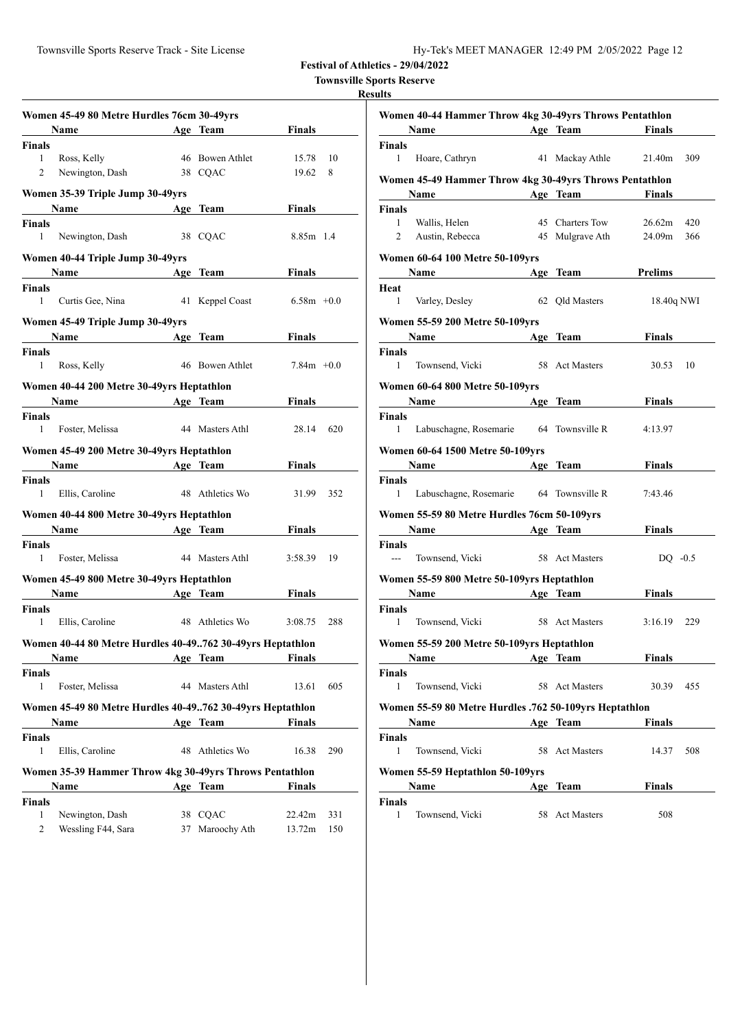|               | Women 45-49 80 Metre Hurdles 76cm 30-49yrs                |    |                 |               |     |
|---------------|-----------------------------------------------------------|----|-----------------|---------------|-----|
|               | Name<br><b>Example 2</b> Age Team                         |    |                 | Finals        |     |
| Finals        |                                                           |    |                 |               |     |
| 1             | Ross, Kelly                                               |    | 46 Bowen Athlet | 15.78         | 10  |
| 2             | Newington, Dash                                           |    | 38 CQAC         | 19.62         | 8   |
|               | Women 35-39 Triple Jump 30-49yrs                          |    |                 |               |     |
|               | <b>Name</b>                                               |    | Age Team        | Finals        |     |
| Finals<br>1   | Newington, Dash                                           |    | 38 CQAC         | 8.85m 1.4     |     |
|               | Women 40-44 Triple Jump 30-49yrs                          |    |                 |               |     |
|               | Name<br>the control of the control of the control of      |    | Age Team        | Finals        |     |
| Finals<br>1   | Curtis Gee, Nina                                          |    | 41 Keppel Coast | $6.58m + 0.0$ |     |
|               | Women 45-49 Triple Jump 30-49yrs                          |    |                 |               |     |
|               | Name Age Team                                             |    |                 | Finals        |     |
| Finals        |                                                           |    |                 |               |     |
| 1             | Ross, Kelly                                               |    | 46 Bowen Athlet | 7.84 $m$ +0.0 |     |
|               | Women 40-44 200 Metre 30-49yrs Heptathlon                 |    |                 |               |     |
|               | Name Age Team                                             |    |                 | Finals        |     |
| Finals        |                                                           |    |                 |               |     |
| 1             | Foster, Melissa                                           |    | 44 Masters Athl | 28.14         | 620 |
|               | Women 45-49 200 Metre 30-49yrs Heptathlon                 |    |                 |               |     |
|               | Name                                                      |    | Age Team        | Finals        |     |
| Finals        |                                                           |    |                 |               |     |
| 1             | Ellis, Caroline                                           |    | 48 Athletics Wo | 31.99         | 352 |
|               | Women 40-44 800 Metre 30-49yrs Heptathlon                 |    |                 |               |     |
|               | Name<br><b>Example 2</b> Age Team                         |    |                 | Finals        |     |
| Finals        |                                                           |    |                 |               |     |
| 1             | Foster, Melissa                                           |    | 44 Masters Athl | 3:58.39       | 19  |
|               |                                                           |    |                 |               |     |
|               | Women 45-49 800 Metre 30-49yrs Heptathlon                 |    |                 |               |     |
|               | <b>Age Team</b><br>Name                                   |    |                 | Finals        |     |
| Finals<br>1   | Ellis, Caroline                                           |    | 48 Athletics Wo | 3:08.75       | 288 |
|               | Women 40-44 80 Metre Hurdles 40-49762 30-49yrs Heptathlon |    |                 |               |     |
|               | Name                                                      |    | Age Team        | <b>Finals</b> |     |
| Finals        |                                                           |    |                 |               |     |
| 1             | Foster, Melissa                                           |    | 44 Masters Athl | 13.61         | 605 |
|               | Women 45-49 80 Metre Hurdles 40-49762 30-49yrs Heptathlon |    |                 |               |     |
|               | Name                                                      |    | Age Team        | Finals        |     |
| Finals<br>1   | Ellis, Caroline                                           | 48 | Athletics Wo    | 16.38         | 290 |
|               |                                                           |    |                 |               |     |
|               | Women 35-39 Hammer Throw 4kg 30-49yrs Throws Pentathlon   |    |                 |               |     |
|               | Name                                                      |    | Age Team        | <b>Finals</b> |     |
| <b>Finals</b> |                                                           |    |                 |               |     |
| $\mathbf{1}$  | Newington, Dash                                           | 38 | CQAC            | 22.42m        | 331 |
| 2             | Wessling F44, Sara                                        | 37 | Maroochy Ath    | 13.72m        | 150 |

| Women 40-44 Hammer Throw 4kg 30-49yrs Throws Pentathlon                                                                                                                                                                       |     |                 |                |     |  |  |
|-------------------------------------------------------------------------------------------------------------------------------------------------------------------------------------------------------------------------------|-----|-----------------|----------------|-----|--|--|
| Name and the same state of the state of the state of the state of the state of the state of the state of the state of the state of the state of the state of the state of the state of the state of the state of the state of |     | Age Team        | <b>Finals</b>  |     |  |  |
| Finals                                                                                                                                                                                                                        |     |                 |                |     |  |  |
| 1<br>Hoare, Cathryn                                                                                                                                                                                                           |     | 41 Mackay Athle | 21.40m         | 309 |  |  |
| Women 45-49 Hammer Throw 4kg 30-49yrs Throws Pentathlon                                                                                                                                                                       |     |                 |                |     |  |  |
| Name Age Team Finals                                                                                                                                                                                                          |     |                 |                |     |  |  |
| Finals                                                                                                                                                                                                                        |     |                 |                |     |  |  |
| 1<br>Wallis, Helen                                                                                                                                                                                                            |     | 45 Charters Tow | 26.62m         | 420 |  |  |
| 2<br>Austin, Rebecca                                                                                                                                                                                                          |     | 45 Mulgrave Ath | 24.09m         | 366 |  |  |
|                                                                                                                                                                                                                               |     |                 |                |     |  |  |
| Women 60-64 100 Metre 50-109yrs                                                                                                                                                                                               |     |                 |                |     |  |  |
| Name and the same state of the state of the state of the state of the state of the state of the state of the state of the state of the state of the state of the state of the state of the state of the state of the state of |     | Age Team        | <b>Prelims</b> |     |  |  |
| Heat                                                                                                                                                                                                                          |     |                 |                |     |  |  |
| 1<br>Varley, Desley                                                                                                                                                                                                           |     | 62 Qld Masters  | 18.40q NWI     |     |  |  |
|                                                                                                                                                                                                                               |     |                 |                |     |  |  |
| Women 55-59 200 Metre 50-109yrs                                                                                                                                                                                               |     |                 |                |     |  |  |
| Name                                                                                                                                                                                                                          |     | Age Team        | Finals         |     |  |  |
| Finals                                                                                                                                                                                                                        |     |                 |                |     |  |  |
| 1<br>Townsend, Vicki                                                                                                                                                                                                          |     | 58 Act Masters  | 30.53          | 10  |  |  |
|                                                                                                                                                                                                                               |     |                 |                |     |  |  |
| Women 60-64 800 Metre 50-109yrs                                                                                                                                                                                               |     |                 |                |     |  |  |
| Name Age Team                                                                                                                                                                                                                 |     |                 | Finals         |     |  |  |
| Finals                                                                                                                                                                                                                        |     |                 |                |     |  |  |
| Labuschagne, Rosemarie 64 Townsville R<br>1                                                                                                                                                                                   |     |                 | 4:13.97        |     |  |  |
| Women 60-64 1500 Metre 50-109yrs                                                                                                                                                                                              |     |                 |                |     |  |  |
|                                                                                                                                                                                                                               |     |                 | Finals         |     |  |  |
| Name Age Team                                                                                                                                                                                                                 |     |                 |                |     |  |  |
| Finals<br>Labuschagne, Rosemarie 64 Townsville R<br>1                                                                                                                                                                         |     |                 | 7:43.46        |     |  |  |
| Women 55-59 80 Metre Hurdles 76cm 50-109yrs                                                                                                                                                                                   |     |                 |                |     |  |  |
|                                                                                                                                                                                                                               |     | Age Team        | <b>Finals</b>  |     |  |  |
|                                                                                                                                                                                                                               |     |                 |                |     |  |  |
| Finals<br>Townsend, Vicki                                                                                                                                                                                                     |     | 58 Act Masters  | $DQ - 0.5$     |     |  |  |
| Women 55-59 800 Metre 50-109yrs Heptathlon                                                                                                                                                                                    |     |                 |                |     |  |  |
|                                                                                                                                                                                                                               |     | Age Team        | Finals         |     |  |  |
| Finals                                                                                                                                                                                                                        |     |                 |                |     |  |  |
| 1<br>Townsend, Vicki                                                                                                                                                                                                          |     | 58 Act Masters  | 3:16.19        | 229 |  |  |
| Women 55-59 200 Metre 50-109yrs Heptathlon                                                                                                                                                                                    |     |                 |                |     |  |  |
|                                                                                                                                                                                                                               |     |                 |                |     |  |  |
| Name                                                                                                                                                                                                                          | Age | <b>Team</b>     | <b>Finals</b>  |     |  |  |
| <b>Finals</b><br>1<br>Townsend, Vicki                                                                                                                                                                                         |     | 58 Act Masters  | 30.39          | 455 |  |  |
|                                                                                                                                                                                                                               |     |                 |                |     |  |  |
| Women 55-59 80 Metre Hurdles .762 50-109yrs Heptathlon                                                                                                                                                                        |     |                 |                |     |  |  |
| Name                                                                                                                                                                                                                          |     | Age Team        | Finals         |     |  |  |
| Finals                                                                                                                                                                                                                        |     |                 |                |     |  |  |
| 1<br>Townsend, Vicki                                                                                                                                                                                                          |     | 58 Act Masters  | 14.37          | 508 |  |  |
| Women 55-59 Heptathlon 50-109yrs                                                                                                                                                                                              |     |                 |                |     |  |  |
| Name                                                                                                                                                                                                                          | Age | Team            | <b>Finals</b>  |     |  |  |
|                                                                                                                                                                                                                               |     |                 |                |     |  |  |
| Finals                                                                                                                                                                                                                        |     |                 |                |     |  |  |
| 1<br>Townsend, Vicki                                                                                                                                                                                                          |     | 58 Act Masters  | 508            |     |  |  |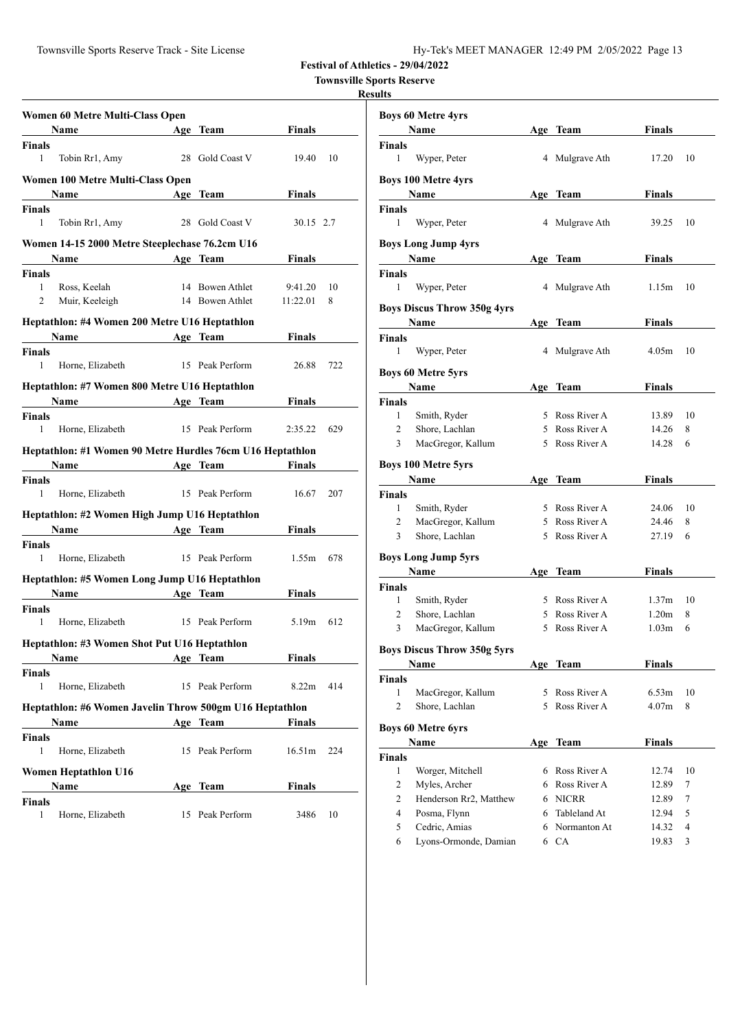| Women 60 Metre Multi-Class Open                |                                                           |     |                 |                    |     |  |  |
|------------------------------------------------|-----------------------------------------------------------|-----|-----------------|--------------------|-----|--|--|
|                                                | Name<br><b>Example 2</b> Age Team                         |     |                 | <b>Finals</b>      |     |  |  |
| Finals                                         |                                                           |     |                 |                    |     |  |  |
| 1                                              | Tobin Rr1, Amy                                            | 28  | Gold Coast V    | 19.40              | 10  |  |  |
|                                                | Women 100 Metre Multi-Class Open                          |     |                 |                    |     |  |  |
|                                                | Name                                                      |     | Age Team        | Finals             |     |  |  |
| Finals<br>1                                    | Tobin Rr1, Amy                                            |     | 28 Gold Coast V | 30.15 2.7          |     |  |  |
| Women 14-15 2000 Metre Steeplechase 76.2cm U16 |                                                           |     |                 |                    |     |  |  |
|                                                | Name                                                      |     | Age Team        | Finals             |     |  |  |
| Finals                                         |                                                           |     |                 |                    |     |  |  |
| 1                                              | Ross, Keelah                                              |     | 14 Bowen Athlet | 9:41.20            | 10  |  |  |
| 2                                              | Muir, Keeleigh                                            |     | 14 Bowen Athlet | 11:22.01           | 8   |  |  |
|                                                | Heptathlon: #4 Women 200 Metre U16 Heptathlon             |     |                 |                    |     |  |  |
|                                                | Name<br><b>Example 2</b> Age Team                         |     |                 | Finals             |     |  |  |
| Finals                                         |                                                           |     |                 |                    |     |  |  |
| 1                                              | Horne, Elizabeth                                          |     | 15 Peak Perform | 26.88              | 722 |  |  |
|                                                | Heptathlon: #7 Women 800 Metre U16 Heptathlon             |     |                 |                    |     |  |  |
|                                                | <b>Example 2</b> Age Team<br><b>Name</b>                  |     |                 | <b>Finals</b>      |     |  |  |
| <b>Finals</b>                                  |                                                           |     |                 |                    |     |  |  |
| 1                                              | Horne, Elizabeth                                          |     | 15 Peak Perform | 2:35.22            | 629 |  |  |
|                                                | Heptathlon: #1 Women 90 Metre Hurdles 76cm U16 Heptathlon |     |                 |                    |     |  |  |
|                                                | Name<br><b>Example 2</b> Age Team                         |     |                 | Finals             |     |  |  |
| Finals                                         |                                                           |     |                 |                    |     |  |  |
| 1                                              | Horne, Elizabeth                                          |     | 15 Peak Perform | 16.67              | 207 |  |  |
|                                                | Heptathlon: #2 Women High Jump U16 Heptathlon             |     |                 |                    |     |  |  |
|                                                | <b>Example 2</b> Age Team<br>Name                         |     |                 | Finals             |     |  |  |
| Finals<br>1                                    | Horne, Elizabeth                                          |     | 15 Peak Perform | 1.55m              | 678 |  |  |
|                                                | Heptathlon: #5 Women Long Jump U16 Heptathlon             |     |                 |                    |     |  |  |
|                                                | Name<br><b>Example 2</b> Age Team                         |     |                 | Finals             |     |  |  |
| Finals                                         |                                                           |     |                 |                    |     |  |  |
| 1                                              | Horne, Elizabeth                                          |     | 15 Peak Perform | 5.19m              | 612 |  |  |
|                                                | Heptathlon: #3 Women Shot Put U16 Heptathlon              |     |                 |                    |     |  |  |
|                                                | Name                                                      |     | Age Team        | Finals             |     |  |  |
| Finals                                         |                                                           |     |                 |                    |     |  |  |
| 1                                              | Horne, Elizabeth                                          |     | 15 Peak Perform | 8.22m              | 414 |  |  |
|                                                | Heptathlon: #6 Women Javelin Throw 500gm U16 Heptathlon   |     |                 |                    |     |  |  |
|                                                | Name                                                      |     | Age Team        | Finals             |     |  |  |
| Finals<br>1                                    | Horne, Elizabeth                                          |     | 15 Peak Perform | 16.51 <sub>m</sub> | 224 |  |  |
|                                                | Women Heptathlon U16                                      |     |                 |                    |     |  |  |
|                                                | Name                                                      | Age | Team            | <b>Finals</b>      |     |  |  |
| Finals                                         |                                                           |     |                 |                    |     |  |  |
| 1                                              | Horne, Elizabeth                                          |     | 15 Peak Perform | 3486               | 10  |  |  |

|                    | <b>Boys 60 Metre 4yrs</b>                  |   |                |                   |    |
|--------------------|--------------------------------------------|---|----------------|-------------------|----|
|                    | Name                                       |   | Age Team       | Finals            |    |
| Finals             |                                            |   |                |                   |    |
| 1                  | Wyper, Peter                               |   | 4 Mulgrave Ath | 17.20             | 10 |
|                    | <b>Boys 100 Metre 4yrs</b>                 |   |                |                   |    |
|                    | Name                                       |   | Age Team       | Finals            |    |
| Finals             |                                            |   |                |                   |    |
| 1                  | Wyper, Peter                               |   | 4 Mulgrave Ath | 39.25             | 10 |
|                    | <b>Boys Long Jump 4yrs</b>                 |   |                |                   |    |
|                    | Name                                       |   | Age Team       | Finals            |    |
| <b>Finals</b><br>1 | Wyper, Peter                               |   | 4 Mulgrave Ath | 1.15m             | 10 |
|                    | <b>Boys Discus Throw 350g 4yrs</b>         |   |                |                   |    |
|                    | Name                                       |   | Age Team       | Finals            |    |
| Finals             |                                            |   |                |                   |    |
| 1                  | Wyper, Peter                               |   | 4 Mulgrave Ath | 4.05m             | 10 |
|                    | <b>Boys 60 Metre 5yrs</b>                  |   |                |                   |    |
|                    | Name                                       |   | Age Team       | Finals            |    |
| Finals             |                                            |   |                |                   |    |
| $\mathbf{1}$       | Smith, Ryder                               |   | 5 Ross River A | 13.89             | 10 |
| 2                  | Shore, Lachlan                             |   | 5 Ross River A | 14.26             | 8  |
| 3                  | MacGregor, Kallum                          |   | 5 Ross River A | 14.28             | 6  |
|                    | <b>Boys 100 Metre 5yrs</b>                 |   |                |                   |    |
|                    | <b>Name</b>                                |   | Age Team       | <b>Finals</b>     |    |
| Finals             |                                            |   |                |                   |    |
| 1                  | Smith, Ryder                               |   | 5 Ross River A | 24.06             | 10 |
| 2                  | MacGregor, Kallum                          |   | 5 Ross River A | 24.46             | 8  |
| 3                  | Shore, Lachlan                             |   | 5 Ross River A | 27.19             | 6  |
|                    | <b>Boys Long Jump 5yrs</b>                 |   |                |                   |    |
|                    | Name                                       |   | Age Team       | <b>Finals</b>     |    |
| Finals             |                                            |   |                |                   |    |
| 1                  | Smith, Ryder                               |   | 5 Ross River A | 1.37m             | 10 |
| 2                  | Shore, Lachlan                             |   | 5 Ross River A | 1.20 <sub>m</sub> | 8  |
| 3                  | MacGregor, Kallum                          |   | 5 Ross River A | 1.03 <sub>m</sub> | 6  |
|                    | <b>Boys Discus Throw 350g 5yrs</b><br>Name |   | Age Team       | <b>Finals</b>     |    |
| <b>Finals</b>      |                                            |   |                |                   |    |
| $\mathbf{1}$       | MacGregor, Kallum                          | 5 | Ross River A   | 6.53 <sub>m</sub> | 10 |
| 2                  | Shore, Lachlan                             | 5 | Ross River A   | 4.07 <sub>m</sub> | 8  |
|                    |                                            |   |                |                   |    |
|                    | <b>Boys 60 Metre 6yrs</b><br>Name          |   | Age Team       | <b>Finals</b>     |    |
| Finals             |                                            |   |                |                   |    |
| 1                  | Worger, Mitchell                           |   | 6 Ross River A | 12.74             | 10 |
| 2                  | Myles, Archer                              |   | 6 Ross River A | 12.89             | 7  |
| 2                  | Henderson Rr2, Matthew                     |   | 6 NICRR        | 12.89             | 7  |
| 4                  | Posma, Flynn                               |   | 6 Tableland At | 12.94             | 5  |
| 5                  | Cedric, Amias                              |   | 6 Normanton At | 14.32             | 4  |
| 6                  | Lyons-Ormonde, Damian                      |   | 6 CA           | 19.83             | 3  |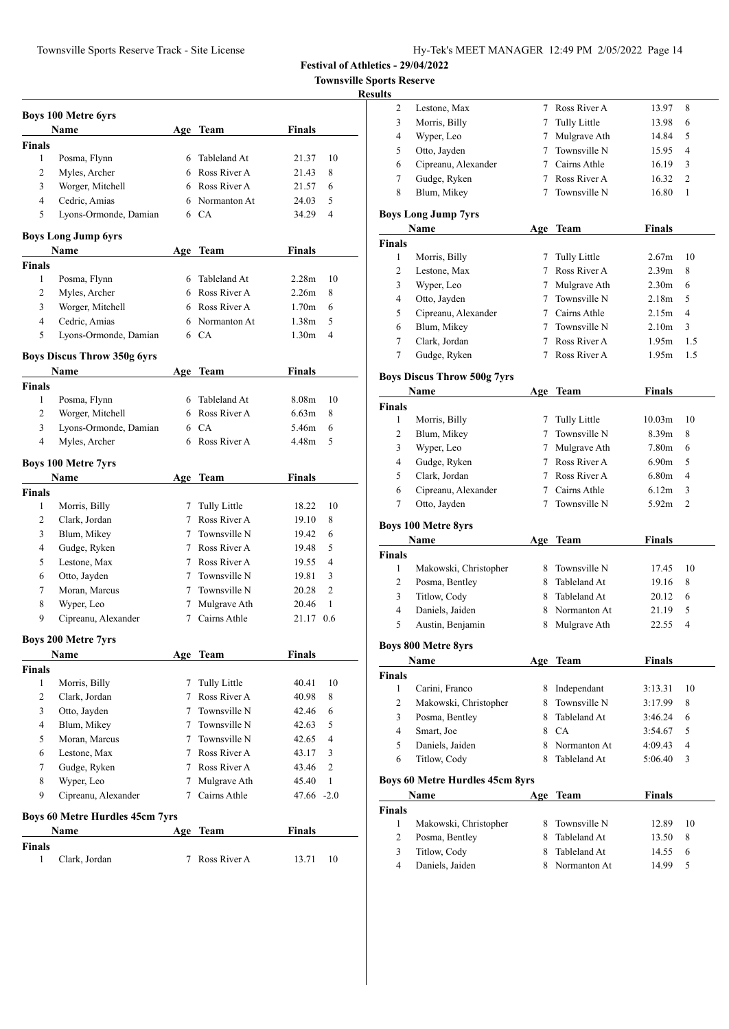|                    | <b>Boys 100 Metre 6yrs</b><br><b>Name</b> |                 | Age Team                       | <b>Finals</b>     |          |
|--------------------|-------------------------------------------|-----------------|--------------------------------|-------------------|----------|
| Finals             |                                           |                 |                                |                   |          |
| 1                  | Posma, Flynn                              | 6               | Tableland At                   | 21.37             | 10       |
| 2                  | Myles, Archer                             |                 | 6 Ross River A                 | 21.43             | 8        |
| 3                  | Worger, Mitchell                          |                 | 6 Ross River A                 | 21.57             | 6        |
| 4                  | Cedric, Amias                             |                 | 6 Normanton At                 | 24.03             | 5        |
| 5                  | Lyons-Ormonde, Damian                     |                 | 6 CA                           | 34.29             | 4        |
|                    |                                           |                 |                                |                   |          |
|                    | <b>Boys Long Jump 6yrs</b>                |                 |                                |                   |          |
|                    | Name                                      |                 | Age Team                       | Finals            |          |
| <b>Finals</b>      |                                           |                 |                                |                   |          |
| 1                  | Posma, Flynn                              | 6.              | Tableland At                   | 2.28m             | 10       |
| 2                  | Myles, Archer                             |                 | 6 Ross River A                 | 2.26m             | 8        |
| 3                  | Worger, Mitchell                          |                 | 6 Ross River A                 | 1.70 <sub>m</sub> | 6        |
| 4                  | Cedric, Amias                             |                 | 6 Normanton At                 | 1.38 <sub>m</sub> | 5        |
| 5                  | Lyons-Ormonde, Damian                     |                 | 6 CA                           | 1.30 <sub>m</sub> | 4        |
|                    | <b>Boys Discus Throw 350g 6yrs</b>        |                 |                                |                   |          |
|                    | Name                                      |                 | Age Team                       | Finals            |          |
| <b>Finals</b>      |                                           |                 |                                |                   |          |
| 1                  | Posma, Flynn                              | 6               | Tableland At                   | 8.08 <sub>m</sub> | 10       |
| 2                  | Worger, Mitchell                          |                 | 6 Ross River A                 | 6.63m             | 8        |
| 3                  | Lyons-Ormonde, Damian                     |                 | 6 CA                           | 5.46m             | 6        |
| $\overline{4}$     | Myles, Archer                             |                 | 6 Ross River A                 | 4.48m             | 5        |
|                    |                                           |                 |                                |                   |          |
|                    | <b>Boys 100 Metre 7yrs</b>                |                 |                                |                   |          |
|                    | Name                                      | Age             | Team                           | Finals            |          |
| <b>Finals</b><br>1 |                                           |                 |                                | 18.22             | 10       |
| 2                  | Morris, Billy                             | 7               | Tully Little<br>7 Ross River A |                   | 8        |
| 3                  | Clark, Jordan                             |                 | 7 Townsville N                 | 19.10             | 6        |
| 4                  | Blum, Mikey                               |                 | 7 Ross River A                 | 19.42<br>19.48    | 5        |
|                    | Gudge, Ryken                              |                 | 7 Ross River A                 |                   |          |
| 5                  | Lestone, Max                              | $7^{\circ}$     | Townsville N                   | 19.55             | 4        |
| 6                  | Otto, Jayden                              |                 |                                | 19.81             | 3        |
| 7                  | Moran, Marcus                             | $7^{\circ}$     | Townsville N                   | 20.28             | 2        |
| 8<br>9             | Wyper, Leo                                | $7\overline{ }$ | Mulgrave Ath<br>7 Cairns Athle | 20.46<br>21.17    | 1<br>0.6 |
|                    | Cipreanu, Alexander                       |                 |                                |                   |          |
|                    | <b>Boys 200 Metre 7yrs</b>                |                 |                                |                   |          |
|                    | Name                                      | Age             | <b>Team</b>                    | Finals            |          |
| <b>Finals</b>      |                                           |                 |                                |                   |          |
| $\mathbf{1}$       | Morris, Billy                             | 7               | Tully Little                   | 40.41             | 10       |
| 2                  | Clark. Jordan                             | $\tau$          | Ross River A                   | 40.98             | 8        |
| 3                  | Otto, Jayden                              | $7^{\circ}$     | Townsville N                   | 42.46             | 6        |
| $\overline{4}$     | Blum, Mikey                               | 7 <sup>7</sup>  | Townsville N                   | 42.63             | 5        |
| 5                  | Moran, Marcus                             |                 | 7 Townsville N                 | 42.65             | 4        |
| 6                  | Lestone, Max                              |                 | 7 Ross River A                 | 43.17             | 3        |
| 7                  | Gudge, Ryken                              |                 | 7 Ross River A                 | 43.46             | 2        |
| 8                  | Wyper, Leo                                | $7^{\circ}$     | Mulgrave Ath                   | 45.40             | 1        |
| 9                  | Cipreanu, Alexander                       | $7^{\circ}$     | Cairns Athle                   | 47.66             | $-2.0$   |
|                    | <b>Boys 60 Metre Hurdles 45cm 7yrs</b>    |                 |                                |                   |          |
|                    | Name                                      |                 | Age Team                       | <b>Finals</b>     |          |
| <b>Finals</b>      |                                           |                 |                                |                   |          |
| 1                  | Clark, Jordan                             | 7               | Ross River A                   | 13.71             | 10       |
|                    |                                           |                 |                                |                   |          |

| unts           |                                        |                 |                     |                    |                |
|----------------|----------------------------------------|-----------------|---------------------|--------------------|----------------|
| 2              | Lestone, Max                           | 7               | Ross River A        | 13.97              | 8              |
| 3              | Morris, Billy                          | 7               | <b>Tully Little</b> | 13.98              | 6              |
| 4              | Wyper, Leo                             |                 | 7 Mulgrave Ath      | 14.84              | 5              |
| 5              | Otto, Jayden                           |                 | 7 Townsville N      | 15.95              | $\overline{4}$ |
| 6              | Cipreanu, Alexander                    |                 | 7 Cairns Athle      | 16.19              | 3              |
| 7              | Gudge, Ryken                           |                 | 7 Ross River A      | 16.32              | $\overline{2}$ |
| 8              | Blum, Mikey                            | $7\overline{ }$ | Townsville N        | 16.80              | 1              |
|                | <b>Boys Long Jump 7yrs</b>             |                 |                     |                    |                |
|                | Name                                   | Age             | <b>Team</b>         | <b>Finals</b>      |                |
| <b>Finals</b>  |                                        |                 |                     |                    |                |
| 1              | Morris, Billy                          | 7               | Tully Little        | 2.67m              | 10             |
| 2              | Lestone, Max                           |                 | 7 Ross River A      | 2.39m              | 8              |
| 3              | Wyper, Leo                             | $7^{\circ}$     | Mulgrave Ath        | 2.30 <sub>m</sub>  | 6              |
| 4              | Otto, Jayden                           |                 | 7 Townsville N      | 2.18m              | 5              |
| 5              | Cipreanu, Alexander                    |                 | 7 Cairns Athle      | 2.15m              | $\overline{4}$ |
| 6              | Blum, Mikey                            |                 | 7 Townsville N      | 2.10 <sub>m</sub>  | 3              |
| 7              | Clark, Jordan                          |                 | 7 Ross River A      | 1.95m              | 1.5            |
| 7              | Gudge, Ryken                           | 7               | Ross River A        | 1.95m              | 1.5            |
|                | <b>Boys Discus Throw 500g 7yrs</b>     |                 |                     |                    |                |
|                | Name                                   |                 | Age Team            | <b>Finals</b>      |                |
| <b>Finals</b>  |                                        |                 |                     |                    |                |
| $\mathbf{1}$   | Morris, Billy                          | 7               | <b>Tully Little</b> | 10.03 <sub>m</sub> | 10             |
| 2              | Blum, Mikey                            |                 | 7 Townsville N      | 8.39 <sub>m</sub>  | 8              |
| 3              | Wyper, Leo                             |                 | 7 Mulgrave Ath      | 7.80m              | 6              |
| 4              | Gudge, Ryken                           |                 | 7 Ross River A      | 6.90m              | 5              |
| 5              | Clark, Jordan                          | $7^{\circ}$     | Ross River A        | 6.80 <sub>m</sub>  | $\overline{4}$ |
| 6              | Cipreanu, Alexander                    |                 | 7 Cairns Athle      | 6.12m              | 3              |
| 7              | Otto, Jayden                           | 7               | Townsville N        | 5.92m              | $\overline{2}$ |
|                | <b>Boys 100 Metre 8yrs</b>             |                 |                     |                    |                |
|                | Name                                   | Age             | <b>Team</b>         | <b>Finals</b>      |                |
| Finals         |                                        |                 |                     |                    |                |
| 1              | Makowski, Christopher                  | 8               | Townsville N        | 17.45              | 10             |
| 2              | Posma, Bentley                         | 8               | Tableland At        | 19.16              | 8              |
| 3              | Titlow, Cody                           | 8               | Tableland At        | 20.12              | 6              |
| $\overline{4}$ | Daniels, Jaiden                        | 8               | Normanton At        | 21.19              | 5              |
| 5              | Austin, Benjamin                       | 8               | Mulgrave Ath        | 22.55              | $\overline{4}$ |
|                | <b>Boys 800 Metre 8yrs</b>             |                 |                     |                    |                |
|                | Name                                   |                 | Age Team            | <b>Finals</b>      |                |
| <b>Finals</b>  |                                        |                 |                     |                    |                |
| 1              | Carini, Franco                         | 8               | Independant         | 3:13.31            | 10             |
| 2              | Makowski, Christopher                  | 8               | Townsville N        | 3:17.99            | 8              |
| 3              | Posma, Bentley                         | 8               | Tableland At        | 3:46.24            | 6              |
| $\overline{4}$ | Smart, Joe                             |                 | 8 CA                | 3:54.67            | 5              |
| 5              | Daniels, Jaiden                        |                 | 8 Normanton At      | 4:09.43            | 4              |
| 6              | Titlow, Cody                           | 8               | Tableland At        | 5:06.40            | 3              |
|                | <b>Boys 60 Metre Hurdles 45cm 8yrs</b> |                 |                     |                    |                |
|                | Name                                   | Age             | Team                | <b>Finals</b>      |                |
| Finals         |                                        |                 |                     |                    |                |
| $\mathbf{1}$   | Makowski, Christopher                  | 8               | Townsville N        | 12.89              | 10             |
| 2              | Posma, Bentley                         | 8               | Tableland At        | 13.50              | 8              |
| 3              | Titlow, Cody                           | 8               | Tableland At        | 14.55              | 6              |
| $\overline{4}$ | Daniels, Jaiden                        |                 |                     |                    | 5              |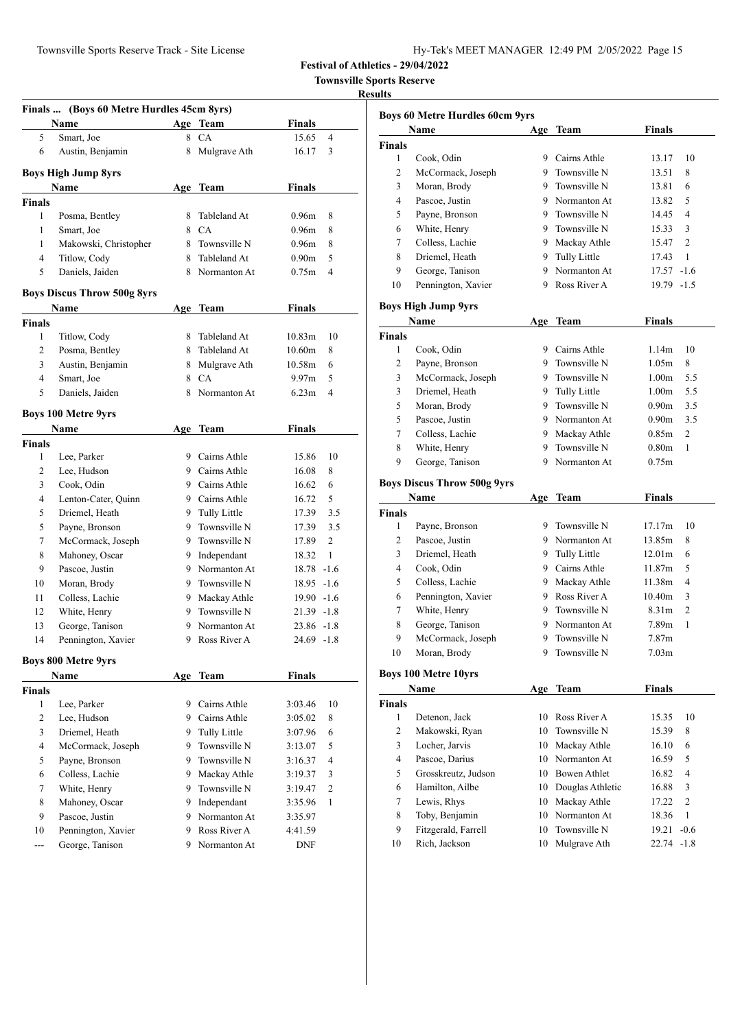| Hy-Tek's MEET MANAGER 12:49 PM 2/05/2022 Page 15 |  |  |  |  |
|--------------------------------------------------|--|--|--|--|
|--------------------------------------------------|--|--|--|--|

| ı<br>v. |
|---------|
|         |

|                | Finals  (Boys 60 Metre Hurdles 45cm 8yrs) |     |                |                    |                |
|----------------|-------------------------------------------|-----|----------------|--------------------|----------------|
|                | Name                                      |     | Age Team       | Finals             |                |
| 5              | Smart, Joe                                | 8   | CA             | 15.65              | $\overline{4}$ |
| 6              | Austin, Benjamin                          | 8   | Mulgrave Ath   | 16.17              | 3              |
|                | <b>Boys High Jump 8yrs</b>                |     |                |                    |                |
|                | Name                                      | Age | Team           | <b>Finals</b>      |                |
| <b>Finals</b>  |                                           |     |                |                    |                |
| 1              | Posma, Bentley                            | 8   | Tableland At   | 0.96 <sub>m</sub>  | 8              |
| 1              | Smart, Joe                                |     | 8 CA           | 0.96 <sub>m</sub>  | 8              |
| 1              | Makowski, Christopher                     |     | 8 Townsville N | 0.96 <sub>m</sub>  | 8              |
| $\overline{4}$ | Titlow, Cody                              | 8   | Tableland At   | 0.90 <sub>m</sub>  | 5              |
| 5              | Daniels, Jaiden                           |     | 8 Normanton At | 0.75m              | 4              |
|                | <b>Boys Discus Throw 500g 8yrs</b>        |     |                |                    |                |
|                | Name                                      |     | Age Team       | <b>Finals</b>      |                |
| Finals         |                                           |     |                |                    |                |
| 1              | Titlow, Cody                              | 8   | Tableland At   | 10.83 <sub>m</sub> | 10             |
| 2              | Posma, Bentley                            | 8.  | Tableland At   | 10.60m             | 8              |
| 3              | Austin, Benjamin                          |     | 8 Mulgrave Ath | 10.58m             | 6              |
| 4              | Smart, Joe                                |     | 8 CA           | 9.97 <sub>m</sub>  | 5              |
| 5              | Daniels, Jaiden                           | 8   | Normanton At   | 6.23m              | 4              |
|                | <b>Boys 100 Metre 9yrs</b>                |     |                |                    |                |
|                | Name                                      | Age | Team           | <b>Finals</b>      |                |
| <b>Finals</b>  |                                           |     |                |                    |                |
| 1              | Lee, Parker                               |     | 9 Cairns Athle | 15.86              | 10             |
| 2              | Lee, Hudson                               |     | 9 Cairns Athle | 16.08              | 8              |
| 3              | Cook, Odin                                |     | 9 Cairns Athle | 16.62              | 6              |
| 4              | Lenton-Cater, Quinn                       |     | 9 Cairns Athle | 16.72              | 5              |
| 5              | Driemel, Heath                            | 9   | Tully Little   | 17.39              | 3.5            |
| 5              | Payne, Bronson                            | 9.  | Townsville N   | 17.39              | 3.5            |
| 7              | McCormack, Joseph                         |     | 9 Townsville N | 17.89              | 2              |
| 8              | Mahoney, Oscar                            |     | 9 Independant  | 18.32              | 1              |
| 9              | Pascoe, Justin                            |     | 9 Normanton At | $18.78 - 1.6$      |                |
| 10             | Moran, Brody                              |     | 9 Townsville N | 18.95 -1.6         |                |
| 11             | Colless, Lachie                           |     | 9 Mackay Athle | 19.90 -1.6         |                |
| 12             | White, Henry                              |     | 9 Townsville N | 21.39 -1.8         |                |
| 13             | George, Tanison                           | 9.  | Normanton At   | 23.86 -1.8         |                |
| 14             | Pennington, Xavier                        | 9   | Ross River A   | 24.69 -1.8         |                |
|                | <b>Boys 800 Metre 9yrs</b>                |     |                |                    |                |
|                | Name                                      |     | Age Team       | <b>Finals</b>      |                |
| <b>Finals</b>  |                                           |     |                |                    |                |
| 1              | Lee, Parker                               |     | 9 Cairns Athle | 3:03.46            | 10             |
| 2              | Lee, Hudson                               |     | 9 Cairns Athle | 3:05.02            | 8              |
| 3              | Driemel, Heath                            |     | 9 Tully Little | 3:07.96            | 6              |
| 4              | McCormack, Joseph                         |     | 9 Townsville N | 3:13.07            | 5              |
| 5              | Payne, Bronson                            | 9.  | Townsville N   | 3:16.37            | 4              |
| 6              | Colless, Lachie                           | 9   | Mackay Athle   | 3:19.37            | 3              |
| 7              | White, Henry                              | 9   | Townsville N   | 3:19.47            | 2              |
| 8              | Mahoney, Oscar                            |     | 9 Independant  | 3:35.96            | 1              |
| 9              | Pascoe, Justin                            |     | 9 Normanton At | 3:35.97            |                |
| 10             | Pennington, Xavier                        |     | 9 Ross River A | 4:41.59            |                |
|                |                                           |     |                |                    |                |

|               | <b>Boys 60 Metre Hurdles 60cm 9yrs</b> |     |                                  |                                     |
|---------------|----------------------------------------|-----|----------------------------------|-------------------------------------|
|               | Name                                   |     | Age Team                         | Finals                              |
| <b>Finals</b> |                                        |     |                                  |                                     |
| 1             | Cook, Odin                             |     | 9 Cairns Athle                   | 10<br>13.17                         |
| 2             | McCormack, Joseph                      | 9   | Townsville N                     | 13.51<br>8                          |
| 3             | Moran, Brody                           | 9.  | Townsville N                     | 13.81<br>6                          |
| 4             | Pascoe, Justin                         |     | 9 Normanton At                   | 5<br>13.82                          |
| 5             | Payne, Bronson                         |     | 9 Townsville N                   | $\overline{4}$<br>14.45             |
| 6             | White, Henry                           |     | 9 Townsville N                   | 3<br>15.33                          |
| 7             | Colless, Lachie                        |     | 9 Mackay Athle                   | $\overline{c}$<br>15.47             |
| 8             | Driemel, Heath                         |     | 9 Tully Little                   | 1<br>17.43                          |
| 9             | George, Tanison                        |     | 9 Normanton At                   | 17.57 -1.6                          |
| 10            | Pennington, Xavier                     |     | 9 Ross River A                   | 19.79 -1.5                          |
|               | <b>Boys High Jump 9yrs</b>             |     |                                  |                                     |
|               | Name                                   | Age | <b>Team</b>                      | <b>Finals</b>                       |
| <b>Finals</b> |                                        |     |                                  |                                     |
| 1             | Cook, Odin                             |     | 9 Cairns Athle                   | 1.14m<br>10                         |
| 2             | Payne, Bronson                         | 9   | Townsville N                     | 1.05m<br>8                          |
| 3             | McCormack, Joseph                      | 9.  | Townsville N                     | 5.5<br>1.00 <sub>m</sub>            |
| 3             | Driemel, Heath                         | 9.  | <b>Tully Little</b>              | 5.5<br>1.00 <sub>m</sub>            |
| 5             | Moran, Brody                           |     | 9 Townsville N                   | 3.5<br>0.90 <sub>m</sub>            |
| 5             | Pascoe, Justin                         |     | 9 Normanton At                   | 3.5<br>0.90 <sub>m</sub>            |
| 7             | Colless, Lachie                        |     | 9 Mackay Athle                   | $\overline{c}$<br>0.85 <sub>m</sub> |
| 8             | White, Henry                           | 9   | Townsville N                     | 1<br>0.80 <sub>m</sub>              |
| 9             | George, Tanison                        | 9   | Normanton At                     | 0.75m                               |
|               |                                        |     |                                  |                                     |
|               | <b>Boys Discus Throw 500g 9yrs</b>     |     |                                  |                                     |
|               | Name                                   |     | Age Team                         | <b>Finals</b>                       |
| <b>Finals</b> |                                        |     |                                  |                                     |
| 1             | Payne, Bronson                         | 9   | Townsville N                     | 17.17 <sub>m</sub><br>10            |
| 2             | Pascoe, Justin                         |     | 9 Normanton At                   | 13.85m<br>8                         |
| 3             | Driemel, Heath                         | 9.  | Tully Little                     | 12.01 <sub>m</sub><br>6             |
| 4             | Cook, Odin                             |     | 9 Cairns Athle                   | 5<br>11.87m                         |
| 5             | Colless, Lachie                        |     | 9 Mackay Athle                   | 4<br>11.38m                         |
| 6             | Pennington, Xavier                     |     | 9 Ross River A                   | 3<br>10.40 <sub>m</sub>             |
| 7             | White, Henry                           |     | 9 Townsville N                   | 2<br>8.31 <sub>m</sub>              |
| 8             | George, Tanison                        | 9.  | Normanton At                     | 1<br>7.89m                          |
| 9             | McCormack, Joseph                      | 9   | Townsville N                     | 7.87m                               |
| 10            | Moran, Brody                           | 9   | Townsville N                     | 7.03 <sub>m</sub>                   |
|               | <b>Boys 100 Metre 10yrs</b>            |     |                                  |                                     |
|               | Name                                   |     |                                  | <b>Finals</b>                       |
| Finals        |                                        |     | Age Team                         |                                     |
| 1             | Detenon, Jack                          | 10  | Ross River A                     | 15.35<br>10                         |
| 2             | Makowski, Ryan                         | 10  | Townsville N                     | 8<br>15.39                          |
| 3             | Locher, Jarvis                         | 10  | Mackay Athle                     | 6<br>16.10                          |
| 4             | Pascoe, Darius                         | 10  | Normanton At                     | 5<br>16.59                          |
|               | Grosskreutz, Judson                    |     | 10 Bowen Athlet                  | 4<br>16.82                          |
| 5<br>6        | Hamilton, Ailbe                        | 10  |                                  | 3                                   |
|               |                                        |     | Douglas Athletic<br>Mackay Athle | 16.88<br>2                          |
| 7             | Lewis, Rhys                            | 10  |                                  | 17.22                               |
| 8             | Toby, Benjamin                         | 10  | Normanton At                     | $\mathbf{1}$<br>18.36               |
| 9             | Fitzgerald, Farrell                    | 10  | Townsville N                     | $-0.6$<br>19.21                     |
| 10            | Rich, Jackson                          | 10  | Mulgrave Ath                     | 22.74<br>$-1.8$                     |
|               |                                        |     |                                  |                                     |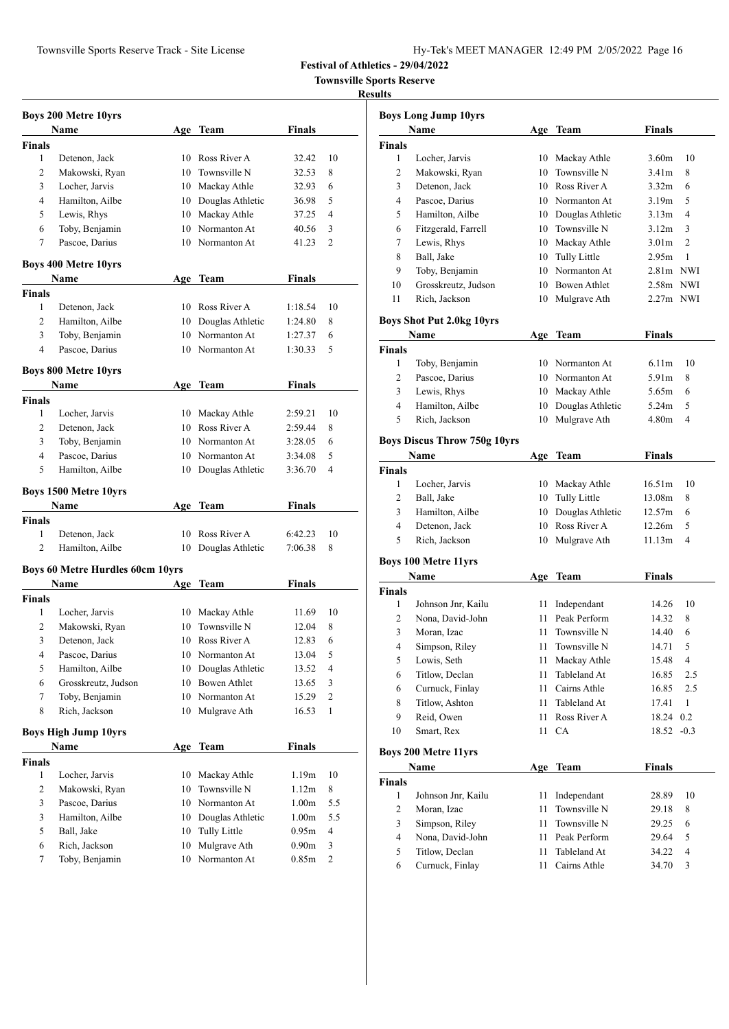| Hy-Tek's MEET MANAGER 12:49 PM 2/05/2022 Page 16 |  |  |  |  |
|--------------------------------------------------|--|--|--|--|
|--------------------------------------------------|--|--|--|--|

|                          | <b>Boys 200 Metre 10yrs</b>             |     |                     |                   |     |
|--------------------------|-----------------------------------------|-----|---------------------|-------------------|-----|
|                          | <b>Name</b>                             |     | Age Team            | Finals            |     |
| Finals                   |                                         |     |                     |                   |     |
| 1                        | Detenon, Jack                           |     | 10 Ross River A     | 32.42             | 10  |
| 2                        | Makowski, Ryan                          |     | 10 Townsville N     | 32.53             | 8   |
| 3                        | Locher, Jarvis                          |     | 10 Mackay Athle     | 32.93             | 6   |
| 4                        | Hamilton, Ailbe                         |     | 10 Douglas Athletic | 36.98             | 5   |
| 5                        | Lewis, Rhys                             |     | 10 Mackay Athle     | 37.25             | 4   |
| 6                        | Toby, Benjamin                          | 10  | Normanton At        | 40.56             | 3   |
| 7                        | Pascoe, Darius                          |     | 10 Normanton At     | 41.23             | 2   |
|                          | <b>Boys 400 Metre 10yrs</b>             |     |                     |                   |     |
|                          | Name                                    | Age | Team                | Finals            |     |
| Finals                   |                                         |     |                     |                   |     |
| 1                        | Detenon, Jack                           |     | 10 Ross River A     | 1:18.54           | 10  |
| 2                        | Hamilton, Ailbe                         |     | 10 Douglas Athletic | 1:24.80           | 8   |
| 3                        | Toby, Benjamin                          |     | 10 Normanton At     | 1:27.37           | 6   |
| $\overline{4}$           | Pascoe, Darius                          |     | 10 Normanton At     | 1:30.33           | 5   |
|                          | <b>Boys 800 Metre 10yrs</b>             |     |                     |                   |     |
|                          | <b>Name</b>                             | Age | Team                | Finals            |     |
| <b>Finals</b>            |                                         |     |                     |                   |     |
| 1                        | Locher, Jarvis                          |     | 10 Mackay Athle     | 2:59.21           | 10  |
| 2                        | Detenon, Jack                           |     | 10 Ross River A     | 2:59.44           | 8   |
| 3                        | Toby, Benjamin                          |     | 10 Normanton At     | 3:28.05           | 6   |
| $\overline{4}$           | Pascoe, Darius                          |     | 10 Normanton At     | 3:34.08           | 5   |
| 5                        | Hamilton, Ailbe                         | 10  | Douglas Athletic    | 3:36.70           | 4   |
|                          | <b>Boys 1500 Metre 10yrs</b>            |     |                     |                   |     |
|                          | Name                                    |     | Age Team            | Finals            |     |
| Finals                   |                                         |     |                     |                   |     |
| 1                        | Detenon, Jack                           | 10  | Ross River A        | 6:42.23           | 10  |
| $\overline{c}$           | Hamilton, Ailbe                         |     | 10 Douglas Athletic | 7:06.38           | 8   |
|                          | <b>Boys 60 Metre Hurdles 60cm 10yrs</b> |     |                     |                   |     |
|                          | <b>Name</b>                             | Age | Team                | Finals            |     |
| Finals                   |                                         |     |                     |                   |     |
| 1                        | Locher, Jarvis                          |     | 10 Mackay Athle     | 11.69             | 10  |
| 2                        | Makowski, Ryan                          | 10  | Townsville N        | 12.04             | 8   |
| 3                        | Detenon, Jack                           |     | 10 Ross River A     | 12.83             | 6   |
| $\overline{\mathcal{L}}$ | Pascoe, Darius                          |     | 10 Normanton At     | 13.04             | 5   |
| 5                        | Hamilton, Ailbe                         | 10  | Douglas Athletic    | 13.52             | 4   |
| 6                        | Grosskreutz, Judson                     | 10  | Bowen Athlet        | 13.65             | 3   |
| $\tau$                   | Toby, Benjamin                          | 10  | Normanton At        | 15.29             | 2   |
| 8                        | Rich, Jackson                           | 10  | Mulgrave Ath        | 16.53             | 1   |
|                          | <b>Boys High Jump 10yrs</b>             |     |                     |                   |     |
|                          | Name                                    | Age | <b>Team</b>         | <b>Finals</b>     |     |
| <b>Finals</b>            |                                         |     |                     |                   |     |
| $\mathbf{1}$             | Locher, Jarvis                          |     | 10 Mackay Athle     | 1.19m             | 10  |
| $\mathbf{2}$             | Makowski, Ryan                          | 10  | Townsville N        | 1.12m             | 8   |
| 3                        | Pascoe, Darius                          |     | 10 Normanton At     | 1.00m             | 5.5 |
| 3                        | Hamilton, Ailbe                         | 10  | Douglas Athletic    | 1.00m             | 5.5 |
| 5                        | Ball, Jake                              | 10  | Tully Little        | 0.95m             | 4   |
| 6                        | Rich, Jackson                           | 10  | Mulgrave Ath        | 0.90 <sub>m</sub> | 3   |
| $\tau$                   | Toby, Benjamin                          | 10  | Normanton At        | 0.85m             | 2   |
|                          |                                         |     |                     |                   |     |

| <b>Boys Long Jump 10yrs</b> |                                     |     |                     |                   |                         |  |
|-----------------------------|-------------------------------------|-----|---------------------|-------------------|-------------------------|--|
|                             | Name                                |     | Age Team            | <b>Finals</b>     |                         |  |
| Finals                      |                                     |     |                     |                   |                         |  |
| 1                           | Locher, Jarvis                      | 10  | Mackay Athle        | 3.60 <sub>m</sub> | 10                      |  |
| 2                           | Makowski, Ryan                      | 10  | Townsville N        | 3.41 <sub>m</sub> | 8                       |  |
| 3                           | Detenon, Jack                       |     | 10 Ross River A     | 3.32 <sub>m</sub> | 6                       |  |
| 4                           | Pascoe, Darius                      |     | 10 Normanton At     | 3.19m             | 5                       |  |
| 5                           | Hamilton, Ailbe                     |     | 10 Douglas Athletic | 3.13 <sub>m</sub> | 4                       |  |
| 6                           | Fitzgerald, Farrell                 |     | 10 Townsville N     | 3.12 <sub>m</sub> | 3                       |  |
| 7                           | Lewis, Rhys                         |     | 10 Mackay Athle     | 3.01 <sub>m</sub> | $\overline{c}$          |  |
| 8                           | Ball, Jake                          |     | 10 Tully Little     | 2.95m             | 1                       |  |
| 9                           | Toby, Benjamin                      | 10  | Normanton At        | $2.81m$ NWI       |                         |  |
| 10                          | Grosskreutz, Judson                 |     | 10 Bowen Athlet     | $2.58m$ NWI       |                         |  |
| 11                          | Rich, Jackson                       |     | 10 Mulgrave Ath     | $2.27m$ NWI       |                         |  |
|                             | <b>Boys Shot Put 2.0kg 10yrs</b>    |     |                     |                   |                         |  |
|                             | Name                                |     | Age Team            | Finals            |                         |  |
| Finals                      |                                     |     |                     |                   |                         |  |
| 1                           | Toby, Benjamin                      |     | 10 Normanton At     | 6.11 <sub>m</sub> | 10                      |  |
| 2                           | Pascoe, Darius                      |     | 10 Normanton At     | 5.91m             | 8                       |  |
| 3                           | Lewis, Rhys                         |     | 10 Mackay Athle     | 5.65m             | 6                       |  |
| 4                           | Hamilton, Ailbe                     | 10  | Douglas Athletic    | 5.24m             | 5                       |  |
| 5                           | Rich, Jackson                       | 10  | Mulgrave Ath        | 4.80 <sub>m</sub> | $\overline{4}$          |  |
|                             |                                     |     |                     |                   |                         |  |
|                             | <b>Boys Discus Throw 750g 10yrs</b> |     |                     |                   |                         |  |
|                             | Name                                |     | Age Team            | Finals            |                         |  |
| <b>Finals</b>               |                                     |     |                     |                   |                         |  |
| 1                           | Locher, Jarvis                      |     | 10 Mackay Athle     | 16.51m            | 10                      |  |
| 2                           | Ball, Jake                          | 10  | Tully Little        | 13.08m            | 8                       |  |
| 3                           | Hamilton, Ailbe                     | 10  | Douglas Athletic    | 12.57m            | 6                       |  |
| 4                           | Detenon, Jack                       | 10  | Ross River A        | 12.26m            | 5                       |  |
| 5                           | Rich, Jackson                       | 10  | Mulgrave Ath        | 11.13m            | 4                       |  |
|                             | <b>Boys 100 Metre 11yrs</b>         |     |                     |                   |                         |  |
|                             | Name                                | Age | Team                | <b>Finals</b>     |                         |  |
| <b>Finals</b>               |                                     |     |                     |                   |                         |  |
| 1                           | Johnson Jnr, Kailu                  | 11  | Independant         | 14.26             | 10                      |  |
| $\overline{2}$              | Nona, David-John                    | 11  | Peak Perform        | 14.32             | 8                       |  |
| 3                           | Moran, Izac                         | 11  | Townsville N        | 14.40             | 6                       |  |
| 4                           | Simpson, Riley                      | 11  | Townsville N        | 14.71             | 5                       |  |
| 5                           | Lowis, Seth                         | 11  | Mackay Athle        | 15.48             | $\overline{\mathbf{4}}$ |  |
| 6                           | Titlow, Declan                      | 11  | Tableland At        | 16.85             | 2.5                     |  |
| 6                           | Curnuck, Finlay                     | 11  | Cairns Athle        | 16.85             | 2.5                     |  |
| 8                           | Titlow, Ashton                      | 11  | Tableland At        | 17.41             | $\mathbf{1}$            |  |
| 9                           | Reid, Owen                          | 11  | Ross River A        | 18.24             | 0.2                     |  |
| 10                          | Smart, Rex                          | 11  | CA                  | 18.52             | $-0.3$                  |  |
|                             | <b>Boys 200 Metre 11yrs</b>         |     |                     |                   |                         |  |
|                             | <b>Name</b>                         | Age | <b>Team</b>         | <b>Finals</b>     |                         |  |
| Finals                      |                                     |     |                     |                   |                         |  |
| 1                           | Johnson Jnr, Kailu                  | 11  | Independant         | 28.89             | 10                      |  |
| $\overline{2}$              | Moran, Izac                         | 11  | Townsville N        | 29.18             | 8                       |  |
| 3                           | Simpson, Riley                      | 11  | Townsville N        | 29.25             | 6                       |  |
| 4                           | Nona, David-John                    | 11  | Peak Perform        | 29.64             | 5                       |  |
| 5                           | Titlow, Declan                      | 11  | Tableland At        | 34.22             | 4                       |  |
| 6                           | Curnuck, Finlay                     | 11  | Cairns Athle        | 34.70             | 3                       |  |
|                             |                                     |     |                     |                   |                         |  |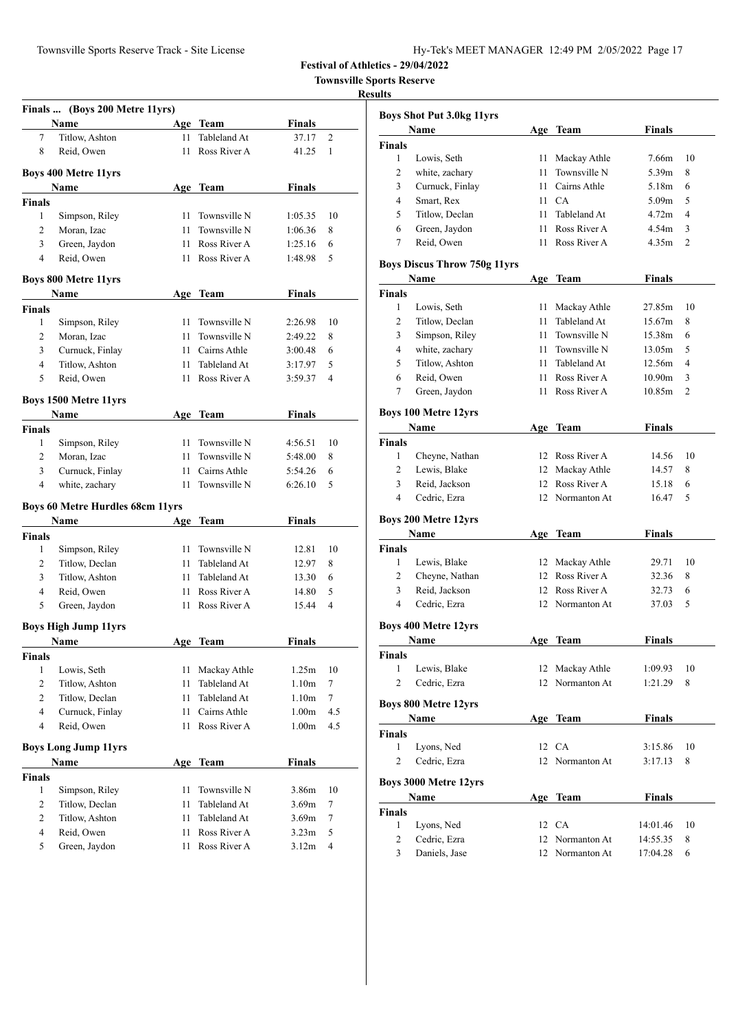| Hy-Tek's MEET MANAGER 12:49 PM 2/05/2022 Page 17 |  |  |  |  |
|--------------------------------------------------|--|--|--|--|
|--------------------------------------------------|--|--|--|--|

### **Townsville Sports Reserve Results**

|                | Finals  (Boys 200 Metre 11yrs)          |     |              |                   |                         |
|----------------|-----------------------------------------|-----|--------------|-------------------|-------------------------|
|                | Name                                    | Age | Team         | <b>Finals</b>     |                         |
| 7              | Titlow, Ashton                          | 11  | Tableland At | 37.17             | 2                       |
| 8              | Reid, Owen                              | 11  | Ross River A | 41.25             | 1                       |
|                |                                         |     |              |                   |                         |
|                | <b>Boys 400 Metre 11yrs</b>             |     |              |                   |                         |
|                | Name                                    |     | Age Team     | Finals            |                         |
| <b>Finals</b>  |                                         |     |              |                   |                         |
| 1              | Simpson, Riley                          | 11  | Townsville N | 1:05.35           | 10                      |
| 2              | Moran, Izac                             | 11  | Townsville N | 1:06.36           | 8                       |
| 3              | Green, Jaydon                           | 11  | Ross River A | 1:25.16           | 6                       |
| $\overline{4}$ | Reid, Owen                              | 11  | Ross River A | 1:48.98           | 5                       |
|                | <b>Boys 800 Metre 11yrs</b>             |     |              |                   |                         |
|                | Name                                    | Age | Team         | Finals            |                         |
| <b>Finals</b>  |                                         |     |              |                   |                         |
| 1              | Simpson, Riley                          | 11  | Townsville N | 2:26.98           | 10                      |
| 2              | Moran, Izac                             | 11  | Townsville N | 2:49.22           | 8                       |
| 3              | Curnuck, Finlay                         | 11  | Cairns Athle | 3:00.48           | 6                       |
| $\overline{4}$ | Titlow, Ashton                          | 11  | Tableland At | 3:17.97           | 5                       |
| 5              | Reid, Owen                              | 11  | Ross River A | 3:59.37           | $\overline{4}$          |
|                | <b>Boys 1500 Metre 11yrs</b>            |     |              |                   |                         |
|                | Name                                    |     |              | Finals            |                         |
| <b>Finals</b>  |                                         | Age | Team         |                   |                         |
| 1              | Simpson, Riley                          | 11  | Townsville N | 4:56.51           | 10                      |
| 2              | Moran, Izac                             | 11  | Townsville N | 5:48.00           | 8                       |
| 3              | Curnuck, Finlay                         | 11  | Cairns Athle | 5:54.26           | 6                       |
| $\overline{4}$ | white, zachary                          | 11  | Townsville N | 6:26.10           | 5                       |
|                |                                         |     |              |                   |                         |
|                | <b>Boys 60 Metre Hurdles 68cm 11yrs</b> |     |              |                   |                         |
|                | Name                                    | Age | Team         | Finals            |                         |
| <b>Finals</b>  |                                         |     |              |                   |                         |
| 1              | Simpson, Riley                          | 11  | Townsville N | 12.81             | 10                      |
| 2              | Titlow, Declan                          | 11  | Tableland At | 12.97             | 8                       |
| 3              | Titlow, Ashton                          | 11  | Tableland At | 13.30             | 6                       |
| $\overline{4}$ | Reid, Owen                              | 11  | Ross River A | 14.80             | 5                       |
| 5              | Green, Jaydon                           | 11  | Ross River A | 15.44             | 4                       |
|                | <b>Boys High Jump 11yrs</b>             |     |              |                   |                         |
|                | Name                                    | Age | Team         | Finals            |                         |
| <b>Finals</b>  |                                         |     |              |                   |                         |
| 1              | Lowis, Seth                             | 11  | Mackay Athle | 1.25m             | 10                      |
| $\overline{c}$ | Titlow, Ashton                          | 11  | Tableland At | 1.10 <sub>m</sub> | $\tau$                  |
| $\overline{2}$ | Titlow, Declan                          | 11  | Tableland At | 1.10 <sub>m</sub> | 7                       |
| $\overline{4}$ | Curnuck, Finlay                         | 11  | Cairns Athle | 1.00 <sub>m</sub> | 4.5                     |
| 4              | Reid, Owen                              | 11  | Ross River A | 1.00 <sub>m</sub> | 4.5                     |
|                |                                         |     |              |                   |                         |
|                | <b>Boys Long Jump 11yrs</b>             |     |              |                   |                         |
|                | Name                                    | Age | <b>Team</b>  | <b>Finals</b>     |                         |
| <b>Finals</b>  |                                         |     |              |                   |                         |
| 1              | Simpson, Riley                          | 11  | Townsville N | 3.86m             | 10                      |
| $\overline{c}$ | Titlow, Declan                          | 11  | Tableland At | 3.69m             | 7                       |
| $\overline{2}$ | Titlow, Ashton                          | 11  | Tableland At | 3.69m             | 7                       |
| $\overline{4}$ | Reid, Owen                              | 11  | Ross River A | 3.23 <sub>m</sub> | 5                       |
| 5              | Green, Jaydon                           | 11  | Ross River A | 3.12m             | $\overline{\mathbf{4}}$ |

| Name           |                 | Age | Team         | <b>Finals</b> |                |
|----------------|-----------------|-----|--------------|---------------|----------------|
| <b>Finals</b>  |                 |     |              |               |                |
| 1              | Lowis, Seth     | 11  | Mackay Athle | 7.66m         | -10            |
| $\overline{c}$ | white, zachary  | 11. | Townsville N | 5.39m         | 8              |
| 3              | Curnuck, Finlay | 11. | Cairns Athle | 5.18m         | 6              |
| 4              | Smart, Rex      | 11  | CA.          | 5.09m         | .5             |
| 5              | Titlow, Declan  | 11  | Tableland At | 4.72m         | $\overline{4}$ |
| 6              | Green, Jaydon   | 11  | Ross River A | 4.54m         | 3              |
| 7              | Reid, Owen      | 11  | Ross River A | 4.35m         | $\mathcal{L}$  |

# **Boys Discus Throw 750g 11yrs**

|                                     | Name                        |    | Age Team        | <b>Finals</b>      |    |
|-------------------------------------|-----------------------------|----|-----------------|--------------------|----|
| Finals                              |                             |    |                 |                    |    |
| $\mathbf{1}$                        | Lowis, Seth                 | 11 | Mackay Athle    | 27.85m             | 10 |
| $\mathfrak{2}$                      | Titlow, Declan              | 11 | Tableland At    | 15.67m             | 8  |
| 3                                   | Simpson, Riley              | 11 | Townsville N    | 15.38m             | 6  |
| 4                                   | white, zachary              | 11 | Townsville N    | 13.05m             | 5  |
| 5                                   | Titlow, Ashton              | 11 | Tableland At    | 12.56m             | 4  |
| 6                                   | Reid, Owen                  | 11 | Ross River A    | 10.90 <sub>m</sub> | 3  |
| 7                                   | Green, Jaydon               | 11 | Ross River A    | 10.85m             | 2  |
|                                     | <b>Boys 100 Metre 12yrs</b> |    |                 |                    |    |
| Name                                |                             |    | Age Team        | Finals             |    |
| Finals                              |                             |    |                 |                    |    |
| 1                                   | Cheyne, Nathan              |    | 12 Ross River A | 14.56              | 10 |
| 2                                   | Lewis, Blake                | 12 | Mackay Athle    | 14.57              | 8  |
| 3                                   | Reid, Jackson               | 12 | Ross River A    | 15.18              | 6  |
| $\overline{\mathcal{L}}$            | Cedric, Ezra                |    | 12 Normanton At | 16.47              | 5  |
|                                     |                             |    |                 |                    |    |
| <b>Boys 200 Metre 12yrs</b><br>Name |                             |    | Age Team        | Finals             |    |
| Finals                              |                             |    |                 |                    |    |
| 1                                   | Lewis, Blake                |    | 12 Mackay Athle | 29.71              | 10 |
| 2                                   | Cheyne, Nathan              |    | 12 Ross River A | 32.36              | 8  |
| 3                                   | Reid, Jackson               |    | 12 Ross River A | 32.73              | 6  |
| 4                                   | Cedric, Ezra                |    | 12 Normanton At | 37.03              | 5  |
|                                     |                             |    |                 |                    |    |
| <b>Boys 400 Metre 12yrs</b><br>Name |                             |    | Age Team        | Finals             |    |
| Finals                              |                             |    |                 |                    |    |
| $\mathbf{1}$                        | Lewis, Blake                |    | 12 Mackay Athle | 1:09.93            | 10 |
| $\overline{c}$                      | Cedric, Ezra                |    | 12 Normanton At | 1:21.29            | 8  |
|                                     |                             |    |                 |                    |    |
|                                     | <b>Boys 800 Metre 12yrs</b> |    |                 |                    |    |
|                                     | Name                        |    | Age Team        | Finals             |    |
| Finals                              |                             |    |                 |                    |    |
| 1                                   | Lyons, Ned                  |    | 12 CA           | 3:15.86            | 10 |
| 2                                   | Cedric, Ezra                |    | 12 Normanton At | 3:17.13            | 8  |
|                                     | Boys 3000 Metre 12yrs       |    |                 |                    |    |
|                                     | Name                        |    | Age Team        | Finals             |    |
| Finals                              |                             |    |                 |                    |    |
| 1                                   | Lyons, Ned                  |    | 12 CA           | 14:01.46           | 10 |
| $\overline{c}$                      | Cedric, Ezra                |    | 12 Normanton At | 14:55.35           | 8  |
| 3                                   | Daniels, Jase               | 12 | Normanton At    | 17:04.28           | 6  |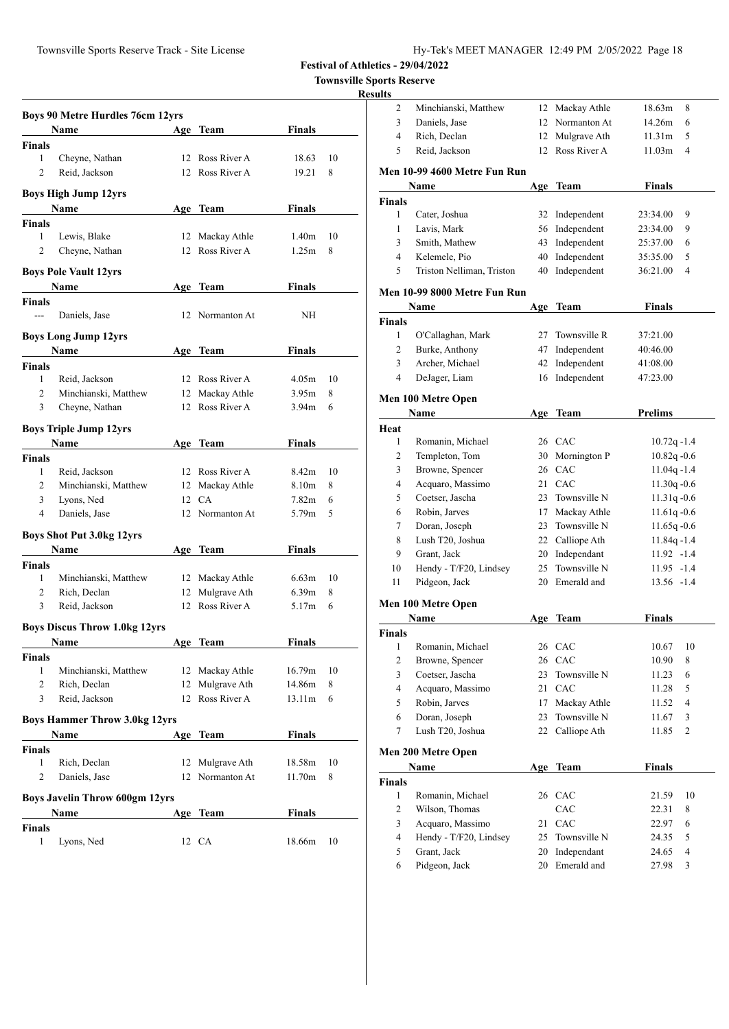2 Minchianski, Matthew 12 Mackay Athle 18.63m 8

**Festival of Athletics - 29/04/2022**

|                     | <b>Boys 90 Metre Hurdles 76cm 12yrs</b> |     |                 |                   |    |
|---------------------|-----------------------------------------|-----|-----------------|-------------------|----|
|                     | Name                                    |     | Age Team        | Finals            |    |
| <b>Finals</b>       |                                         |     |                 |                   |    |
| 1                   | Cheyne, Nathan                          |     | 12 Ross River A | 18.63             | 10 |
| 2                   | Reid, Jackson                           |     | 12 Ross River A | 19.21             | 8  |
|                     | <b>Boys High Jump 12yrs</b>             |     |                 |                   |    |
|                     | Name                                    |     | Age Team        | Finals            |    |
| <b>Finals</b>       |                                         |     |                 |                   |    |
| 1<br>$\overline{c}$ | Lewis, Blake                            |     | 12 Mackay Athle | 1.40m             | 10 |
|                     | Cheyne, Nathan                          |     | 12 Ross River A | 1.25m             | 8  |
|                     | <b>Boys Pole Vault 12yrs</b>            |     |                 |                   |    |
|                     | Name                                    | Age | Team            | Finals            |    |
| Finals              |                                         |     |                 |                   |    |
| $\overline{a}$      | Daniels, Jase                           |     | 12 Normanton At | NH                |    |
|                     | <b>Boys Long Jump 12yrs</b>             |     |                 |                   |    |
|                     | Name                                    |     | Age Team        | Finals            |    |
| <b>Finals</b>       |                                         |     |                 |                   |    |
| 1                   | Reid, Jackson                           |     | 12 Ross River A | 4.05m             | 10 |
| 2                   | Minchianski, Matthew                    |     | 12 Mackay Athle | 3.95m             | 8  |
| 3                   | Cheyne, Nathan                          |     | 12 Ross River A | 3.94m             | 6  |
|                     | <b>Boys Triple Jump 12yrs</b>           |     |                 |                   |    |
|                     | Name                                    |     | Age Team        | Finals            |    |
| Finals              |                                         |     |                 |                   |    |
| 1                   | Reid, Jackson                           |     | 12 Ross River A | 8.42m             | 10 |
| 2                   | Minchianski, Matthew                    |     | 12 Mackay Athle | 8.10m             | 8  |
| 3                   | Lyons, Ned                              |     | 12 CA           | 7.82m             | 6  |
| 4                   | Daniels, Jase                           |     | 12 Normanton At | 5.79m             | 5  |
|                     | <b>Boys Shot Put 3.0kg 12yrs</b>        |     |                 |                   |    |
|                     | Name                                    |     | Age Team        | Finals            |    |
| Finals              |                                         |     |                 |                   |    |
| 1                   | Minchianski, Matthew                    | 12  | Mackay Athle    | 6.63m             | 10 |
| $\overline{2}$      | Rich, Declan                            | 12  | Mulgrave Ath    | 6.39 <sub>m</sub> | 8  |
| 3                   | Reid, Jackson                           | 12  | Ross River A    | 5.17m             | 6  |
|                     | <b>Boys Discus Throw 1.0kg 12yrs</b>    |     |                 |                   |    |
|                     | Name                                    | Age | Team            | Finals            |    |
| Finals              |                                         |     |                 |                   |    |
| 1                   | Minchianski, Matthew                    |     | 12 Mackay Athle | 16.79m            | 10 |
| 2                   | Rich, Declan                            | 12  | Mulgrave Ath    | 14.86m            | 8  |
| 3                   | Reid, Jackson                           | 12  | Ross River A    | 13.11m            | 6  |
|                     | <b>Boys Hammer Throw 3.0kg 12yrs</b>    |     |                 |                   |    |
|                     | Name                                    | Age | Team            | Finals            |    |
| <b>Finals</b>       |                                         |     |                 |                   |    |
| $\mathbf{1}$        | Rich, Declan                            | 12  | Mulgrave Ath    | 18.58m            | 10 |
| 2                   | Daniels, Jase                           | 12  | Normanton At    | 11.70m            | 8  |
|                     | <b>Boys Javelin Throw 600gm 12yrs</b>   |     |                 |                   |    |
|                     | Name                                    |     | Age Team        | <b>Finals</b>     |    |
| <b>Finals</b>       |                                         |     |                 |                   |    |
| 1                   | Lyons, Ned                              |     | 12 CA           | 18.66m            | 10 |

| 3              | Daniels, Jase                | 12              | Normanton At   | 14.26m<br>6                |
|----------------|------------------------------|-----------------|----------------|----------------------------|
| 4              | Rich, Declan                 | 12              | Mulgrave Ath   | 11.31m<br>5                |
| 5              | Reid, Jackson                | 12 <sup>2</sup> | Ross River A   | 4<br>11.03m                |
|                | Men 10-99 4600 Metre Fun Run |                 |                |                            |
|                | Name                         |                 | Age Team       | Finals                     |
| <b>Finals</b>  |                              |                 |                |                            |
| 1              | Cater, Joshua                | 32              | Independent    | 9<br>23:34.00              |
| 1              | Lavis, Mark                  | 56              | Independent    | 23:34.00<br>9              |
| 3              | Smith, Mathew                | 43              | Independent    | 25:37.00<br>6              |
| 4              | Kelemele, Pio                | 40              | Independent    | 5<br>35:35.00              |
| 5              | Triston Nelliman, Triston    | 40              | Independent    | 36:21.00<br>$\overline{4}$ |
|                | Men 10-99 8000 Metre Fun Run |                 |                |                            |
|                | Name                         |                 | Age Team       | Finals                     |
| <b>Finals</b>  |                              |                 |                |                            |
| $\mathbf{1}$   | O'Callaghan, Mark            | 27              | Townsville R   | 37:21.00                   |
| 2              | Burke, Anthony               | 47              | Independent    | 40:46.00                   |
| 3              | Archer, Michael              | 42              | Independent    | 41:08.00                   |
| 4              | DeJager, Liam                | 16              | Independent    | 47:23.00                   |
|                | Men 100 Metre Open           |                 |                |                            |
|                | Name                         |                 | Age Team       | <b>Prelims</b>             |
| Heat           |                              |                 |                |                            |
| 1              | Romanin, Michael             |                 | 26 CAC         | $10.72q - 1.4$             |
| 2              | Templeton, Tom               | 30              | Mornington P   | $10.82q - 0.6$             |
| 3              | Browne, Spencer              | 26              | CAC            | $11.04q - 1.4$             |
| 4              | Acquaro, Massimo             | 21              | CAC            | $11.30q - 0.6$             |
| 5              | Coetser, Jascha              | 23              | Townsville N   | $11.31q - 0.6$             |
| 6              | Robin, Jarves                | 17              | Mackay Athle   | $11.61q - 0.6$             |
| 7              | Doran, Joseph                | 23              | Townsville N   | $11.65q -0.6$              |
| 8              | Lush T20, Joshua             | 22              | Calliope Ath   | 11.84q-1.4                 |
| 9              | Grant, Jack                  | 20              | Independant    | $11.92 - 1.4$              |
| 10             | Hendy - T/F20, Lindsey       | 25              | Townsville N   | 11.95 -1.4                 |
| 11             |                              | 20              | Emerald and    | 13.56 -1.4                 |
|                | Pidgeon, Jack                |                 |                |                            |
|                | Men 100 Metre Open           |                 |                |                            |
|                | Name                         | Age             | Team           | <b>Finals</b>              |
| <b>Finals</b>  |                              |                 |                |                            |
| 1              | Romanin, Michael             |                 | 26 CAC         | 10.67<br>10                |
| 2              | Browne, Spencer              | 26              | CAC            | 10.90<br>8                 |
| 3              | Coetser, Jascha              | 23              | Townsville N   | 11.23<br>6                 |
| $\overline{4}$ | Acquaro, Massimo             | 21              | CAC            | 5<br>11.28                 |
| 5              | Robin, Jarves                | 17              | Mackay Athle   | 4<br>11.52                 |
| 6              | Doran, Joseph                | 23              | Townsville N   | 3<br>11.67                 |
| 7              | Lush T20, Joshua             | 22              | Calliope Ath   | $\boldsymbol{2}$<br>11.85  |
|                | Men 200 Metre Open           |                 |                |                            |
|                | Name                         | Age             | <b>Team</b>    | <b>Finals</b>              |
| <b>Finals</b>  |                              |                 |                |                            |
| 1              | Romanin, Michael             | 26              | CAC            | 10<br>21.59                |
| $\overline{c}$ | Wilson, Thomas               |                 | CAC            | 22.31<br>8                 |
| 3              | Acquaro, Massimo             | 21              | CAC            | 6<br>22.97                 |
| $\overline{4}$ | Hendy - T/F20, Lindsey       | 25              | Townsville N   | 24.35<br>5                 |
| 5              | Grant, Jack                  | 20              | Independant    | 4<br>24.65                 |
| 6              | Pidgeon, Jack                |                 | 20 Emerald and | 27.98<br>3                 |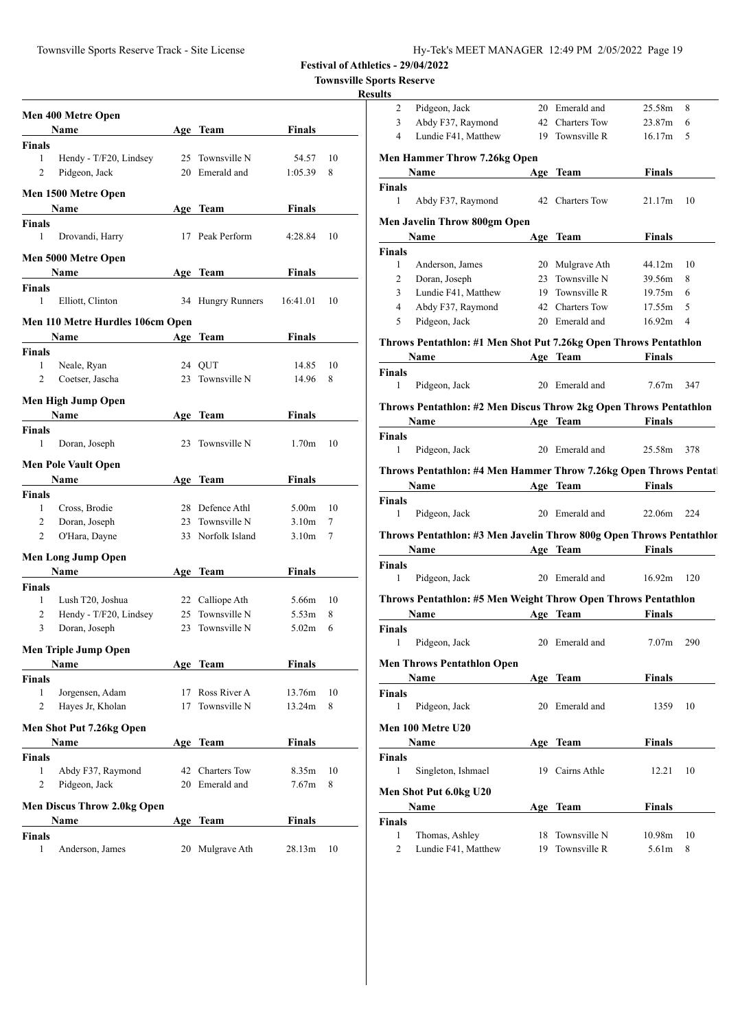|                               | Men 400 Metre Open                 |          |                              |                   |         |
|-------------------------------|------------------------------------|----------|------------------------------|-------------------|---------|
|                               | Name                               |          | Age Team                     | <b>Finals</b>     |         |
| <b>Finals</b>                 |                                    |          |                              |                   |         |
| $\mathbf{1}$                  | Hendy - T/F20, Lindsey             |          | 25 Townsville N              | 54.57             | 10      |
| 2                             | Pidgeon, Jack                      |          | 20 Emerald and               | 1:05.39           | 8       |
|                               |                                    |          |                              |                   |         |
|                               | Men 1500 Metre Open<br>Name        |          |                              | Finals            |         |
|                               |                                    |          | Age Team                     |                   |         |
| Finals<br>1                   |                                    |          | 17 Peak Perform              | 4:28.84           | 10      |
|                               | Drovandi, Harry                    |          |                              |                   |         |
|                               | Men 5000 Metre Open                |          |                              |                   |         |
|                               | <b>Name</b>                        |          | Age Team                     | <b>Finals</b>     |         |
| Finals                        |                                    |          |                              |                   |         |
| 1                             | Elliott, Clinton                   |          | 34 Hungry Runners            | 16:41.01          | 10      |
|                               |                                    |          |                              |                   |         |
|                               | Men 110 Metre Hurdles 106cm Open   |          |                              | <b>Finals</b>     |         |
|                               | Name                               |          | Age Team                     |                   |         |
| <b>Finals</b><br>$\mathbf{1}$ | Neale, Ryan                        |          | 24 QUT                       | 14.85             | 10      |
| 2                             | Coetser, Jascha                    |          | 23 Townsville N              | 14.96             | 8       |
|                               |                                    |          |                              |                   |         |
|                               | Men High Jump Open                 |          |                              |                   |         |
|                               | Name                               |          | Age Team                     | Finals            |         |
| <b>Finals</b>                 |                                    |          |                              |                   |         |
| 1                             | Doran, Joseph                      |          | 23 Townsville N              | 1.70 <sub>m</sub> | 10      |
|                               |                                    |          |                              |                   |         |
|                               | <b>Men Pole Vault Open</b>         |          |                              |                   |         |
|                               | Name                               |          | Age Team                     | Finals            |         |
| <b>Finals</b><br>1            | Cross, Brodie                      |          | 28 Defence Athl              | 5.00 <sub>m</sub> | 10      |
| 2                             |                                    | 23       | Townsville N                 | 3.10 <sub>m</sub> | 7       |
| $\overline{2}$                | Doran, Joseph<br>O'Hara, Dayne     |          | 33 Norfolk Island            | 3.10 <sub>m</sub> | 7       |
|                               |                                    |          |                              |                   |         |
|                               | Men Long Jump Open                 |          |                              |                   |         |
|                               | Name                               |          | Age Team                     | Finals            |         |
| Finals                        |                                    |          |                              |                   |         |
| 1                             | Lush T20, Joshua                   |          | 22 Calliope Ath              | 5.66m             | 10      |
| 2                             | Hendy - T/F20, Lindsey             |          | 25 Townsville N              | 5.53m             | 8       |
| 3                             | Doran, Joseph                      |          | 23 Townsville N              | 5.02 <sub>m</sub> | 6       |
|                               |                                    |          |                              |                   |         |
|                               | <b>Men Triple Jump Open</b>        |          |                              |                   |         |
|                               | Name                               |          | Age Team                     | <b>Finals</b>     |         |
| <b>Finals</b><br>1            | Jorgensen, Adam                    |          |                              |                   |         |
| 2                             | Hayes Jr, Kholan                   | 17<br>17 | Ross River A<br>Townsville N | 13.76m<br>13.24m  | 10<br>8 |
|                               |                                    |          |                              |                   |         |
|                               | Men Shot Put 7.26kg Open           |          |                              |                   |         |
|                               | Name                               | Age      | <b>Team</b>                  | <b>Finals</b>     |         |
| <b>Finals</b>                 |                                    |          |                              |                   |         |
| 1                             | Abdy F37, Raymond                  |          | 42 Charters Tow              | 8.35m             | 10      |
| 2                             | Pidgeon, Jack                      |          | 20 Emerald and               | 7.67 <sub>m</sub> | 8       |
|                               |                                    |          |                              |                   |         |
|                               | <b>Men Discus Throw 2.0kg Open</b> |          |                              |                   |         |
|                               | Name                               |          | Age Team                     | Finals            |         |
| Finals                        |                                    |          |                              |                   |         |
| 1                             | Anderson, James                    |          | 20 Mulgrave Ath              | 28.13m            | 10      |

| 2                  | Pidgeon, Jack                                                       |     | 20 Emerald and  | 25.58m            | 8     |
|--------------------|---------------------------------------------------------------------|-----|-----------------|-------------------|-------|
| 3                  | Abdy F37, Raymond                                                   |     | 42 Charters Tow | 23.87m            | 6     |
| 4                  | Lundie F41, Matthew                                                 |     | 19 Townsville R | 16.17m            | 5     |
|                    | <b>Men Hammer Throw 7.26kg Open</b>                                 |     |                 |                   |       |
|                    | Name                                                                | Age | Team            | Finals            |       |
| Finals             |                                                                     |     |                 |                   |       |
| 1                  | Abdy F37, Raymond                                                   |     | 42 Charters Tow | 21.17m            | 10    |
|                    |                                                                     |     |                 |                   |       |
|                    | Men Javelin Throw 800gm Open                                        |     |                 |                   |       |
| Finals             | Name                                                                |     | Age Team        | Finals            |       |
| 1                  | Anderson, James                                                     |     | 20 Mulgrave Ath | 44.12m            | 10    |
| 2                  | Doran, Joseph                                                       |     | 23 Townsville N | 39.56m            | 8     |
| 3                  | Lundie F41, Matthew                                                 |     | 19 Townsville R | 19.75m            | 6     |
| $\overline{4}$     | Abdy F37, Raymond                                                   |     | 42 Charters Tow | 17.55m            | 5     |
| 5                  | Pidgeon, Jack                                                       |     | 20 Emerald and  | 16.92m            | 4     |
|                    |                                                                     |     |                 |                   |       |
|                    | Throws Pentathlon: #1 Men Shot Put 7.26kg Open Throws Pentathlon    |     |                 |                   |       |
|                    | Name                                                                |     | Age Team        | Finals            |       |
| <b>Finals</b><br>1 |                                                                     |     | 20 Emerald and  | 7.67 <sub>m</sub> | 347   |
|                    | Pidgeon, Jack                                                       |     |                 |                   |       |
|                    | Throws Pentathlon: #2 Men Discus Throw 2kg Open Throws Pentathlon   |     |                 |                   |       |
|                    | Name                                                                |     | Age Team        | <b>Finals</b>     |       |
| Finals             |                                                                     |     |                 |                   |       |
| 1                  | Pidgeon, Jack                                                       |     | 20 Emerald and  | 25.58m            | 378   |
|                    | Throws Pentathlon: #4 Men Hammer Throw 7.26kg Open Throws Pentat    |     |                 |                   |       |
|                    |                                                                     |     | Age Team        | Finals            |       |
|                    |                                                                     |     |                 |                   |       |
|                    | Name                                                                |     |                 |                   |       |
| <b>Finals</b><br>1 | Pidgeon, Jack                                                       |     | 20 Emerald and  | 22.06m            | 224   |
|                    |                                                                     |     |                 |                   |       |
|                    | Throws Pentathlon: #3 Men Javelin Throw 800g Open Throws Pentathlor |     |                 |                   |       |
|                    | <b>Name</b>                                                         |     | Age Team        | Finals            |       |
| Finals             |                                                                     |     |                 |                   |       |
| 1                  | Pidgeon, Jack                                                       |     | 20 Emerald and  | 16.92m            | - 120 |
|                    | Throws Pentathlon: #5 Men Weight Throw Open Throws Pentathlon       |     |                 |                   |       |
|                    | Name                                                                |     | Age Team        | Finals            |       |
| Finals             |                                                                     |     |                 |                   |       |
| 1                  | Pidgeon, Jack                                                       |     | 20 Emerald and  | 7.07 <sub>m</sub> | 290   |
|                    | <b>Men Throws Pentathlon Open</b>                                   |     |                 |                   |       |
|                    | Name                                                                |     | Age Team        | Finals            |       |
| <b>Finals</b>      |                                                                     |     |                 |                   |       |
| $\mathbf{1}$       | Pidgeon, Jack                                                       |     | 20 Emerald and  | 1359              | 10    |
|                    |                                                                     |     |                 |                   |       |
|                    | Men 100 Metre U20                                                   |     |                 |                   |       |
|                    | Name                                                                |     | Age Team        | <b>Finals</b>     |       |
| Finals             |                                                                     |     |                 |                   |       |
| 1                  | Singleton, Ishmael                                                  |     | 19 Cairns Athle | 12.21             | 10    |
|                    | Men Shot Put 6.0kg U20                                              |     |                 |                   |       |
|                    | Name                                                                |     | Age Team        | Finals            |       |
| <b>Finals</b>      |                                                                     |     |                 |                   |       |
| 1                  | Thomas, Ashley                                                      | 18  | Townsville N    | 10.98m            | 10    |
| 2                  | Lundie F41, Matthew                                                 | 19  | Townsville R    | 5.61m             | 8     |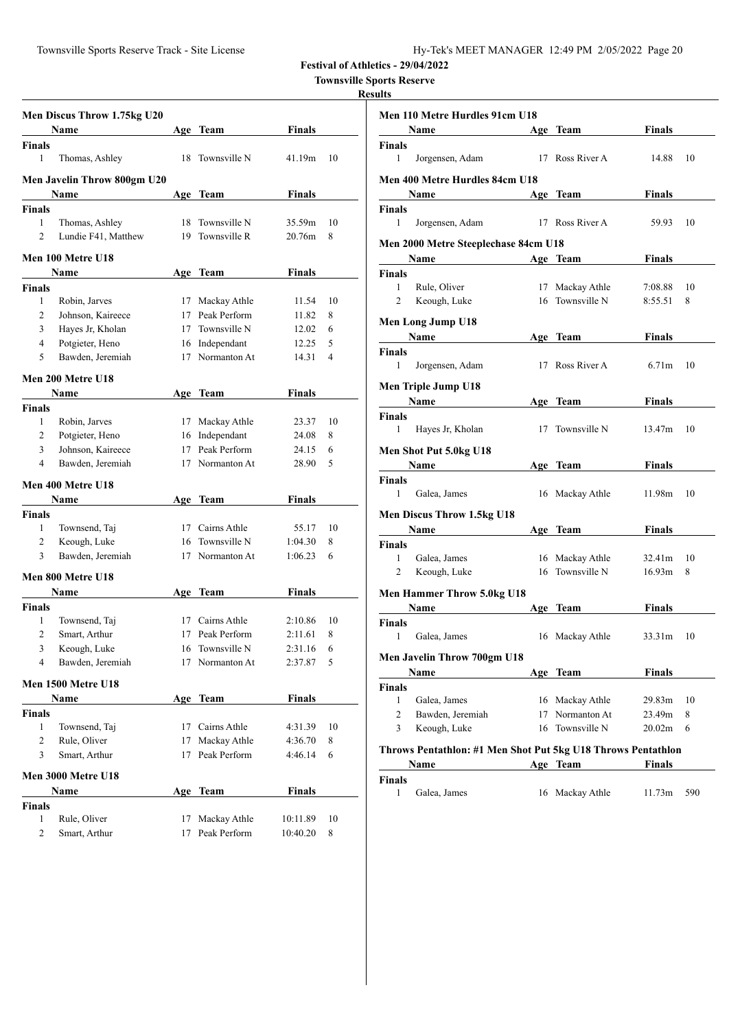| Hy-Tek's MEET MANAGER 12:49 PM 2/05/2022 Page 20 |  |  |  |
|--------------------------------------------------|--|--|--|
|--------------------------------------------------|--|--|--|

|                    | Men Discus Throw 1.75kg U20      |          |                              |                    |        |
|--------------------|----------------------------------|----------|------------------------------|--------------------|--------|
|                    | Name                             |          | Age Team                     | Finals             |        |
| <b>Finals</b>      |                                  |          |                              |                    |        |
| 1                  | Thomas, Ashley                   | 18       | Townsville N                 | 41.19m             | 10     |
|                    | Men Javelin Throw 800gm U20      |          |                              |                    |        |
|                    | Name                             |          | Age Team                     | Finals             |        |
| Finals             |                                  |          |                              |                    |        |
| 1                  | Thomas, Ashley                   |          | 18 Townsville N              | 35.59m             | 10     |
| $\overline{c}$     | Lundie F41, Matthew              | 19       | Townsville R                 | 20.76m             | 8      |
|                    | Men 100 Metre U18                |          |                              |                    |        |
|                    | Name                             | Age      | Team                         | <b>Finals</b>      |        |
| <b>Finals</b>      |                                  |          |                              |                    |        |
| 1                  | Robin, Jarves                    |          | 17 Mackay Athle              | 11.54              | 10     |
| 2                  | Johnson, Kaireece                | 17       | Peak Perform                 | 11.82              | 8      |
| 3                  | Hayes Jr, Kholan                 |          | 17 Townsville N              | 12.02              | 6      |
| $\overline{4}$     | Potgieter, Heno                  |          | 16 Independant               | 12.25              | 5      |
| 5                  | Bawden, Jeremiah                 | 17       | Normanton At                 | 14.31              | 4      |
|                    |                                  |          |                              |                    |        |
|                    | <b>Men 200 Metre U18</b>         |          |                              |                    |        |
|                    | Name                             |          | Age Team                     | Finals             |        |
| <b>Finals</b>      |                                  |          |                              |                    |        |
| 1                  | Robin, Jarves                    |          | 17 Mackay Athle              | 23.37              | 10     |
| 2                  | Potgieter, Heno                  |          | 16 Independant               | 24.08              | 8      |
| 3                  | Johnson, Kaireece                |          | 17 Peak Perform              | 24.15              | 6      |
| 4                  | Bawden, Jeremiah                 |          | 17 Normanton At              | 28.90              | 5      |
|                    | Men 400 Metre U18                |          |                              |                    |        |
|                    | Name                             |          | Age Team                     | Finals             |        |
| <b>Finals</b>      |                                  |          |                              |                    |        |
| 1                  | Townsend, Taj                    | 17       | Cairns Athle                 | 55.17              | 10     |
| 2                  | Keough, Luke                     | 16       | Townsville N                 | 1:04.30            | 8      |
| 3                  | Bawden, Jeremiah                 | 17       | Normanton At                 | 1:06.23            | 6      |
|                    | <b>Men 800 Metre U18</b>         |          |                              |                    |        |
|                    | <b>Name</b>                      |          |                              |                    |        |
|                    |                                  | Age      | Team                         | <b>Finals</b>      |        |
| <b>Finals</b><br>1 |                                  |          | 17 Cairns Athle              |                    |        |
|                    | Townsend, Taj                    |          |                              | 2:10.86            | 10     |
| 2                  | Smart, Arthur                    | 17       | Peak Perform                 | 2:11.61            | 8      |
| 3<br>4             | Keough, Luke<br>Bawden, Jeremiah | 16<br>17 | Townsville N<br>Normanton At | 2:31.16<br>2:37.87 | 6<br>5 |
|                    |                                  |          |                              |                    |        |
|                    | Men 1500 Metre U18               |          |                              |                    |        |
|                    | Name                             |          | Age Team                     | <b>Finals</b>      |        |
| <b>Finals</b>      |                                  |          |                              |                    |        |
| 1                  | Townsend, Taj                    | 17       | Cairns Athle                 | 4:31.39            | 10     |
| 2                  | Rule, Oliver                     | 17       | Mackay Athle                 | 4:36.70            | 8      |
| 3                  | Smart, Arthur                    | 17       | Peak Perform                 | 4:46.14            | 6      |
|                    | Men 3000 Metre U18               |          |                              |                    |        |
|                    | Name                             | Age      | Team                         | <b>Finals</b>      |        |
| <b>Finals</b>      |                                  |          |                              |                    |        |
| 1                  | Rule, Oliver                     | 17       | Mackay Athle                 | 10:11.89           | 10     |
| 2                  | Smart, Arthur                    | 17       | Peak Perform                 | 10:40.20           | 8      |
|                    |                                  |          |                              |                    |        |

| Men 110 Metre Hurdles 91cm U18                               |    |                 |                   |    |
|--------------------------------------------------------------|----|-----------------|-------------------|----|
| <b>Name</b>                                                  |    | Age Team        | <b>Finals</b>     |    |
| <b>Finals</b>                                                |    |                 |                   |    |
| 1<br>Jorgensen, Adam                                         |    | 17 Ross River A | 14.88             | 10 |
| <b>Men 400 Metre Hurdles 84cm U18</b>                        |    |                 |                   |    |
| Name                                                         |    | Age Team        | <b>Finals</b>     |    |
| <b>Finals</b>                                                |    |                 |                   |    |
| 1<br>Jorgensen, Adam                                         | 17 | Ross River A    | 59.93             | 10 |
| Men 2000 Metre Steeplechase 84cm U18                         |    |                 |                   |    |
| Name                                                         |    | Age Team        | Finals            |    |
| <b>Finals</b>                                                |    |                 |                   |    |
| 1<br>Rule, Oliver                                            |    | 17 Mackay Athle | 7:08.88           | 10 |
| 2<br>Keough, Luke                                            |    | 16 Townsville N | 8:55.51           | 8  |
| <b>Men Long Jump U18</b>                                     |    |                 |                   |    |
| Name                                                         |    | Age Team        | Finals            |    |
|                                                              |    |                 |                   |    |
| Finals<br>1<br>Jorgensen, Adam                               |    | 17 Ross River A | 6.71 <sub>m</sub> | 10 |
|                                                              |    |                 |                   |    |
| Men Triple Jump U18                                          |    |                 |                   |    |
| <b>Name</b>                                                  |    | Age Team        | <b>Finals</b>     |    |
| Finals                                                       |    |                 |                   |    |
| 1<br>Hayes Jr, Kholan                                        | 17 | Townsville N    | 13.47m            | 10 |
| Men Shot Put 5.0kg U18                                       |    |                 |                   |    |
| Name                                                         |    | Age Team        | Finals            |    |
| Finals                                                       |    |                 |                   |    |
| 1<br>Galea, James                                            |    | 16 Mackay Athle | 11.98m            | 10 |
| <b>Men Discus Throw 1.5kg U18</b>                            |    |                 |                   |    |
| Name                                                         |    | Age Team        | Finals            |    |
| Finals                                                       |    |                 |                   |    |
| 1<br>Galea, James                                            |    | 16 Mackay Athle | 32.41m            | 10 |
| 2<br>Keough, Luke                                            |    | 16 Townsville N | 16.93m            | 8  |
|                                                              |    |                 |                   |    |
| Men Hammer Throw 5.0kg U18                                   |    |                 |                   |    |
| Name                                                         |    | Age Team        | <b>Finals</b>     |    |
| <b>Finals</b>                                                |    |                 |                   |    |
| 1<br>Galea, James                                            |    | 16 Mackay Athle | 33.31m            | 10 |
| <b>Men Javelin Throw 700gm U18</b>                           |    |                 |                   |    |
| Name                                                         |    | Age Team        | <b>Finals</b>     |    |
| <b>Finals</b>                                                |    |                 |                   |    |
| Galea, James<br>1                                            | 16 | Mackay Athle    | 29.83m            | 10 |
| 2<br>Bawden, Jeremiah                                        | 17 | Normanton At    | 23.49m            | 8  |
| 3<br>Keough, Luke                                            | 16 | Townsville N    | 20.02m            | 6  |
| Throws Pentathlon: #1 Men Shot Put 5kg U18 Throws Pentathlon |    |                 |                   |    |

| <b>Name</b> |              | Age Team        | <b>Finals</b> |  |
|-------------|--------------|-----------------|---------------|--|
| Finals      |              |                 |               |  |
|             | Galea, James | 16 Mackay Athle | $11.73m$ 590  |  |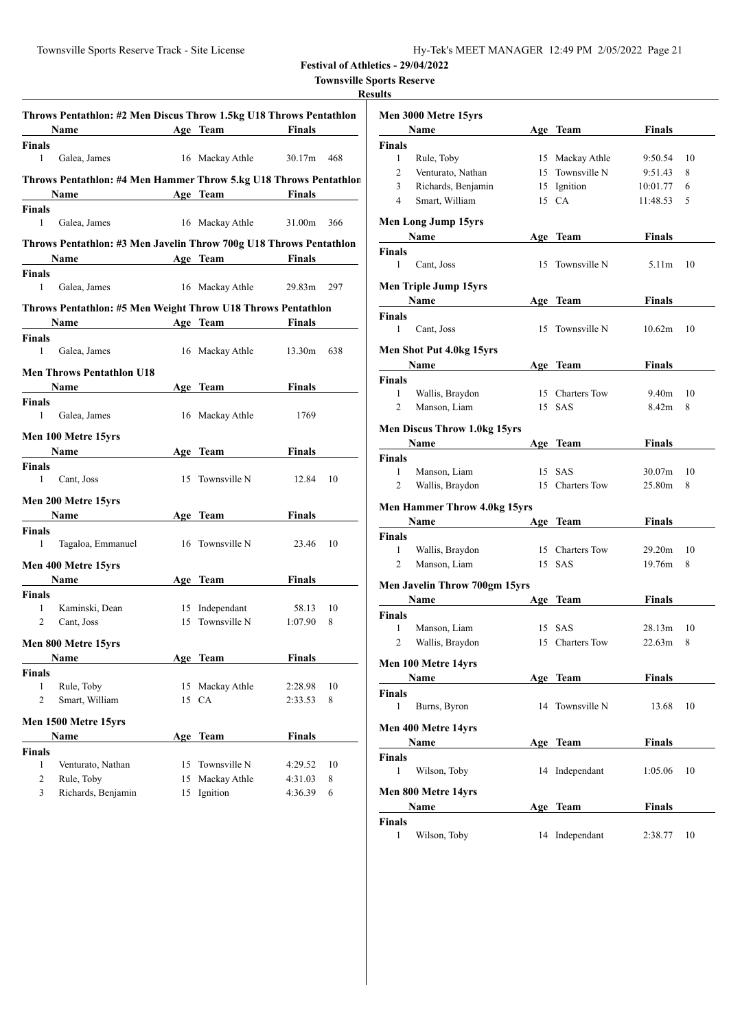| <b>Townsville Sports Reserve</b> |
|----------------------------------|
| <b>Results</b>                   |
|                                  |

|                    | Throws Pentathlon: #2 Men Discus Throw 1.5kg U18 Throws Pentathlon |     |                                         |                |     |
|--------------------|--------------------------------------------------------------------|-----|-----------------------------------------|----------------|-----|
|                    | Name                                                               |     | <b>Example 2</b> Age Team <b>Finals</b> |                |     |
| <b>Finals</b>      |                                                                    |     |                                         |                |     |
| 1                  | Galea, James                                                       |     | 16 Mackay Athle                         | $30.17m + 468$ |     |
|                    | Throws Pentathlon: #4 Men Hammer Throw 5.kg U18 Throws Pentathlon  |     |                                         |                |     |
|                    | <b>Name</b><br><b>Example 2</b> Age Team <b>Finals</b>             |     |                                         |                |     |
| <b>Finals</b><br>1 | Galea, James                                                       |     | 16 Mackay Athle                         | 31.00m 366     |     |
|                    | Throws Pentathlon: #3 Men Javelin Throw 700g U18 Throws Pentathlon |     |                                         |                |     |
|                    | Name Age Team Finals                                               |     |                                         |                |     |
| <b>Finals</b>      |                                                                    |     |                                         |                |     |
| 1                  | Galea, James                                                       |     | 16 Mackay Athle                         | 29.83m         | 297 |
|                    | Throws Pentathlon: #5 Men Weight Throw U18 Throws Pentathlon       |     |                                         |                |     |
|                    | <b>Example 2018</b> Age Team<br>Name                               |     |                                         | Finals         |     |
| Finals<br>1        | Galea, James                                                       |     | 16 Mackay Athle                         | 13.30m         | 638 |
|                    | <b>Men Throws Pentathlon U18</b>                                   |     |                                         |                |     |
|                    | <b>Name</b>                                                        |     | Age Team                                | Finals         |     |
| Finals             |                                                                    |     |                                         |                |     |
| 1                  | Galea, James                                                       |     | 16 Mackay Athle                         | 1769           |     |
|                    | Men 100 Metre 15yrs                                                |     |                                         |                |     |
|                    | <b>Name</b>                                                        |     | Age Team                                | <b>Finals</b>  |     |
| Finals<br>1        | Cant, Joss                                                         | 15  | Townsville N                            | 12.84          | 10  |
|                    | Men 200 Metre 15yrs                                                |     |                                         |                |     |
|                    | Name                                                               |     | Age Team                                | Finals         |     |
| Finals             |                                                                    |     |                                         |                |     |
| 1                  | Tagaloa, Emmanuel                                                  |     | 16 Townsville N                         | 23.46          | 10  |
|                    | Men 400 Metre 15yrs                                                |     |                                         |                |     |
|                    | <b>Name</b>                                                        |     | Age Team                                | Finals         |     |
| Finals             |                                                                    |     |                                         |                |     |
| 1                  | Kaminski, Dean                                                     |     | 15 Independant                          | 58.13          | 10  |
| 2                  | Cant, Joss                                                         |     | 15 Townsville N                         | 1:07.90        | 8   |
|                    | Men 800 Metre 15yrs                                                |     |                                         |                |     |
|                    | Name                                                               |     | Age Team                                | Finals         |     |
| <b>Finals</b>      |                                                                    |     |                                         |                |     |
| 1                  | Rule, Toby                                                         | 15  | Mackay Athle                            | 2:28.98        | 10  |
| 2                  | Smart, William                                                     | 15  | CA                                      | 2:33.53        | 8   |
|                    | Men 1500 Metre 15yrs                                               |     |                                         |                |     |
|                    | Name                                                               | Age | <b>Team</b>                             | <b>Finals</b>  |     |
| <b>Finals</b>      |                                                                    |     |                                         |                |     |
| 1                  | Venturato, Nathan                                                  | 15  | Townsville N                            | 4:29.52        | 10  |
| 2                  | Rule, Toby                                                         | 15  | Mackay Athle                            | 4:31.03        | 8   |
| 3                  | Richards, Benjamin                                                 | 15  | Ignition                                | 4:36.39        | 6   |
|                    |                                                                    |     |                                         |                |     |

|                    | Men 3000 Metre 15yrs                |     |                     |               |    |
|--------------------|-------------------------------------|-----|---------------------|---------------|----|
|                    | Name                                |     | Age Team            | Finals        |    |
| Finals             |                                     |     |                     |               |    |
| 1                  | Rule, Toby                          | 15  | Mackay Athle        | 9:50.54       | 10 |
| 2                  | Venturato, Nathan                   | 15  | Townsville N        | 9:51.43       | 8  |
| 3                  | Richards, Benjamin                  | 15  | Ignition            | 10:01.77      | 6  |
| 4                  | Smart, William                      | 15  | CA                  | 11:48.53      | 5  |
|                    | <b>Men Long Jump 15yrs</b>          |     |                     |               |    |
|                    | Name                                |     | Age Team            | Finals        |    |
| <b>Finals</b><br>1 | Cant, Joss                          | 15  | Townsville N        | 5.11m         | 10 |
|                    | <b>Men Triple Jump 15yrs</b>        |     |                     |               |    |
|                    | Name                                |     | Age Team            | Finals        |    |
| Finals             |                                     |     |                     |               |    |
| 1                  | Cant, Joss                          | 15  | Townsville N        | 10.62m        | 10 |
|                    | Men Shot Put 4.0kg 15yrs            |     |                     |               |    |
|                    | Name                                |     | Age Team            | Finals        |    |
| <b>Finals</b>      |                                     |     |                     |               |    |
| 1                  | Wallis, Braydon                     | 15  | <b>Charters Tow</b> | 9.40m         | 10 |
| 2                  | Manson, Liam                        |     | 15 SAS              | 8.42m         | 8  |
|                    | <b>Men Discus Throw 1.0kg 15yrs</b> |     |                     |               |    |
|                    | Name                                |     | Age Team            | Finals        |    |
| <b>Finals</b>      |                                     |     |                     |               |    |
| 1                  | Manson, Liam                        | 15  | <b>SAS</b>          | 30.07m        | 10 |
| 2                  | Wallis, Braydon                     |     | 15 Charters Tow     | 25.80m        | 8  |
|                    | <b>Men Hammer Throw 4.0kg 15yrs</b> |     |                     |               |    |
|                    | Name                                | Age | Team                | Finals        |    |
| <b>Finals</b>      |                                     |     |                     |               |    |
| 1                  | Wallis, Braydon                     |     | 15 Charters Tow     | 29.20m        | 10 |
| 2                  | Manson, Liam                        |     | 15 SAS              | 19.76m        | 8  |
|                    | Men Javelin Throw 700gm 15yrs       |     |                     |               |    |
|                    | Name                                |     | Age Team            | <b>Finals</b> |    |
| Finals             |                                     |     |                     |               |    |
| 1                  | Manson, Liam                        | 15  | <b>SAS</b>          | 28.13m        | 10 |
| 2                  | Wallis, Braydon                     | 15  | <b>Charters Tow</b> | 22.63m        | 8  |
|                    |                                     |     |                     |               |    |
|                    | Men 100 Metre 14yrs                 |     |                     |               |    |
|                    | Name                                |     | Age Team            | <b>Finals</b> |    |
| Finals             |                                     |     |                     |               |    |
| 1                  | Burns, Byron                        | 14  | Townsville N        | 13.68         | 10 |
|                    | Men 400 Metre 14yrs                 |     |                     |               |    |
|                    | Name                                |     | Age Team            | <b>Finals</b> |    |
| Finals             |                                     |     |                     |               |    |
| 1                  | Wilson, Toby                        |     | 14 Independant      | 1:05.06       | 10 |
|                    | Men 800 Metre 14yrs                 |     |                     |               |    |
|                    | Name                                |     | Age Team            | Finals        |    |
| Finals             |                                     |     |                     |               |    |
| 1                  | Wilson, Toby                        | 14  | Independant         | 2:38.77       | 10 |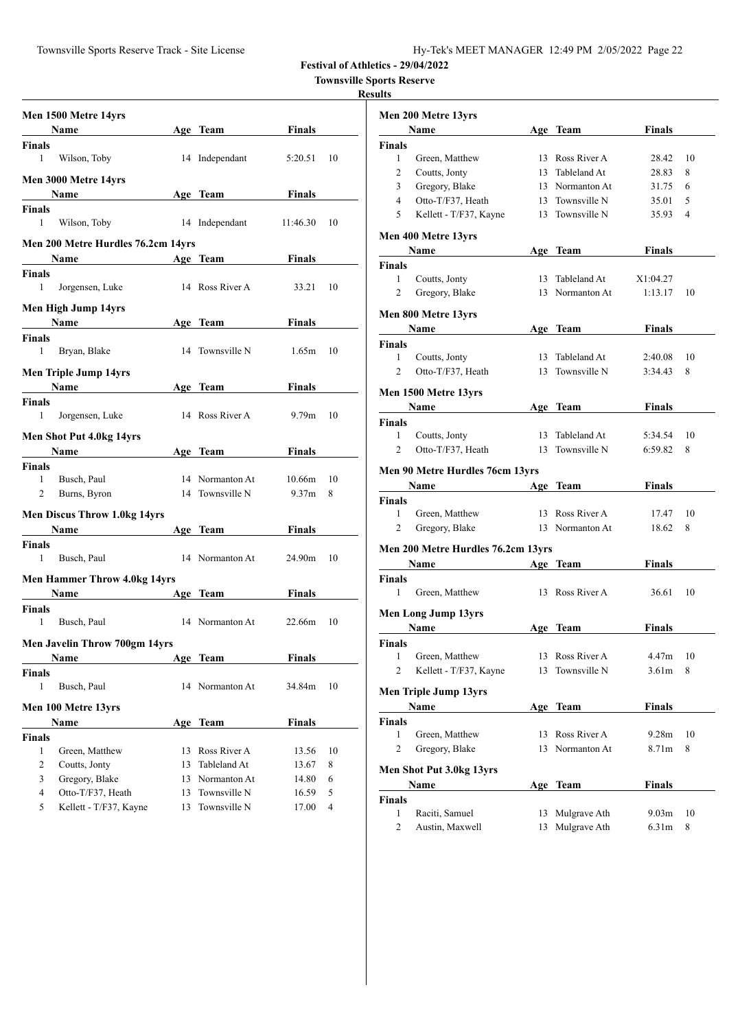|               | Men 1500 Metre 14yrs                        |     |                                 |                |        |
|---------------|---------------------------------------------|-----|---------------------------------|----------------|--------|
| <b>Name</b>   |                                             |     | Age Team                        | Finals         |        |
| Finals<br>1   | Wilson, Toby                                |     | 14 Independant                  | 5:20.51        | 10     |
|               | Men 3000 Metre 14yrs                        |     |                                 |                |        |
|               | Name                                        |     | Age Team                        | <b>Finals</b>  |        |
| <b>Finals</b> |                                             |     |                                 |                |        |
| 1             | Wilson, Toby                                |     | 14 Independant                  | 11:46.30       | 10     |
|               | Men 200 Metre Hurdles 76.2cm 14yrs          |     |                                 |                |        |
|               | <b>Name</b>                                 |     | Age Team                        | Finals         |        |
| Finals        |                                             |     |                                 |                |        |
| 1             | Jorgensen, Luke                             |     | 14 Ross River A                 | 33.21          | 10     |
|               | Men High Jump 14yrs<br>Name                 |     | Age Team                        | Finals         |        |
| Finals        |                                             |     |                                 |                |        |
| 1             | Bryan, Blake                                |     | 14 Townsville N                 | 1.65m          | 10     |
|               | Men Triple Jump 14yrs                       |     |                                 |                |        |
|               | Name                                        |     | Age Team                        | Finals         |        |
| Finals        |                                             |     |                                 |                |        |
| 1             | Jorgensen, Luke                             |     | 14 Ross River A                 | 9.79m          | 10     |
|               | <b>Men Shot Put 4.0kg 14yrs</b>             |     |                                 |                |        |
|               | <b>Name</b>                                 |     | Age Team                        | <b>Finals</b>  |        |
| Finals        |                                             |     |                                 |                |        |
| 1             | Busch, Paul                                 |     | 14 Normanton At                 | 10.66m         | 10     |
| 2             | Burns, Byron                                |     | 14 Townsville N                 | 9.37m          | 8      |
|               | <b>Men Discus Throw 1.0kg 14yrs</b>         |     |                                 |                |        |
|               | <b>Name</b>                                 |     | Age Team                        | Finals         |        |
|               |                                             |     |                                 |                |        |
| Finals<br>1   | Busch, Paul                                 |     | 14 Normanton At                 | 24.90m         | 10     |
|               | <b>Men Hammer Throw 4.0kg 14yrs</b>         |     |                                 |                |        |
|               | Name                                        |     | Age Team                        | <b>Finals</b>  |        |
| Finals        |                                             |     |                                 |                |        |
| 1             | Busch, Paul                                 |     | 14 Normanton At                 | 22.66m         | 10     |
|               | Men Javelin Throw 700gm 14yrs               |     |                                 |                |        |
|               | Name                                        |     | Age Team                        | <b>Finals</b>  |        |
| Finals        |                                             |     |                                 |                |        |
| 1             | Busch, Paul                                 |     | 14 Normanton At                 | 34.84m         | 10     |
|               | Men 100 Metre 13yrs                         |     |                                 |                |        |
|               | Name                                        | Age | <b>Team</b>                     | <b>Finals</b>  |        |
| Finals        |                                             |     |                                 |                |        |
| 1             | Green, Matthew                              | 13  | Ross River A                    | 13.56          | 10     |
| $\mathbf{2}$  | Coutts, Jonty                               | 13  | Tableland At                    | 13.67          | 8      |
| 3             | Gregory, Blake                              | 13  | Normanton At                    |                | 6      |
|               |                                             |     |                                 | 14.80          |        |
| 4<br>5        | Otto-T/F37, Heath<br>Kellett - T/F37, Kayne | 13  | 13 Townsville N<br>Townsville N | 16.59<br>17.00 | 5<br>4 |
|               |                                             |     |                                 |                |        |

| uits           |                                    |     |                 |                   |    |
|----------------|------------------------------------|-----|-----------------|-------------------|----|
|                | Men 200 Metre 13yrs                |     |                 |                   |    |
|                | Name                               |     | Age Team        | <b>Finals</b>     |    |
| Finals         |                                    |     |                 |                   |    |
| 1              | Green, Matthew                     |     | 13 Ross River A | 28.42             | 10 |
| 2              | Coutts, Jonty                      |     | 13 Tableland At | 28.83             | 8  |
| 3              | Gregory, Blake                     |     | 13 Normanton At | 31.75             | 6  |
| 4              | Otto-T/F37, Heath                  |     | 13 Townsville N | 35.01             | 5  |
| 5              | Kellett - T/F37, Kayne             | 13  | Townsville N    | 35.93             | 4  |
|                | Men 400 Metre 13yrs                |     |                 |                   |    |
|                | Name                               |     | Age Team        | Finals            |    |
| Finals         |                                    |     |                 |                   |    |
| 1              | Coutts, Jonty                      | 13  | Tableland At    | X1:04.27          |    |
| 2              | Gregory, Blake                     |     | 13 Normanton At | 1:13.17           | 10 |
|                | Men 800 Metre 13yrs                |     |                 |                   |    |
|                | Name                               |     | Age Team        | Finals            |    |
| Finals         |                                    |     |                 |                   |    |
| 1              | Coutts, Jonty                      |     | 13 Tableland At | 2:40.08           | 10 |
| $\overline{2}$ | Otto-T/F37, Heath                  | 13  | Townsville N    | 3:34.43           | 8  |
|                | Men 1500 Metre 13yrs               |     |                 |                   |    |
|                | Name                               |     | Age Team        | <b>Finals</b>     |    |
| Finals         |                                    |     |                 |                   |    |
| 1              | Coutts, Jonty                      | 13  | Tableland At    | 5:34.54           | 10 |
| 2              | Otto-T/F37, Heath                  | 13  | Townsville N    | 6:59.82           | 8  |
|                | Men 90 Metre Hurdles 76cm 13yrs    |     |                 |                   |    |
|                | Name                               |     | Age Team        | Finals            |    |
| Finals         |                                    |     |                 |                   |    |
| 1              | Green, Matthew                     |     | 13 Ross River A | 17.47             | 10 |
| 2              | Gregory, Blake                     |     | 13 Normanton At | 18.62             | 8  |
|                | Men 200 Metre Hurdles 76.2cm 13yrs |     |                 |                   |    |
|                | Name                               |     | Age Team        | <b>Finals</b>     |    |
| Finals         |                                    |     |                 |                   |    |
| 1              | Green, Matthew                     | 13  | Ross River A    | 36.61             | 10 |
|                | Men Long Jump 13yrs                |     |                 |                   |    |
|                | Name                               |     | Age Team        | Finals            |    |
| Finals         |                                    |     |                 |                   |    |
| 1              | Green, Matthew                     |     | 13 Ross River A | 4.47m             | 10 |
| $\overline{c}$ | Kellett - T/F37, Kayne             | 13  | Townsville N    | 3.61 <sub>m</sub> | 8  |
|                | <b>Men Triple Jump 13yrs</b>       |     |                 |                   |    |
|                | Name                               |     | Age Team        | <b>Finals</b>     |    |
| <b>Finals</b>  |                                    |     |                 |                   |    |
| 1              | Green, Matthew                     | 13  | Ross River A    | 9.28m             | 10 |
| 2              | Gregory, Blake                     | 13  | Normanton At    | 8.71m             | 8  |
|                | Men Shot Put 3.0kg 13yrs           |     |                 |                   |    |
|                | Name                               | Age | <b>Team</b>     | Finals            |    |
| <b>Finals</b>  |                                    |     |                 |                   |    |
| 1              | Raciti, Samuel                     | 13  | Mulgrave Ath    | 9.03m             | 10 |
| 2              | Austin, Maxwell                    | 13  | Mulgrave Ath    | 6.31m             | 8  |
|                |                                    |     |                 |                   |    |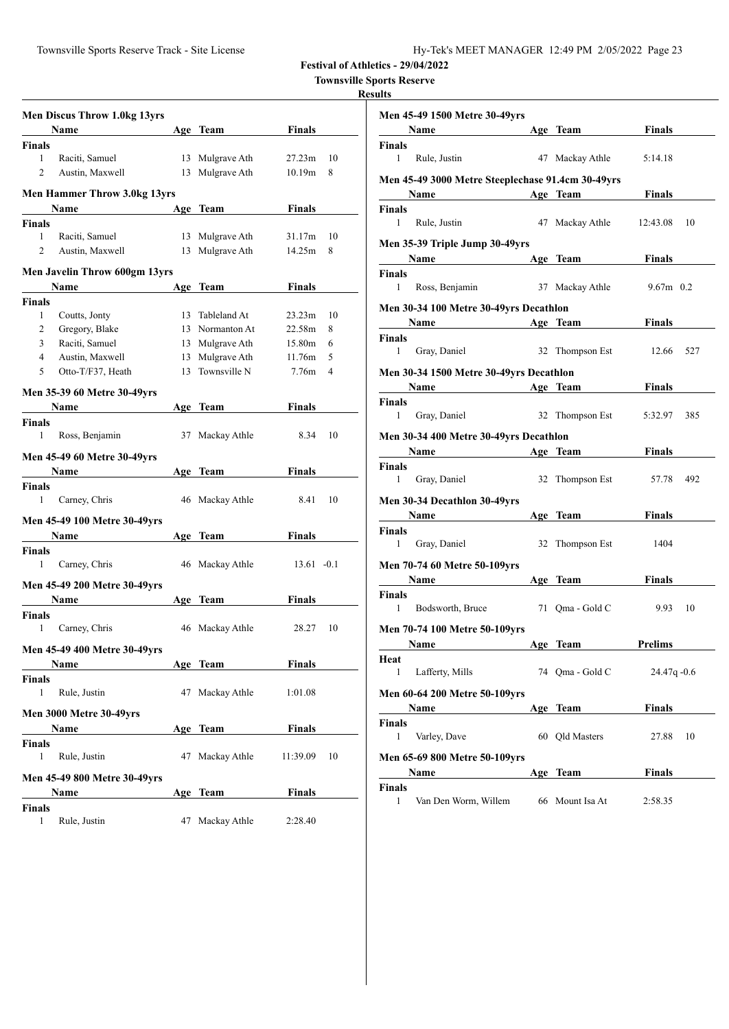|  |  | Hy-Tek's MEET MANAGER 12:49 PM 2/05/2022 Page 23 |  |  |  |
|--|--|--------------------------------------------------|--|--|--|
|--|--|--------------------------------------------------|--|--|--|

|                    | <b>Men Discus Throw 1.0kg 13yrs</b> |          |                              |                    |    |
|--------------------|-------------------------------------|----------|------------------------------|--------------------|----|
|                    | Name                                |          | Age Team                     | <b>Finals</b>      |    |
| <b>Finals</b>      |                                     |          |                              |                    |    |
| $\mathbf{1}$       | Raciti, Samuel                      |          | 13 Mulgrave Ath              | 27.23m             | 10 |
| $\overline{2}$     | Austin, Maxwell                     |          | 13 Mulgrave Ath              | 10.19m             | 8  |
|                    |                                     |          |                              |                    |    |
|                    | Men Hammer Throw 3.0kg 13yrs        |          |                              |                    |    |
|                    | Name                                |          | Age Team                     | Finals             |    |
| <b>Finals</b><br>1 |                                     |          |                              |                    | 10 |
| 2                  | Raciti, Samuel                      | 13<br>13 | Mulgrave Ath<br>Mulgrave Ath | 31.17m<br>14.25m   | 8  |
|                    | Austin, Maxwell                     |          |                              |                    |    |
|                    | Men Javelin Throw 600gm 13yrs       |          |                              |                    |    |
|                    | Name                                |          | Age Team                     | Finals             |    |
| Finals             |                                     |          |                              |                    |    |
| 1                  | Coutts, Jonty                       |          | 13 Tableland At              | 23.23m             | 10 |
| 2                  | Gregory, Blake                      |          | 13 Normanton At              | 22.58m             | 8  |
| 3                  | Raciti, Samuel                      |          | 13 Mulgrave Ath              | 15.80 <sub>m</sub> | 6  |
| $\overline{4}$     | Austin, Maxwell                     |          | 13 Mulgrave Ath              | 11.76m             | 5  |
| 5                  | Otto-T/F37, Heath                   |          | 13 Townsville N              | 7.76m              | 4  |
|                    | <b>Men 35-39 60 Metre 30-49yrs</b>  |          |                              |                    |    |
|                    | Name                                |          | Age Team                     | <b>Finals</b>      |    |
| Finals             |                                     |          |                              |                    |    |
| 1                  | Ross, Benjamin                      |          | 37 Mackay Athle              | 8.34               | 10 |
|                    |                                     |          |                              |                    |    |
|                    | Men 45-49 60 Metre 30-49yrs         |          |                              |                    |    |
|                    | <b>Name</b>                         |          | Age Team                     | Finals             |    |
| <b>Finals</b>      |                                     |          |                              |                    |    |
| 1                  | Carney, Chris                       |          | 46 Mackay Athle              | 8.41               | 10 |
|                    | <b>Men 45-49 100 Metre 30-49yrs</b> |          |                              |                    |    |
|                    | Name                                |          | Age Team                     | Finals             |    |
| Finals             |                                     |          |                              |                    |    |
| 1                  | Carney, Chris                       |          | 46 Mackay Athle              | $13.61 - 0.1$      |    |
|                    | Men 45-49 200 Metre 30-49yrs        |          |                              |                    |    |
|                    |                                     |          |                              |                    |    |
|                    | Name                                |          | Age Team                     | Finals             |    |
| <b>Finals</b><br>1 | Carney, Chris                       |          | 46 Mackay Athle              | 28.27              | 10 |
|                    |                                     |          |                              |                    |    |
|                    | <b>Men 45-49 400 Metre 30-49yrs</b> |          |                              |                    |    |
|                    | Name                                |          | Age Team                     | <b>Finals</b>      |    |
| Finals             |                                     |          |                              |                    |    |
| 1                  | Rule, Justin                        | 47       | Mackay Athle                 | 1:01.08            |    |
|                    | <b>Men 3000 Metre 30-49yrs</b>      |          |                              |                    |    |
|                    | Name                                |          | Age Team                     | Finals             |    |
| <b>Finals</b>      |                                     |          |                              |                    |    |
| 1                  | Rule, Justin                        | 47       | Mackay Athle                 | 11:39.09           | 10 |
|                    |                                     |          |                              |                    |    |
|                    | Men 45-49 800 Metre 30-49yrs        |          |                              |                    |    |
|                    | Name                                |          | Age Team                     | Finals             |    |
| Finals             |                                     |          |                              |                    |    |
| 1                  | Rule, Justin                        | 47       | Mackay Athle                 | 2:28.40            |    |

|              | <b>Men 45-49 1500 Metre 30-49yrs</b>              |     |                    |                |     |
|--------------|---------------------------------------------------|-----|--------------------|----------------|-----|
|              | <b>Name</b>                                       |     | Age Team           | Finals         |     |
| Finals       |                                                   |     |                    |                |     |
| 1            | Rule, Justin                                      | 47  | Mackay Athle       | 5:14.18        |     |
|              | Men 45-49 3000 Metre Steeplechase 91.4cm 30-49yrs |     |                    |                |     |
|              | <b>Example 2</b> Age Team<br>Name                 |     |                    | Finals         |     |
| Finals       |                                                   |     |                    |                |     |
| $\mathbf{1}$ | Rule, Justin                                      |     | 47 Mackay Athle    | 12:43.08       | 10  |
|              | Men 35-39 Triple Jump 30-49yrs                    |     |                    |                |     |
|              | Name Age Team                                     |     |                    | Finals         |     |
| Finals       |                                                   |     |                    |                |     |
| 1            | Ross, Benjamin                                    |     | 37 Mackay Athle    | $9.67m$ 0.2    |     |
|              | Men 30-34 100 Metre 30-49yrs Decathlon            |     |                    |                |     |
|              | Name                                              |     | Age Team           | Finals         |     |
| Finals       |                                                   |     |                    |                |     |
| 1            | Gray, Daniel                                      | 32  | Thompson Est       | 12.66          | 527 |
|              | Men 30-34 1500 Metre 30-49 vrs Decathlon          |     |                    |                |     |
|              | <b>Age Team</b><br>Name                           |     |                    | Finals         |     |
| Finals       |                                                   |     |                    |                |     |
| 1            | Gray, Daniel                                      |     | 32 Thompson Est    | 5:32.97        | 385 |
|              | Men 30-34 400 Metre 30-49yrs Decathlon            |     |                    |                |     |
|              | Name<br><b>Example 2</b> Age Team                 |     |                    | <b>Finals</b>  |     |
| Finals<br>1  | Gray, Daniel                                      |     | 32 Thompson Est    | 57.78          | 492 |
|              | Men 30-34 Decathlon 30-49yrs                      |     |                    |                |     |
|              | Name                                              |     | Age Team           | Finals         |     |
| Finals       |                                                   |     |                    |                |     |
| 1            | Gray, Daniel                                      | 32  | Thompson Est       | 1404           |     |
|              | Men 70-74 60 Metre 50-109yrs                      |     |                    |                |     |
|              | <b>Name</b>                                       |     | Age Team           | Finals         |     |
| Finals       |                                                   |     |                    |                |     |
| 1            | Bodsworth, Bruce                                  |     | 71 Oma - Gold C    | 9.93           | 10  |
|              | Men 70-74 100 Metre 50-109yrs                     |     |                    |                |     |
|              | Name                                              | Age | Team               | Prelims        |     |
| Heat         |                                                   |     |                    |                |     |
| 1            | Lafferty, Mills                                   |     | 74 Qma - Gold C    | $24.47q - 0.6$ |     |
|              | <b>Men 60-64 200 Metre 50-109yrs</b>              |     |                    |                |     |
|              | Name                                              |     | Age Team           | Finals         |     |
| Finals<br>1  |                                                   |     | <b>Qld Masters</b> |                | 10  |
|              | Varley, Dave                                      | 60  |                    | 27.88          |     |
|              | Men 65-69 800 Metre 50-109yrs                     |     |                    |                |     |
|              | Name                                              |     | Age Team           | Finals         |     |
| Finals<br>1  | Van Den Worm, Willem                              | 66  | Mount Isa At       | 2:58.35        |     |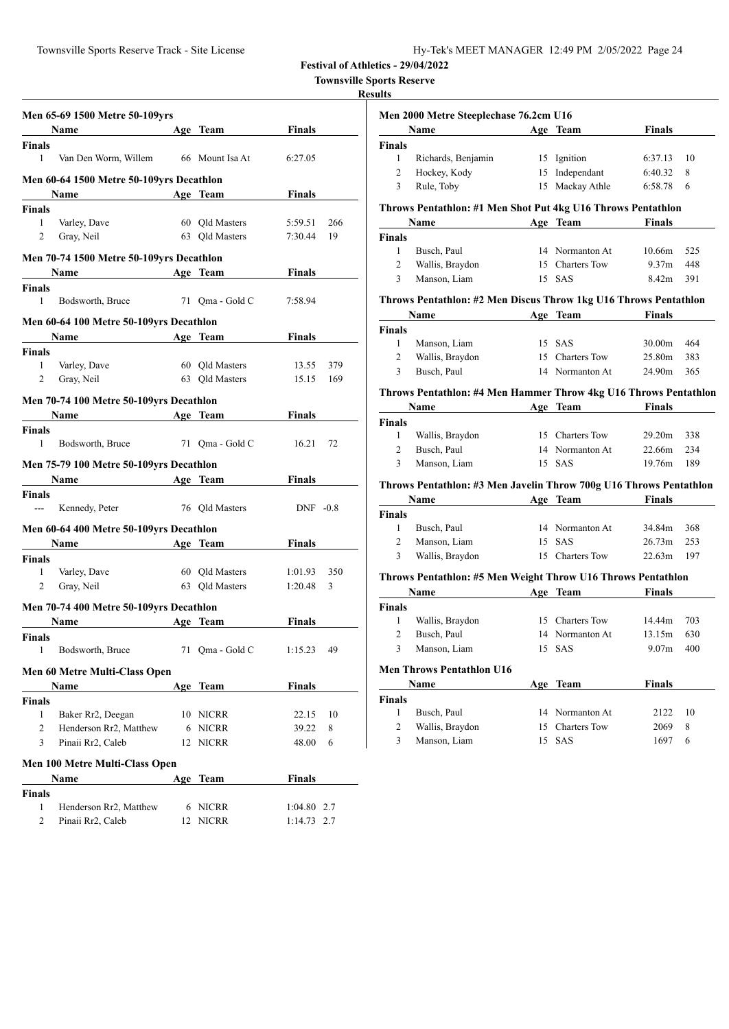# **Townsville Sports Reserve**

# **Results**

|                | Men 65-69 1500 Metre 50-109yrs                                                                                                                                                                                                      |    |                 |               |     |
|----------------|-------------------------------------------------------------------------------------------------------------------------------------------------------------------------------------------------------------------------------------|----|-----------------|---------------|-----|
|                | Name<br><b>Example 2</b> Age Team                                                                                                                                                                                                   |    |                 | <b>Finals</b> |     |
| Finals         |                                                                                                                                                                                                                                     |    |                 |               |     |
| 1              | Van Den Worm, Willem 66 Mount Isa At                                                                                                                                                                                                |    |                 | 6:27.05       |     |
|                | Men 60-64 1500 Metre 50-109yrs Decathlon                                                                                                                                                                                            |    |                 |               |     |
|                | <b>Name</b>                                                                                                                                                                                                                         |    | Age Team        | Finals        |     |
| Finals         |                                                                                                                                                                                                                                     |    |                 |               |     |
| $\mathbf{1}$   | Varley, Dave                                                                                                                                                                                                                        |    | 60 Qld Masters  | 5:59.51       | 266 |
| $\overline{2}$ | Gray, Neil                                                                                                                                                                                                                          |    | 63 Qld Masters  | 7:30.44       | 19  |
|                | Men 70-74 1500 Metre 50-109yrs Decathlon                                                                                                                                                                                            |    |                 |               |     |
|                | Name                                                                                                                                                                                                                                |    | Age Team        | Finals        |     |
| <b>Finals</b>  |                                                                                                                                                                                                                                     |    |                 |               |     |
| 1              | Bodsworth, Bruce                                                                                                                                                                                                                    | 71 | Qma - Gold C    | 7:58.94       |     |
|                |                                                                                                                                                                                                                                     |    |                 |               |     |
|                | Men 60-64 100 Metre 50-109yrs Decathlon                                                                                                                                                                                             |    |                 |               |     |
|                | <b>Age Team</b><br>Name                                                                                                                                                                                                             |    |                 | <b>Finals</b> |     |
| <b>Finals</b>  |                                                                                                                                                                                                                                     |    |                 |               |     |
| 1              | Varley, Dave                                                                                                                                                                                                                        |    | 60 Old Masters  | 13.55         | 379 |
| 2              | Gray, Neil                                                                                                                                                                                                                          |    | 63 Qld Masters  | 15.15 169     |     |
|                | Men 70-74 100 Metre 50-109yrs Decathlon                                                                                                                                                                                             |    |                 |               |     |
|                | <b>Name</b> and the same of the same of the same of the same of the same of the same of the same of the same of the same of the same of the same of the same of the same of the same of the same of the same of the same of the sam |    | Age Team        | Finals        |     |
| Finals         |                                                                                                                                                                                                                                     |    |                 |               |     |
| $\mathbf{1}$   | Bodsworth, Bruce                                                                                                                                                                                                                    |    | 71 Qma - Gold C | 16.21         | 72  |
|                | Men 75-79 100 Metre 50-109yrs Decathlon                                                                                                                                                                                             |    |                 |               |     |
|                | <b>Name</b>                                                                                                                                                                                                                         |    | Age Team        | Finals        |     |
| Finals         |                                                                                                                                                                                                                                     |    |                 |               |     |
| ---            | Kennedy, Peter                                                                                                                                                                                                                      |    | 76 Qld Masters  | $DNF -0.8$    |     |
|                |                                                                                                                                                                                                                                     |    |                 |               |     |
|                | Men 60-64 400 Metre 50-109yrs Decathlon                                                                                                                                                                                             |    |                 |               |     |
|                | <b>Name</b>                                                                                                                                                                                                                         |    | Age Team        | Finals        |     |
| Finals         |                                                                                                                                                                                                                                     |    |                 |               |     |
| 1              | Varley, Dave                                                                                                                                                                                                                        |    | 60 Old Masters  | 1:01.93 350   |     |
| 2              | Gray, Neil                                                                                                                                                                                                                          |    | 63 Old Masters  | 1:20.48       | 3   |
|                | Men 70-74 400 Metre 50-109yrs Decathlon                                                                                                                                                                                             |    |                 |               |     |
|                | Name                                                                                                                                                                                                                                |    | Age Team        | Finals        |     |
| <b>Finals</b>  |                                                                                                                                                                                                                                     |    |                 |               |     |
| 1              | Bodsworth, Bruce                                                                                                                                                                                                                    |    | 71 Qma - Gold C | 1:15.23       | 49  |
|                |                                                                                                                                                                                                                                     |    |                 |               |     |
|                | Men 60 Metre Multi-Class Open                                                                                                                                                                                                       |    |                 |               |     |
|                | Name                                                                                                                                                                                                                                |    | Age Team        | <b>Finals</b> |     |
| Finals<br>1    |                                                                                                                                                                                                                                     |    | 10 NICRR        | 22.15         | 10  |
| 2              | Baker Rr2, Deegan<br>Henderson Rr2, Matthew                                                                                                                                                                                         | 6  | NICRR           | 39.22         | 8   |
| 3              | Pinaii Rr2, Caleb                                                                                                                                                                                                                   | 12 | NICRR           | 48.00         | 6   |
|                |                                                                                                                                                                                                                                     |    |                 |               |     |
|                | Men 100 Metre Multi-Class Open                                                                                                                                                                                                      |    |                 |               |     |
|                | Name                                                                                                                                                                                                                                |    | Age Team        | Finals        |     |
| <b>Finals</b>  |                                                                                                                                                                                                                                     |    |                 |               |     |
| 1              | Henderson Rr2, Matthew                                                                                                                                                                                                              |    | 6 NICRR         | $1:04.80$ 2.7 |     |
| 2              | Pinaii Rr2, Caleb                                                                                                                                                                                                                   | 12 | <b>NICRR</b>    | $1:14.73$ 2.7 |     |

|                | Men 2000 Metre Steeplechase 76.2cm U16<br>Name                     | Age Team        | <b>Finals</b>     |     |
|----------------|--------------------------------------------------------------------|-----------------|-------------------|-----|
| <b>Finals</b>  |                                                                    |                 |                   |     |
| 1              | Richards, Benjamin                                                 | 15 Ignition     | 6:37.13           | 10  |
| $\overline{c}$ | Hockey, Kody                                                       | 15 Independant  | 6:40.32           | 8   |
| 3              | Rule, Toby                                                         | 15 Mackay Athle | 6:58.78           | 6   |
|                | Throws Pentathlon: #1 Men Shot Put 4kg U16 Throws Pentathlon       |                 |                   |     |
|                | <b>Name</b>                                                        | Age Team        | Finals            |     |
| <b>Finals</b>  |                                                                    |                 |                   |     |
| 1              | Busch, Paul                                                        | 14 Normanton At | 10.66m            | 525 |
| 2              | Wallis, Braydon                                                    | 15 Charters Tow | 9.37 <sub>m</sub> | 448 |
| 3              | Manson, Liam                                                       | 15 SAS          | 8.42 <sub>m</sub> | 391 |
|                | Throws Pentathlon: #2 Men Discus Throw 1kg U16 Throws Pentathlon   |                 |                   |     |
|                | <b>Name</b>                                                        | Age Team        | <b>Finals</b>     |     |
| <b>Finals</b>  |                                                                    |                 |                   |     |
| 1              | Manson, Liam                                                       | 15 SAS          | 30.00m            | 464 |
| 2              | Wallis, Braydon                                                    | 15 Charters Tow | 25.80m            | 383 |
| 3              | Busch, Paul                                                        | 14 Normanton At | 24.90m            | 365 |
|                | Throws Pentathlon: #4 Men Hammer Throw 4kg U16 Throws Pentathlon   |                 |                   |     |
|                | Name                                                               | Age Team        | <b>Finals</b>     |     |
| <b>Finals</b>  |                                                                    |                 |                   |     |
| 1              | Wallis, Braydon                                                    | 15 Charters Tow | 29.20m            | 338 |
| 2              | Busch, Paul                                                        | 14 Normanton At | 22.66m            | 234 |
| 3              | Manson, Liam                                                       | 15 SAS          | 19.76m            | 189 |
|                | Throws Pentathlon: #3 Men Javelin Throw 700g U16 Throws Pentathlon |                 |                   |     |
|                | Name                                                               | Age Team        | <b>Finals</b>     |     |
| <b>Finals</b>  |                                                                    |                 |                   |     |
| 1              | Busch, Paul                                                        | 14 Normanton At | 34.84m            | 368 |
| $\overline{c}$ | Manson, Liam                                                       | 15 SAS          | 26.73m            | 253 |
| 3              | Wallis, Braydon                                                    | 15 Charters Tow | 22.63m            | 197 |
|                | Throws Pentathlon: #5 Men Weight Throw U16 Throws Pentathlon       |                 |                   |     |
|                | <b>Name</b>                                                        | Age Team        | <b>Finals</b>     |     |
| <b>Finals</b>  |                                                                    |                 |                   |     |
| 1              | Wallis, Braydon                                                    | 15 Charters Tow | 14.44m            | 703 |
|                | Busch, Paul                                                        | 14 Normanton At | 13.15m            | 630 |
| $\overline{c}$ | Manson, Liam                                                       | 15 SAS          | 9.07 <sub>m</sub> | 400 |
| 3              |                                                                    |                 |                   |     |
|                | <b>Men Throws Pentathlon U16</b>                                   |                 |                   |     |

|        | . <b>.</b>      | $\sim$          | .    |     |  |
|--------|-----------------|-----------------|------|-----|--|
| Finals |                 |                 |      |     |  |
|        | Busch, Paul     | 14 Normanton At | 2122 | -10 |  |
|        | Wallis, Braydon | 15 Charters Tow | 2069 | - 8 |  |
|        | Manson, Liam    | 15 SAS          | 1697 |     |  |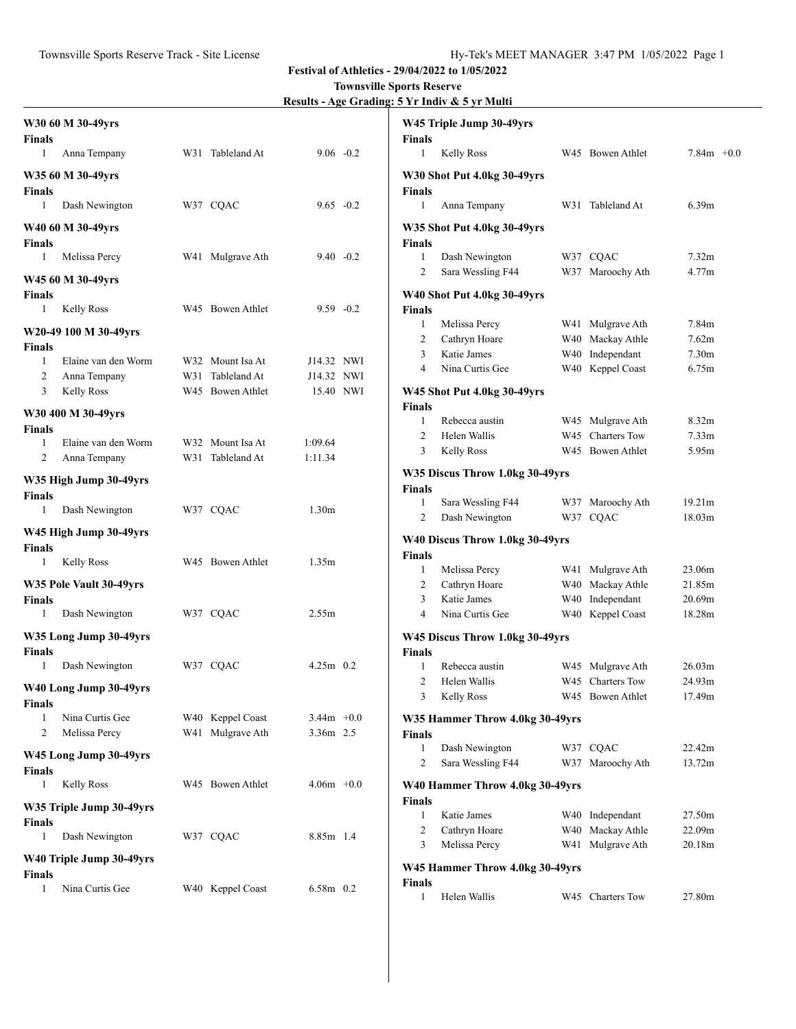| Results - Age Grading: 5 Yr Indiv & 5 yr Multi |
|------------------------------------------------|
|------------------------------------------------|

|               | W30 60 M 30-49yrs        |                  |                          |              |                | W45 Triple Jump 30-49yrs             |                              |                   |
|---------------|--------------------------|------------------|--------------------------|--------------|----------------|--------------------------------------|------------------------------|-------------------|
| Finals        |                          |                  |                          |              | Finals         |                                      |                              |                   |
| 1             | Anna Tempany             | W31 Tableland At | $9.06 - 0.2$             |              | 1              | <b>Kelly Ross</b>                    | W45 Bowen Athlet             | $7.84m +0.0$      |
|               | W35 60 M 30-49yrs        |                  |                          |              |                | W30 Shot Put 4.0kg 30-49yrs          |                              |                   |
| Finals        |                          |                  |                          |              | Finals         |                                      |                              |                   |
| 1             | Dash Newington           | W37 CQAC         | $9.65 - 0.2$             |              | $\mathbf{1}$   | Anna Tempany                         | W31 Tableland At             | 6.39m             |
|               | W40 60 M 30-49yrs        |                  |                          |              |                | W35 Shot Put 4.0kg 30-49yrs          |                              |                   |
| Finals        |                          |                  |                          |              | Finals         |                                      |                              |                   |
| 1             | Melissa Percy            | W41 Mulgrave Ath | $9.40 - 0.2$             |              |                | Dash Newington                       | W37 CQAC                     | 7.32m             |
|               | W45 60 M 30-49yrs        |                  |                          |              | 2              | Sara Wessling F44                    | W37 Maroochy Ath             | 4.77m             |
| <b>Finals</b> |                          |                  |                          |              |                | <b>W40 Shot Put 4.0 kg 30-49 yrs</b> |                              |                   |
| 1             | <b>Kelly Ross</b>        | W45 Bowen Athlet |                          | $9.59 - 0.2$ | <b>Finals</b>  |                                      |                              |                   |
|               |                          |                  |                          |              | -1             | Melissa Percy                        | W41 Mulgrave Ath             | 7.84m             |
|               | W20-49 100 M 30-49yrs    |                  |                          |              | 2              | Cathryn Hoare                        | W40 Mackay Athle             | 7.62m             |
| Finals<br>1   | Elaine van den Worm      | W32 Mount Isa At |                          |              | 3              | Katie James                          | W40 Independant              | 7.30m             |
| 2             | Anna Tempany             | W31 Tableland At | J14.32 NWI<br>J14.32 NWI |              | 4              | Nina Curtis Gee                      | W40 Keppel Coast             | 6.75m             |
| 3             | <b>Kelly Ross</b>        | W45 Bowen Athlet | 15.40 NWI                |              |                | W45 Shot Put 4.0kg 30-49yrs          |                              |                   |
|               |                          |                  |                          |              | <b>Finals</b>  |                                      |                              |                   |
|               | W30 400 M 30-49yrs       |                  |                          |              | 1              | Rebecca austin                       | W45 Mulgrave Ath             | 8.32m             |
| Finals        |                          |                  |                          |              | 2              | Helen Wallis                         | W45 Charters Tow             | 7.33 <sub>m</sub> |
| 1             | Elaine van den Worm      | W32 Mount Isa At | 1:09.64                  |              | 3              | <b>Kelly Ross</b>                    | W45 Bowen Athlet             | 5.95m             |
| 2             | Anna Tempany             | W31 Tableland At | 1:11.34                  |              |                |                                      |                              |                   |
|               | W35 High Jump 30-49yrs   |                  |                          |              |                | W35 Discus Throw 1.0kg 30-49yrs      |                              |                   |
| Finals        |                          |                  |                          |              | <b>Finals</b>  |                                      |                              |                   |
| 1             | Dash Newington           | W37 CQAC         | 1.30 <sub>m</sub>        |              | 1<br>2         | Sara Wessling F44<br>Dash Newington  | W37 Maroochy Ath<br>W37 CQAC | 19.21m<br>18.03m  |
|               | W45 High Jump 30-49yrs   |                  |                          |              |                |                                      |                              |                   |
| Finals        |                          |                  |                          |              |                | W40 Discus Throw 1.0kg 30-49yrs      |                              |                   |
| 1             | <b>Kelly Ross</b>        | W45 Bowen Athlet | 1.35m                    |              | <b>Finals</b>  |                                      |                              |                   |
|               |                          |                  |                          |              | 1              | Melissa Percy                        | W41 Mulgrave Ath             | 23.06m            |
|               | W35 Pole Vault 30-49yrs  |                  |                          |              | 2              | Cathryn Hoare                        | W40 Mackay Athle             | 21.85m            |
| Finals        |                          |                  |                          |              | 3              | Katie James                          | W40 Independant              | 20.69m            |
| 1             | Dash Newington           | W37 CQAC         | 2.55m                    |              | $\overline{4}$ | Nina Curtis Gee                      | W40 Keppel Coast             | 18.28m            |
|               | W35 Long Jump 30-49yrs   |                  |                          |              |                | W45 Discus Throw 1.0kg 30-49yrs      |                              |                   |
| Finals        |                          |                  |                          |              | <b>Finals</b>  |                                      |                              |                   |
| 1             | Dash Newington           | W37 CQAC         | $4.25m$ 0.2              |              | 1              | Rebecca austin                       | W45 Mulgrave Ath             | 26.03m            |
|               | W40 Long Jump 30-49yrs   |                  |                          |              | 2              | Helen Wallis                         | W45 Charters Tow             | 24.93m            |
| Finals        |                          |                  |                          |              |                | Kelly Ross                           | W45 Bowen Athlet             | 17.49m            |
| 1             | Nina Curtis Gee          | W40 Keppel Coast | 3.44 $m$ +0.0            |              |                | W35 Hammer Throw 4.0kg 30-49yrs      |                              |                   |
| 2             | Melissa Percy            | W41 Mulgrave Ath | 3.36m 2.5                |              | Finals         |                                      |                              |                   |
|               | W45 Long Jump 30-49yrs   |                  |                          |              |                | Dash Newington                       | W37 CQAC                     | 22.42m            |
| Finals        |                          |                  |                          |              | 2              | Sara Wessling F44                    | W37 Maroochy Ath             | 13.72m            |
| 1             | <b>Kelly Ross</b>        | W45 Bowen Athlet | $4.06m + 0.0$            |              |                | W40 Hammer Throw 4.0kg 30-49yrs      |                              |                   |
|               |                          |                  |                          |              | <b>Finals</b>  |                                      |                              |                   |
|               | W35 Triple Jump 30-49yrs |                  |                          |              | -1             | Katie James                          | W40 Independant              | 27.50m            |
| Finals        |                          |                  |                          |              | 2              | Cathryn Hoare                        | W40 Mackay Athle             | 22.09m            |
| 1             | Dash Newington           | W37 CQAC         | 8.85m 1.4                |              | 3              | Melissa Percy                        | W41 Mulgrave Ath             | 20.18m            |
|               | W40 Triple Jump 30-49yrs |                  |                          |              |                |                                      |                              |                   |
| Finals        |                          |                  |                          |              |                | W45 Hammer Throw 4.0kg 30-49yrs      |                              |                   |
| 1             | Nina Curtis Gee          | W40 Keppel Coast | $6.58m$ 0.2              |              | Finals<br>1    | Helen Wallis                         | W45 Charters Tow             | 27.80m            |
|               |                          |                  |                          |              |                |                                      |                              |                   |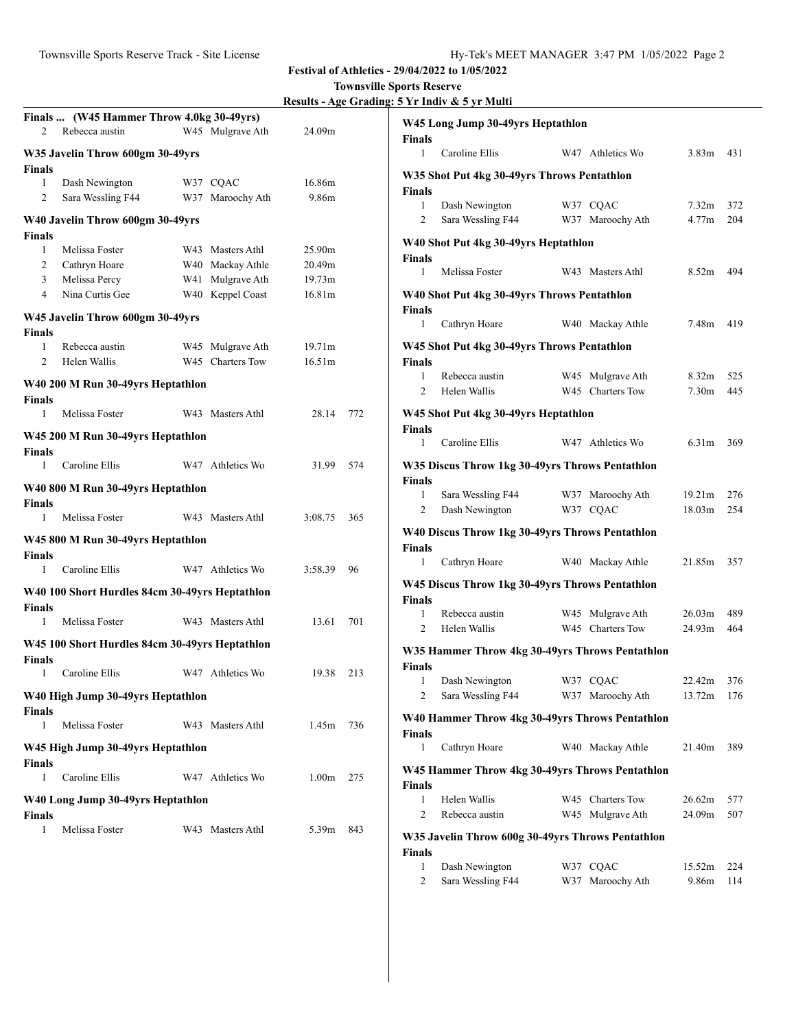| <u> Results - Age Grading: 5 Yr Indiv &amp; 5 yr Multi</u> |  |  |  |
|------------------------------------------------------------|--|--|--|
|                                                            |  |  |  |

| Finals  (W45 Hammer Throw 4.0kg 30-49yrs)      |                  |             |     | W45 Long Jump 30-49yrs Heptathlon                     |                                      |                   |            |
|------------------------------------------------|------------------|-------------|-----|-------------------------------------------------------|--------------------------------------|-------------------|------------|
| Rebecca austin<br>$\overline{2}$               | W45 Mulgrave Ath | 24.09m      |     | Finals                                                |                                      |                   |            |
| W35 Javelin Throw 600gm 30-49yrs               |                  |             |     | Caroline Ellis<br>1                                   | W47 Athletics Wo                     | 3.83 <sub>m</sub> | 431        |
| Finals                                         |                  |             |     |                                                       |                                      |                   |            |
| Dash Newington<br>1                            | W37 CQAC         | 16.86m      |     | W35 Shot Put 4kg 30-49yrs Throws Pentathlon<br>Finals |                                      |                   |            |
| $\overline{2}$<br>Sara Wessling F44            | W37 Maroochy Ath | 9.86m       |     | Dash Newington<br>1                                   | W37 CQAC                             | 7.32m             | 372        |
| W40 Javelin Throw 600gm 30-49yrs               |                  |             |     | 2<br>Sara Wessling F44                                | W37 Maroochy Ath                     | 4.77m             | 204        |
| <b>Finals</b>                                  |                  |             |     |                                                       |                                      |                   |            |
| Melissa Foster<br>1                            | W43 Masters Athl | 25.90m      |     | W40 Shot Put 4kg 30-49yrs Heptathlon                  |                                      |                   |            |
| $\overline{2}$<br>Cathryn Hoare                | W40 Mackay Athle | 20.49m      |     | <b>Finals</b><br>Melissa Foster<br>1                  | W43 Masters Athl                     | 8.52 <sub>m</sub> | - 494      |
| Melissa Percy<br>3                             | W41 Mulgrave Ath | 19.73m      |     |                                                       |                                      |                   |            |
| Nina Curtis Gee<br>$\overline{4}$              | W40 Keppel Coast | 16.81m      |     | W40 Shot Put 4kg 30-49yrs Throws Pentathlon           |                                      |                   |            |
| W45 Javelin Throw 600gm 30-49yrs               |                  |             |     | <b>Finals</b>                                         |                                      |                   |            |
| <b>Finals</b>                                  |                  |             |     | Cathryn Hoare<br>1                                    | W40 Mackay Athle                     | 7.48m             | - 419      |
| Rebecca austin<br>-1                           | W45 Mulgrave Ath | 19.71m      |     | W45 Shot Put 4kg 30-49yrs Throws Pentathlon           |                                      |                   |            |
| 2<br>Helen Wallis                              | W45 Charters Tow | 16.51m      |     | Finals                                                |                                      |                   |            |
| W40 200 M Run 30-49yrs Heptathlon              |                  |             |     | 1<br>Rebecca austin                                   | W45 Mulgrave Ath                     | 8.32m             | 525        |
| Finals                                         |                  |             |     | 2<br>Helen Wallis                                     | W45 Charters Tow                     | 7.30m             | 445        |
| Melissa Foster<br>1                            | W43 Masters Athl | 28.14       | 772 | W45 Shot Put 4kg 30-49yrs Heptathlon                  |                                      |                   |            |
| W45 200 M Run 30-49yrs Heptathlon              |                  |             |     | <b>Finals</b>                                         |                                      |                   |            |
| <b>Finals</b>                                  |                  |             |     | Caroline Ellis<br>$\mathbf{1}$                        | W47 Athletics Wo                     | 6.31 <sub>m</sub> | 369        |
| Caroline Ellis<br>1                            | W47 Athletics Wo | 31.99       | 574 | W35 Discus Throw 1kg 30-49yrs Throws Pentathlon       |                                      |                   |            |
|                                                |                  |             |     | <b>Finals</b>                                         |                                      |                   |            |
| W40 800 M Run 30-49yrs Heptathlon              |                  |             |     | Sara Wessling F44<br>1                                | W37 Maroochy Ath                     | 19.21m            | 276        |
| <b>Finals</b><br>Melissa Foster<br>1           | W43 Masters Athl | 3:08.75     | 365 | 2<br>Dash Newington                                   | W37 CQAC                             | 18.03m            | 254        |
|                                                |                  |             |     | W40 Discus Throw 1kg 30-49yrs Throws Pentathlon       |                                      |                   |            |
| W45 800 M Run 30-49yrs Heptathlon              |                  |             |     | Finals                                                |                                      |                   |            |
| Finals<br>Caroline Ellis                       | W47 Athletics Wo |             | 96  | Cathryn Hoare<br>1                                    | W40 Mackay Athle                     | 21.85m            | 357        |
| 1                                              |                  | 3:58.39     |     | W45 Discus Throw 1kg 30-49yrs Throws Pentathlon       |                                      |                   |            |
| W40 100 Short Hurdles 84cm 30-49yrs Heptathlon |                  |             |     | <b>Finals</b>                                         |                                      |                   |            |
| <b>Finals</b>                                  |                  |             |     | 1<br>Rebecca austin                                   | W45 Mulgrave Ath                     | 26.03m            | 489        |
| Melissa Foster<br>1                            | W43 Masters Athl | 13.61       | 701 | 2<br>Helen Wallis                                     | W45 Charters Tow                     | 24.93m            | 464        |
| W45 100 Short Hurdles 84cm 30-49yrs Heptathlon |                  |             |     | W35 Hammer Throw 4kg 30-49yrs Throws Pentathlon       |                                      |                   |            |
| <b>Finals</b>                                  |                  |             |     | Finals                                                |                                      |                   |            |
| Caroline Ellis<br>1                            | W47 Athletics Wo | 19.38       | 213 | Dash Newington<br>$\mathbf{1}$                        | W37 CQAC                             | 22.42m            | 376        |
| W40 High Jump 30-49yrs Heptathlon              |                  |             |     | Sara Wessling F44<br>2                                | W37 Maroochy Ath                     | 13.72m 176        |            |
| Finals                                         |                  |             |     |                                                       |                                      |                   |            |
| Melissa Foster<br>1                            | W43 Masters Athl | 1.45m       | 736 | W40 Hammer Throw 4kg 30-49yrs Throws Pentathlon       |                                      |                   |            |
| W45 High Jump 30-49yrs Heptathlon              |                  |             |     | <b>Finals</b><br>$\mathbf{1}$<br>Cathryn Hoare        | W40 Mackay Athle                     | 21.40m            | - 389      |
| <b>Finals</b>                                  |                  |             |     |                                                       |                                      |                   |            |
| Caroline Ellis<br>$\mathbf{1}$                 | W47 Athletics Wo | $1.00m$ 275 |     | W45 Hammer Throw 4kg 30-49yrs Throws Pentathlon       |                                      |                   |            |
|                                                |                  |             |     | Finals                                                |                                      |                   |            |
| W40 Long Jump 30-49yrs Heptathlon              |                  |             |     | Helen Wallis<br>1<br>2<br>Rebecca austin              | W45 Charters Tow<br>W45 Mulgrave Ath | 26.62m<br>24.09m  | 577<br>507 |
| Finals<br>Melissa Foster<br>1                  | W43 Masters Athl | 5.39m 843   |     |                                                       |                                      |                   |            |
|                                                |                  |             |     | W35 Javelin Throw 600g 30-49yrs Throws Pentathlon     |                                      |                   |            |
|                                                |                  |             |     | <b>Finals</b>                                         |                                      |                   |            |

|                | W35 Shot Put 4kg 30-49yrs Throws Pentathlon       |                  |                   |     |
|----------------|---------------------------------------------------|------------------|-------------------|-----|
| Finals         |                                                   |                  |                   |     |
| 1              | Dash Newington                                    | W37 CQAC         | 7.32 <sub>m</sub> | 372 |
| 2              | Sara Wessling F44                                 | W37 Maroochy Ath | 4.77m             | 204 |
|                | W40 Shot Put 4kg 30-49yrs Heptathlon              |                  |                   |     |
| Finals         |                                                   |                  |                   |     |
| 1              | Melissa Foster                                    | W43 Masters Athl | 8.52 <sub>m</sub> | 494 |
|                | W40 Shot Put 4kg 30-49yrs Throws Pentathlon       |                  |                   |     |
| Finals         |                                                   |                  |                   |     |
| 1              | Cathryn Hoare                                     | W40 Mackay Athle | 7.48 <sub>m</sub> | 419 |
|                | W45 Shot Put 4kg 30-49yrs Throws Pentathlon       |                  |                   |     |
| Finals         |                                                   |                  |                   |     |
| 1              | Rebecca austin                                    | W45 Mulgrave Ath | 8.32m             | 525 |
| 2              | Helen Wallis                                      | W45 Charters Tow | 7.30 <sub>m</sub> | 445 |
|                | W45 Shot Put 4kg 30-49yrs Heptathlon              |                  |                   |     |
| Finals         |                                                   |                  |                   |     |
| 1              | Caroline Ellis                                    | W47 Athletics Wo | 6.31 <sub>m</sub> | 369 |
|                | W35 Discus Throw 1kg 30-49yrs Throws Pentathlon   |                  |                   |     |
| Finals         |                                                   |                  |                   |     |
| 1              | Sara Wessling F44                                 | W37 Maroochy Ath | 19.21m            | 276 |
| $\overline{c}$ | Dash Newington                                    | W37 CQAC         | 18.03m            | 254 |
|                | W40 Discus Throw 1kg 30-49yrs Throws Pentathlon   |                  |                   |     |
| Finals         |                                                   |                  |                   |     |
| 1              | Cathryn Hoare                                     | W40 Mackay Athle | 21.85m            | 357 |
|                | W45 Discus Throw 1kg 30-49yrs Throws Pentathlon   |                  |                   |     |
| Finals         |                                                   |                  |                   |     |
| 1              | Rebecca austin                                    | W45 Mulgrave Ath | 26.03m            | 489 |
| $\overline{c}$ | Helen Wallis                                      | W45 Charters Tow | 24.93m            | 464 |
|                | W35 Hammer Throw 4kg 30-49yrs Throws Pentathlon   |                  |                   |     |
| Finals         |                                                   |                  |                   |     |
| 1              | Dash Newington                                    | W37 COAC         | 22.42m            | 376 |
| $\mathbf{2}$   | Sara Wessling F44                                 | W37 Maroochy Ath | 13.72m            | 176 |
|                | W40 Hammer Throw 4kg 30-49yrs Throws Pentathlon   |                  |                   |     |
| Finals         |                                                   |                  |                   |     |
| 1              | Cathryn Hoare                                     | W40 Mackay Athle | 21.40m            | 389 |
|                | W45 Hammer Throw 4kg 30-49yrs Throws Pentathlon   |                  |                   |     |
| Finals         |                                                   |                  |                   |     |
| 1              | Helen Wallis                                      | W45 Charters Tow | 26.62m            | 577 |
| 2              | Rebecca austin                                    | W45 Mulgrave Ath | 24.09m            | 507 |
|                | W35 Javelin Throw 600g 30-49yrs Throws Pentathlon |                  |                   |     |
| Finale         |                                                   |                  |                   |     |

| Dash Newington    | W37 COAC         | 15.52m 224 |  |
|-------------------|------------------|------------|--|
| Sara Wessling F44 | W37 Maroochy Ath | 9.86m 114  |  |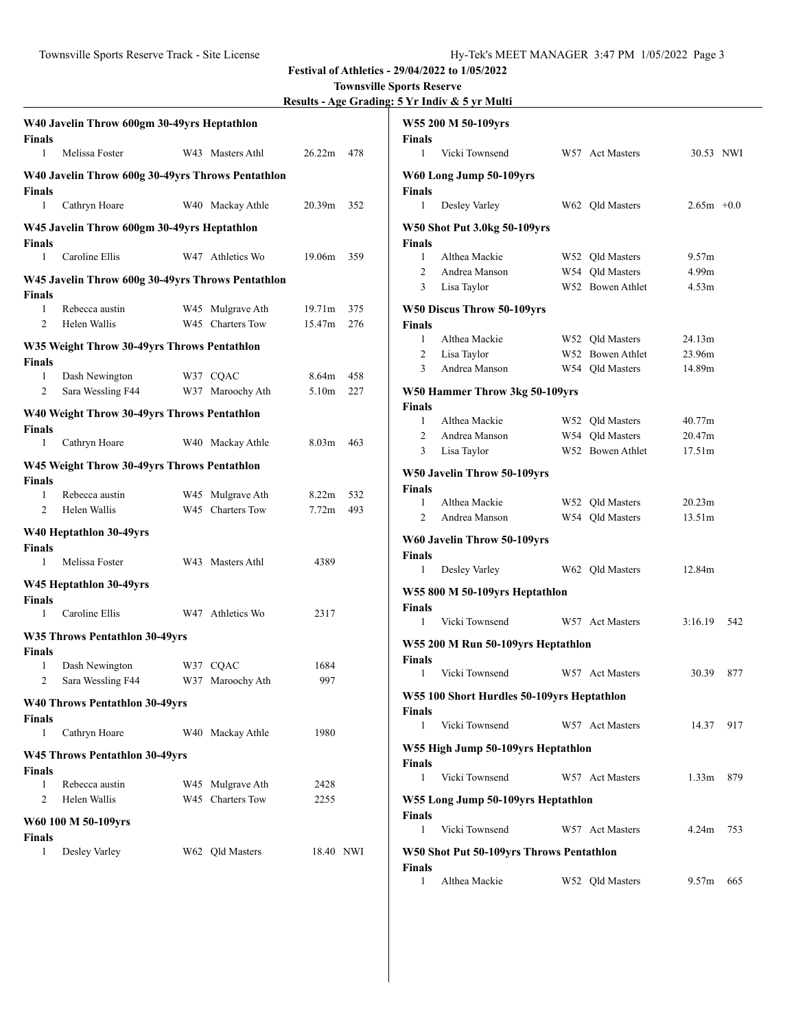# **Townsville Sports Reserve**

**Results - Age Grading: 5 Yr Indiv & 5 yr Multi**

| <b>Finals</b>      | W40 Javelin Throw 600gm 30-49yrs Heptathlon       |                                      |                   |     |
|--------------------|---------------------------------------------------|--------------------------------------|-------------------|-----|
| 1                  | Melissa Foster                                    | W43 Masters Athl                     | 26.22m            | 478 |
|                    | W40 Javelin Throw 600g 30-49yrs Throws Pentathlon |                                      |                   |     |
| <b>Finals</b><br>1 | Cathryn Hoare                                     | W40 Mackay Athle                     | 20.39m            | 352 |
|                    | W45 Javelin Throw 600gm 30-49yrs Heptathlon       |                                      |                   |     |
| <b>Finals</b><br>1 | Caroline Ellis                                    | W47 Athletics Wo                     | 19.06m            | 359 |
|                    | W45 Javelin Throw 600g 30-49yrs Throws Pentathlon |                                      |                   |     |
| <b>Finals</b>      |                                                   |                                      |                   |     |
| 1                  | Rebecca austin                                    | W45 Mulgrave Ath                     | 19.71m            | 375 |
| $\overline{2}$     | Helen Wallis                                      | W45 Charters Tow                     | 15.47m            | 276 |
| <b>Finals</b>      | W35 Weight Throw 30-49yrs Throws Pentathlon       |                                      |                   |     |
| 1                  | Dash Newington                                    | W37 COAC                             | 8.64m             | 458 |
| 2                  | Sara Wessling F44                                 | W37 Maroochy Ath                     | 5.10 <sub>m</sub> | 227 |
|                    | W40 Weight Throw 30-49yrs Throws Pentathlon       |                                      |                   |     |
| <b>Finals</b>      |                                                   |                                      |                   |     |
| 1                  | Cathryn Hoare                                     | W40 Mackay Athle                     | 8.03 <sub>m</sub> | 463 |
|                    | W45 Weight Throw 30-49yrs Throws Pentathlon       |                                      |                   |     |
| <b>Finals</b>      |                                                   |                                      |                   |     |
| 1                  | Rebecca austin                                    | W45 Mulgrave Ath                     | 8.22m             | 532 |
| 2                  | Helen Wallis                                      | W45 Charters Tow                     | 7.72 <sub>m</sub> | 493 |
|                    | W40 Heptathlon 30-49yrs                           |                                      |                   |     |
| <b>Finals</b><br>1 | Melissa Foster                                    | W43 Masters Athl                     | 4389              |     |
|                    |                                                   |                                      |                   |     |
|                    | W45 Heptathlon 30-49yrs                           |                                      |                   |     |
| <b>Finals</b><br>1 | Caroline Ellis                                    | W47 Athletics Wo                     | 2317              |     |
|                    | W35 Throws Pentathlon 30-49yrs                    |                                      |                   |     |
| <b>Finals</b>      |                                                   |                                      |                   |     |
| 1                  | Dash Newington                                    | W37 CQAC                             | 1684              |     |
| $\overline{2}$     | Sara Wessling F44                                 | W37 Maroochy Ath                     | 997               |     |
|                    | W40 Throws Pentathlon 30-49yrs                    |                                      |                   |     |
| <b>Finals</b>      |                                                   |                                      |                   |     |
| 1                  | Cathryn Hoare                                     | W40 Mackay Athle                     | 1980              |     |
|                    | W45 Throws Pentathlon 30-49yrs                    |                                      |                   |     |
| <b>Finals</b><br>1 | Rebecca austin                                    |                                      |                   |     |
| $\overline{c}$     | Helen Wallis                                      | W45 Mulgrave Ath<br>W45 Charters Tow | 2428<br>2255      |     |
|                    |                                                   |                                      |                   |     |
|                    | W60 100 M 50-109yrs                               |                                      |                   |     |
| <b>Finals</b><br>1 | Desley Varley                                     | W62 Qld Masters                      | 18.40 NWI         |     |
|                    |                                                   |                                      |                   |     |

|                     | W55 200 M 50-109yrs                        |                                    |                |     |
|---------------------|--------------------------------------------|------------------------------------|----------------|-----|
| Finals<br>1         | Vicki Townsend                             | W57 Act Masters                    | 30.53 NWI      |     |
|                     | W60 Long Jump 50-109yrs                    |                                    |                |     |
| <b>Finals</b><br>1  | Desley Varley                              | W62 Old Masters                    | $2.65m + 0.0$  |     |
|                     | W50 Shot Put 3.0kg 50-109yrs               |                                    |                |     |
| <b>Finals</b>       |                                            |                                    |                |     |
| 1<br>$\overline{c}$ | Althea Mackie<br>Andrea Manson             | W52 Qld Masters<br>W54 Qld Masters | 9.57m<br>4.99m |     |
| 3                   | Lisa Taylor                                | W52 Bowen Athlet                   | 4.53m          |     |
|                     |                                            |                                    |                |     |
| Finals              | W50 Discus Throw 50-109yrs                 |                                    |                |     |
| 1                   | Althea Mackie                              | W52 Qld Masters                    | 24.13m         |     |
| 2                   | Lisa Taylor                                | W52 Bowen Athlet                   | 23.96m         |     |
| 3                   | Andrea Manson                              | W54 Qld Masters                    | 14.89m         |     |
|                     | W50 Hammer Throw 3kg 50-109yrs             |                                    |                |     |
| <b>Finals</b><br>1  | Althea Mackie                              | W52 Old Masters                    | 40.77m         |     |
| $\overline{c}$      | Andrea Manson                              | W54 Old Masters                    | 20.47m         |     |
| 3                   | Lisa Taylor                                | W52 Bowen Athlet                   | 17.51m         |     |
|                     | W50 Javelin Throw 50-109yrs                |                                    |                |     |
| <b>Finals</b><br>1  | Althea Mackie                              | W52 Qld Masters                    | 20.23m         |     |
| 2                   | Andrea Manson                              | W54 Qld Masters                    | 13.51m         |     |
|                     | W60 Javelin Throw 50-109yrs                |                                    |                |     |
| <b>Finals</b>       |                                            |                                    |                |     |
| 1                   | Desley Varley                              | W62 Qld Masters                    | 12.84m         |     |
|                     | W55 800 M 50-109yrs Heptathlon             |                                    |                |     |
| Finals              |                                            |                                    |                |     |
| 1                   | Vicki Townsend                             | W57 Act Masters                    | 3:16.19        | 542 |
|                     | W55 200 M Run 50-109yrs Heptathlon         |                                    |                |     |
| <b>Finals</b><br>1  | Vicki Townsend                             | W57 Act Masters                    | 30.39          | 877 |
|                     |                                            |                                    |                |     |
|                     | W55 100 Short Hurdles 50-109yrs Heptathlon |                                    |                |     |
| Finals<br>1         | Vicki Townsend                             | W57 Act Masters                    | 14.37          | 917 |
|                     | W55 High Jump 50-109yrs Heptathlon         |                                    |                |     |
| <b>Finals</b>       |                                            |                                    |                |     |
| 1                   | Vicki Townsend                             | W57 Act Masters                    | 1.33m          | 879 |
|                     | W55 Long Jump 50-109yrs Heptathlon         |                                    |                |     |
| <b>Finals</b><br>1  | Vicki Townsend                             | W57 Act Masters                    | 4.24m          | 753 |
|                     | W50 Shot Put 50-109yrs Throws Pentathlon   |                                    |                |     |
| <b>Finals</b>       |                                            |                                    |                |     |
| 1                   | Althea Mackie                              | W52 Qld Masters                    | 9.57m          | 665 |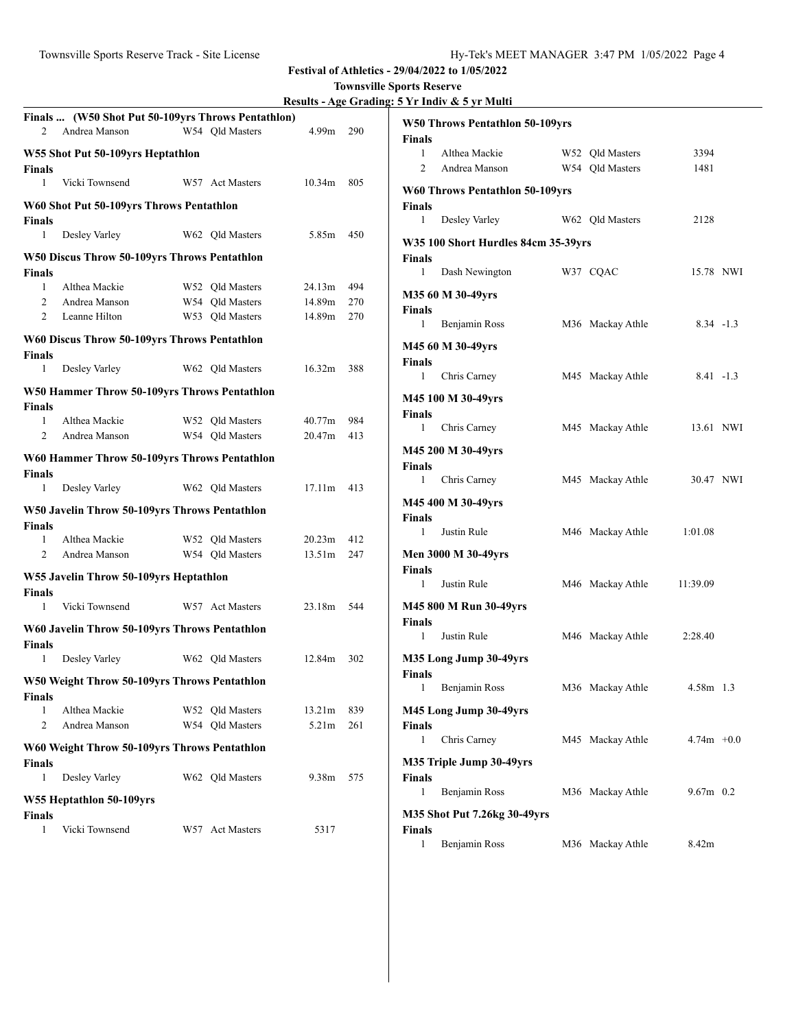# **Townsville Sports Reserve**

**Results - Age Grading: 5 Yr Indiv & 5 yr Multi**

|                        | Finals  (W50 Shot Put 50-109yrs Throws Pentathlon) |                 |                   |       |                             |                                     |                  |               |  |
|------------------------|----------------------------------------------------|-----------------|-------------------|-------|-----------------------------|-------------------------------------|------------------|---------------|--|
| 2                      | Andrea Manson                                      | W54 Qld Masters | 4.99m             | 290   | Finals                      | W50 Throws Pentathlon 50-109yrs     |                  |               |  |
|                        | W55 Shot Put 50-109yrs Heptathlon                  |                 |                   |       | $\mathbf{1}$                | Althea Mackie                       | W52 Qld Masters  | 3394          |  |
| <b>Finals</b>          |                                                    |                 |                   |       | 2                           | Andrea Manson                       | W54 Qld Masters  | 1481          |  |
| 1                      | Vicki Townsend                                     | W57 Act Masters | 10.34m 805        |       |                             | W60 Throws Pentathlon 50-109yrs     |                  |               |  |
|                        | W60 Shot Put 50-109yrs Throws Pentathlon           |                 |                   |       | Finals                      |                                     |                  |               |  |
|                        |                                                    |                 |                   |       | 1                           | Desley Varley                       | W62 Qld Masters  | 2128          |  |
| Finals<br>$\mathbf{1}$ | Desley Varley                                      | W62 Qld Masters | 5.85m             | 450   |                             |                                     |                  |               |  |
|                        |                                                    |                 |                   |       |                             | W35 100 Short Hurdles 84cm 35-39yrs |                  |               |  |
|                        | W50 Discus Throw 50-109yrs Throws Pentathlon       |                 |                   |       | <b>Finals</b>               |                                     |                  |               |  |
| <b>Finals</b>          |                                                    |                 |                   |       | 1                           | Dash Newington                      | W37 CQAC         | 15.78 NWI     |  |
| 1                      | Althea Mackie                                      | W52 Qld Masters | 24.13m            | 494   | M35 60 M 30-49yrs           |                                     |                  |               |  |
| 2                      | Andrea Manson                                      | W54 Qld Masters | 14.89m            | 270   |                             |                                     |                  |               |  |
| 2                      | Leanne Hilton                                      | W53 Qld Masters | 14.89m            | 270   | Finals<br>$\mathbf{1}$      | Benjamin Ross                       | M36 Mackay Athle | $8.34 - 1.3$  |  |
|                        | W60 Discus Throw 50-109yrs Throws Pentathlon       |                 |                   |       |                             |                                     |                  |               |  |
| <b>Finals</b>          |                                                    |                 |                   |       | M45 60 M 30-49yrs           |                                     |                  |               |  |
| $\mathbf{1}$           | Desley Varley                                      | W62 Old Masters | 16.32m            | - 388 | Finals<br>1                 | Chris Carney                        | M45 Mackay Athle | $8.41 - 1.3$  |  |
|                        | W50 Hammer Throw 50-109yrs Throws Pentathlon       |                 |                   |       | M45 100 M 30-49yrs          |                                     |                  |               |  |
| <b>Finals</b>          |                                                    |                 |                   |       | Finals                      |                                     |                  |               |  |
| 1                      | Althea Mackie                                      | W52 Qld Masters | 40.77m            | 984   | $\mathbf{1}$                | Chris Carney                        | M45 Mackay Athle | 13.61 NWI     |  |
| 2                      | Andrea Manson                                      | W54 Qld Masters | 20.47m            | 413   |                             |                                     |                  |               |  |
|                        | W60 Hammer Throw 50-109yrs Throws Pentathlon       |                 |                   |       | M45 200 M 30-49yrs          |                                     |                  |               |  |
| <b>Finals</b>          |                                                    |                 |                   |       | Finals                      | Chris Carney                        |                  | 30.47 NWI     |  |
| 1                      | Desley Varley                                      | W62 Qld Masters | 17.11m 413        |       | $\mathbf{1}$                |                                     | M45 Mackay Athle |               |  |
|                        | W50 Javelin Throw 50-109yrs Throws Pentathlon      |                 |                   |       | M45 400 M 30-49yrs          |                                     |                  |               |  |
| <b>Finals</b>          |                                                    |                 |                   |       | <b>Finals</b>               |                                     |                  |               |  |
| 1                      | Althea Mackie                                      | W52 Qld Masters | 20.23m            | 412   | Justin Rule<br>1            |                                     | M46 Mackay Athle | 1:01.08       |  |
| 2                      | Andrea Manson                                      | W54 Qld Masters | 13.51m            | 247   | Men 3000 M 30-49yrs         |                                     |                  |               |  |
|                        |                                                    |                 |                   |       | Finals                      |                                     |                  |               |  |
| <b>Finals</b>          | W55 Javelin Throw 50-109yrs Heptathlon             |                 |                   |       | $\mathbf{1}$<br>Justin Rule |                                     | M46 Mackay Athle | 11:39.09      |  |
| 1                      | Vicki Townsend                                     | W57 Act Masters | 23.18m 544        |       | M45 800 M Run 30-49yrs      |                                     |                  |               |  |
|                        |                                                    |                 |                   |       | Finals                      |                                     |                  |               |  |
| <b>Finals</b>          | W60 Javelin Throw 50-109yrs Throws Pentathlon      |                 |                   |       | Justin Rule<br>1            |                                     | M46 Mackay Athle | 2:28.40       |  |
| 1                      | Desley Varley                                      | W62 Qld Masters | 12.84m            | 302   |                             | M35 Long Jump 30-49yrs              |                  |               |  |
|                        |                                                    |                 |                   |       | Finals                      |                                     |                  |               |  |
| <b>Finals</b>          | W50 Weight Throw 50-109yrs Throws Pentathlon       |                 |                   |       | 1                           | Benjamin Ross                       | M36 Mackay Athle | 4.58m 1.3     |  |
| 1                      | Althea Mackie                                      | W52 Qld Masters | 13.21m            | 839   |                             | M45 Long Jump 30-49yrs              |                  |               |  |
| 2                      | Andrea Manson                                      | W54 Qld Masters | 5.21m             | 261   | <b>Finals</b>               |                                     |                  |               |  |
|                        |                                                    |                 |                   |       | 1                           | Chris Carney                        | M45 Mackay Athle | $4.74m + 0.0$ |  |
|                        | W60 Weight Throw 50-109yrs Throws Pentathlon       |                 |                   |       |                             |                                     |                  |               |  |
| <b>Finals</b>          |                                                    |                 |                   |       |                             | M35 Triple Jump 30-49yrs            |                  |               |  |
| $\mathbf{1}$           | Desley Varley                                      | W62 Old Masters | 9.38 <sub>m</sub> | 575   | <b>Finals</b>               | Benjamin Ross                       | M36 Mackay Athle | $9.67m$ 0.2   |  |
|                        | W55 Heptathlon 50-109yrs                           |                 |                   |       | 1                           |                                     |                  |               |  |
| <b>Finals</b>          |                                                    |                 |                   |       |                             | M35 Shot Put 7.26kg 30-49yrs        |                  |               |  |
| 1                      | Vicki Townsend                                     | W57 Act Masters | 5317              |       | Finals                      |                                     |                  |               |  |
|                        |                                                    |                 |                   |       | $\mathbf{1}$                | Benjamin Ross                       | M36 Mackay Athle | 8.42m         |  |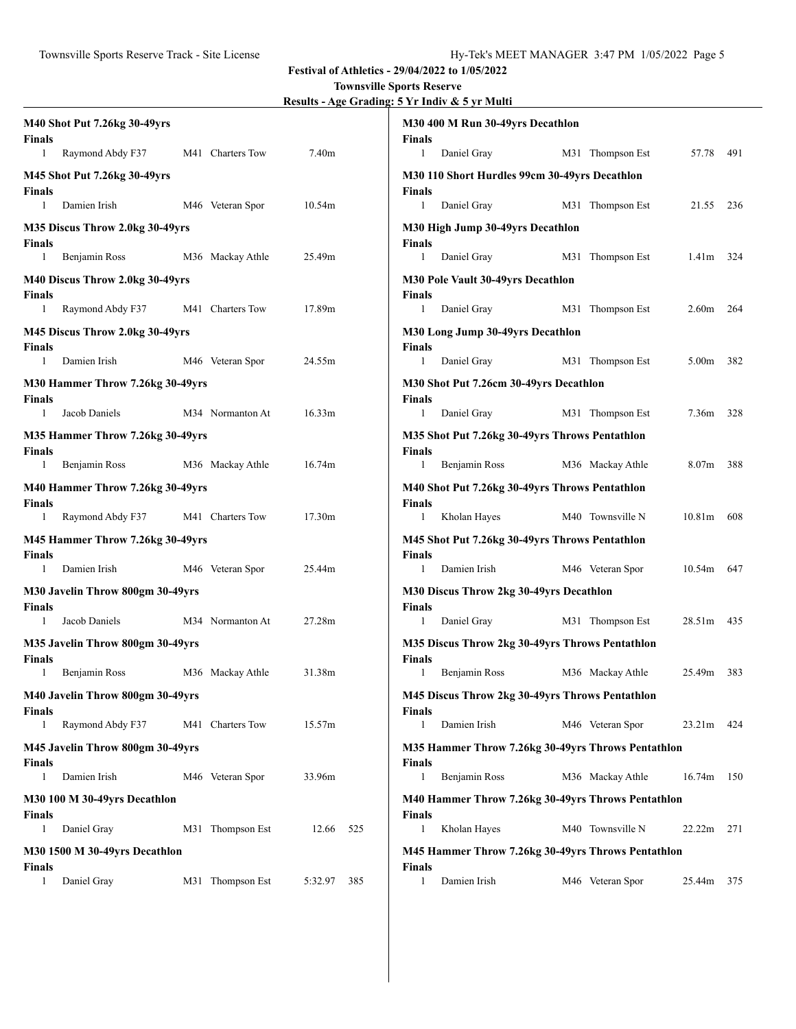# **Townsville Sports Reserve**

**Results - Age Grading: 5 Yr Indiv & 5 yr Multi**

| Finals<br>$\mathbf{1}$        | M40 Shot Put 7.26kg 30-49yrs<br>Raymond Abdy F37 | M41 Charters Tow | 7.40 <sub>m</sub> |     | M30 400 M Run 30-49yrs Decathlon<br>Finals<br>Daniel Gray<br>M31 Thompson Est<br>$\mathbf{1}$<br>57.78 491 |       |
|-------------------------------|--------------------------------------------------|------------------|-------------------|-----|------------------------------------------------------------------------------------------------------------|-------|
|                               | M45 Shot Put 7.26kg 30-49yrs                     |                  |                   |     | M30 110 Short Hurdles 99cm 30-49yrs Decathlon                                                              |       |
| Finals                        |                                                  |                  |                   |     | Finals                                                                                                     |       |
| -1                            | Damien Irish                                     | M46 Veteran Spor | 10.54m            |     | $\mathbf{1}$<br>Daniel Gray<br>M31 Thompson Est<br>21.55 236                                               |       |
|                               | M35 Discus Throw 2.0kg 30-49yrs                  |                  |                   |     | M30 High Jump 30-49yrs Decathlon                                                                           |       |
| <b>Finals</b><br>$\mathbf{1}$ | Benjamin Ross                                    | M36 Mackay Athle | 25.49m            |     | <b>Finals</b><br>Daniel Gray<br>M31 Thompson Est<br>$\mathbf{1}$<br>1.41m 324                              |       |
|                               | M40 Discus Throw 2.0kg 30-49yrs                  |                  |                   |     | <b>M30 Pole Vault 30-49yrs Decathlon</b>                                                                   |       |
| Finals                        |                                                  |                  |                   |     | Finals                                                                                                     |       |
| $\mathbf{1}$                  | Raymond Abdy F37                                 | M41 Charters Tow | 17.89m            |     | Daniel Gray<br>M31 Thompson Est<br>$\mathbf{1}$<br>$2.60m$ 264                                             |       |
| Finals                        | M45 Discus Throw 2.0kg 30-49yrs                  |                  |                   |     | M30 Long Jump 30-49yrs Decathlon<br>Finals                                                                 |       |
| 1                             | Damien Irish                                     | M46 Veteran Spor | 24.55m            |     | Daniel Gray<br>M31 Thompson Est<br>$\mathbf{1}$<br>5.00m 382                                               |       |
|                               | M30 Hammer Throw 7.26kg 30-49yrs                 |                  |                   |     | M30 Shot Put 7.26cm 30-49yrs Decathlon                                                                     |       |
| Finals<br>$\mathbf{1}$        | Jacob Daniels                                    | M34 Normanton At | 16.33m            |     | <b>Finals</b><br>Daniel Gray<br>M31 Thompson Est<br>7.36m 328<br>$\mathbf{1}$                              |       |
|                               |                                                  |                  |                   |     |                                                                                                            |       |
| Finals                        | M35 Hammer Throw 7.26kg 30-49yrs                 |                  |                   |     | M35 Shot Put 7.26kg 30-49yrs Throws Pentathlon<br>Finals                                                   |       |
| $\mathbf{1}$                  | Benjamin Ross                                    | M36 Mackay Athle | 16.74m            |     | Benjamin Ross<br>M36 Mackay Athle<br>$8.07m$ 388<br>$\mathbf{1}$                                           |       |
|                               | M40 Hammer Throw 7.26kg 30-49yrs                 |                  |                   |     | M40 Shot Put 7.26kg 30-49yrs Throws Pentathlon                                                             |       |
| Finals<br>1                   | Raymond Abdy F37                                 | M41 Charters Tow | 17.30m            |     | <b>Finals</b><br>Kholan Hayes<br>M40 Townsville N<br>10.81m 608<br>$\mathbf{1}$                            |       |
|                               | M45 Hammer Throw 7.26kg 30-49yrs                 |                  |                   |     | M45 Shot Put 7.26kg 30-49yrs Throws Pentathlon                                                             |       |
| Finals                        |                                                  |                  |                   |     | <b>Finals</b>                                                                                              |       |
| 1                             | Damien Irish                                     | M46 Veteran Spor | 25.44m            |     | Damien Irish<br>10.54m 647<br>$\mathbf{1}$<br>M46 Veteran Spor                                             |       |
|                               | M30 Javelin Throw 800gm 30-49yrs                 |                  |                   |     | M30 Discus Throw 2kg 30-49yrs Decathlon                                                                    |       |
| Finals<br>$\mathbf{1}$        | Jacob Daniels                                    | M34 Normanton At | 27.28m            |     | Finals<br>Daniel Gray<br>M31 Thompson Est<br>28.51m 435<br>$\mathbf{1}$                                    |       |
|                               | M35 Javelin Throw 800gm 30-49yrs                 |                  |                   |     | M35 Discus Throw 2kg 30-49yrs Throws Pentathlon                                                            |       |
| Finals                        |                                                  |                  |                   |     | <b>Finals</b>                                                                                              |       |
| $\mathbf{1}$                  | Benjamin Ross                                    | M36 Mackay Athle | 31.38m            |     | Benjamin Ross<br>M36 Mackay Athle<br>$\mathbf{1}$<br>25.49m                                                | - 383 |
| Finals                        | M40 Javelin Throw 800gm 30-49yrs                 |                  |                   |     | M45 Discus Throw 2kg 30-49yrs Throws Pentathlon<br>Finals                                                  |       |
| 1                             | Raymond Abdy F37                                 | M41 Charters Tow | 15.57m            |     | Damien Irish<br>M46 Veteran Spor<br>23.21m 424<br>1                                                        |       |
|                               | M45 Javelin Throw 800gm 30-49yrs                 |                  |                   |     | M35 Hammer Throw 7.26kg 30-49yrs Throws Pentathlon                                                         |       |
| Finals                        | Damien Irish                                     |                  |                   |     | <b>Finals</b>                                                                                              |       |
| 1                             |                                                  | M46 Veteran Spor | 33.96m            |     | Benjamin Ross<br>M36 Mackay Athle<br>16.74m 150<br>1                                                       |       |
| Finals                        | M30 100 M 30-49yrs Decathlon                     |                  |                   |     | M40 Hammer Throw 7.26kg 30-49yrs Throws Pentathlon<br><b>Finals</b>                                        |       |
| $\mathbf{1}$                  | Daniel Gray                                      | M31 Thompson Est | 12.66             | 525 | Kholan Hayes<br>M40 Townsville N<br>22.22m 271<br>$\mathbf{1}$                                             |       |
|                               | M30 1500 M 30-49yrs Decathlon                    |                  |                   |     | M45 Hammer Throw 7.26kg 30-49yrs Throws Pentathlon                                                         |       |
| Finals<br>1                   | Daniel Gray                                      | M31 Thompson Est | 5:32.97           | 385 | <b>Finals</b><br>Damien Irish<br>M46 Veteran Spor<br>25.44m 375<br>1                                       |       |
|                               |                                                  |                  |                   |     |                                                                                                            |       |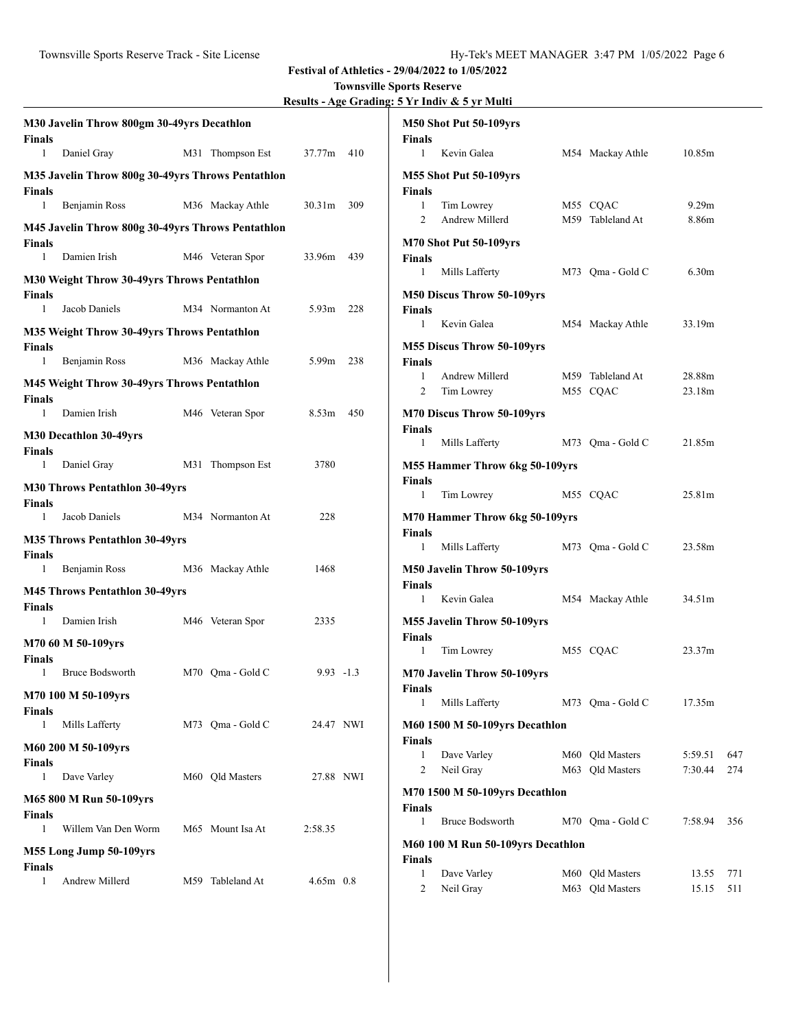<u> 1980 - Johann Barbara, martxa amerikan per</u>

**Festival of Athletics - 29/04/2022 to 1/05/2022**

| Finals                 | M30 Javelin Throw 800gm 30-49yrs Decathlon         |                  |                   |       | M50 Shot Put 50-109yrs<br>Finals                                                |
|------------------------|----------------------------------------------------|------------------|-------------------|-------|---------------------------------------------------------------------------------|
| $\mathbf{1}$           | Daniel Gray                                        | M31 Thompson Est | 37.77m            | 410   | 10.85m<br>Kevin Galea<br>M54 Mackay Athle<br>1                                  |
| Finals                 | M35 Javelin Throw 800g 30-49yrs Throws Pentathlon  |                  |                   |       | M55 Shot Put 50-109yrs<br>Finals                                                |
| $\mathbf{1}$           | Benjamin Ross                                      | M36 Mackay Athle | 30.31m            | - 309 | Tim Lowrey<br>M55 CQAC<br>9.29 <sub>m</sub><br>1                                |
|                        | M45 Javelin Throw 800g 30-49yrs Throws Pentathlon  |                  |                   |       | Andrew Millerd<br>8.86m<br>M59 Tableland At<br>2                                |
| Finals<br>$\mathbf{1}$ | Damien Irish                                       | M46 Veteran Spor | 33.96m            | 439   | M70 Shot Put 50-109yrs<br><b>Finals</b>                                         |
|                        |                                                    |                  |                   |       | Mills Lafferty<br>M73 Qma - Gold C<br>6.30 <sub>m</sub><br>$\mathbf{1}$         |
| Finals                 | <b>M30 Weight Throw 30-49yrs Throws Pentathlon</b> |                  |                   |       | <b>M50 Discus Throw 50-109yrs</b>                                               |
| 1                      | Jacob Daniels                                      | M34 Normanton At | 5.93 <sub>m</sub> | - 228 | Finals                                                                          |
|                        | M35 Weight Throw 30-49yrs Throws Pentathlon        |                  |                   |       | 1<br>Kevin Galea<br>33.19m<br>M54 Mackay Athle                                  |
| Finals<br>$\mathbf{1}$ | Benjamin Ross                                      | M36 Mackay Athle | 5.99m 238         |       | <b>M55 Discus Throw 50-109yrs</b><br>Finals                                     |
|                        | M45 Weight Throw 30-49yrs Throws Pentathlon        |                  |                   |       | 28.88m<br>Andrew Millerd<br>-1<br>M59 Tableland At                              |
| Finals                 |                                                    |                  |                   |       | 23.18m<br>2<br>Tim Lowrey<br>M55 CQAC                                           |
| 1                      | Damien Irish                                       | M46 Veteran Spor | $8.53m$ 450       |       | M70 Discus Throw 50-109yrs<br>Finals                                            |
|                        | M30 Decathlon 30-49yrs                             |                  |                   |       | 21.85m<br>Mills Lafferty<br>M73 Oma - Gold C<br>1                               |
| Finals<br>$\mathbf{1}$ | Daniel Gray                                        | M31 Thompson Est | 3780              |       | M55 Hammer Throw 6kg 50-109yrs                                                  |
|                        | <b>M30 Throws Pentathlon 30-49yrs</b>              |                  |                   |       | <b>Finals</b>                                                                   |
| Finals                 |                                                    |                  |                   |       | 25.81m<br>1<br>Tim Lowrey<br>M55 CQAC                                           |
| 1                      | Jacob Daniels                                      | M34 Normanton At | 228               |       | M70 Hammer Throw 6kg 50-109yrs                                                  |
|                        | <b>M35 Throws Pentathlon 30-49yrs</b>              |                  |                   |       | Finals<br>Mills Lafferty<br>M73 Qma - Gold C<br>23.58m<br>1                     |
| Finals<br>$\mathbf{1}$ | Benjamin Ross                                      | M36 Mackay Athle | 1468              |       | M50 Javelin Throw 50-109yrs                                                     |
|                        | <b>M45 Throws Pentathlon 30-49yrs</b>              |                  |                   |       | <b>Finals</b>                                                                   |
| Finals                 |                                                    |                  |                   |       | 34.51m<br>Kevin Galea<br>M54 Mackay Athle<br>1                                  |
| 1                      | Damien Irish                                       | M46 Veteran Spor | 2335              |       | M55 Javelin Throw 50-109yrs                                                     |
|                        | M70 60 M 50-109yrs                                 |                  |                   |       | Finals<br>23.37m<br>Tim Lowrey<br>-1<br>M55 CQAC                                |
| Finals<br>1            | Bruce Bodsworth                                    | M70 Qma - Gold C | $9.93 - 1.3$      |       | M70 Javelin Throw 50-109yrs                                                     |
|                        | M70 100 M 50-109yrs                                |                  |                   |       | Finals                                                                          |
| Finals                 |                                                    |                  |                   |       | Mills Lafferty<br>17.35m<br>M73 Qma - Gold C<br>1                               |
| $\mathbf{1}$           | Mills Lafferty                                     | M73 Qma - Gold C | 24.47 NWI         |       | <b>M60 1500 M 50-109yrs Decathlon</b>                                           |
|                        | M60 200 M 50-109yrs                                |                  |                   |       | <b>Finals</b><br>Dave Varley<br>M60 Qld Masters<br>5:59.51<br>647<br>1          |
| Finals                 | Dave Varley                                        | M60 Qld Masters  | 27.88 NWI         |       | M63 Qld Masters<br>7:30.44<br>2<br>Neil Gray<br>274                             |
| $\mathbf{1}$           |                                                    |                  |                   |       | <b>M70 1500 M 50-109yrs Decathlon</b>                                           |
| <b>Finals</b>          | <b>M65 800 M Run 50-109yrs</b>                     |                  |                   |       | <b>Finals</b>                                                                   |
| 1                      | Willem Van Den Worm                                | M65 Mount Isa At | 2:58.35           |       | <b>Bruce Bodsworth</b><br>M70 Qma - Gold C<br>7:58.94<br>1<br>356               |
|                        | M55 Long Jump 50-109yrs                            |                  |                   |       | M60 100 M Run 50-109yrs Decathlon                                               |
| Finals                 |                                                    |                  |                   |       | <b>Finals</b><br>Dave Varley<br>M60 Qld Masters<br>$\mathbf{1}$<br>13.55<br>771 |
| 1                      | Andrew Millerd                                     | M59 Tableland At | $4.65m$ 0.8       |       | Neil Gray<br>M63 Qld Masters<br>15.15 511<br>2                                  |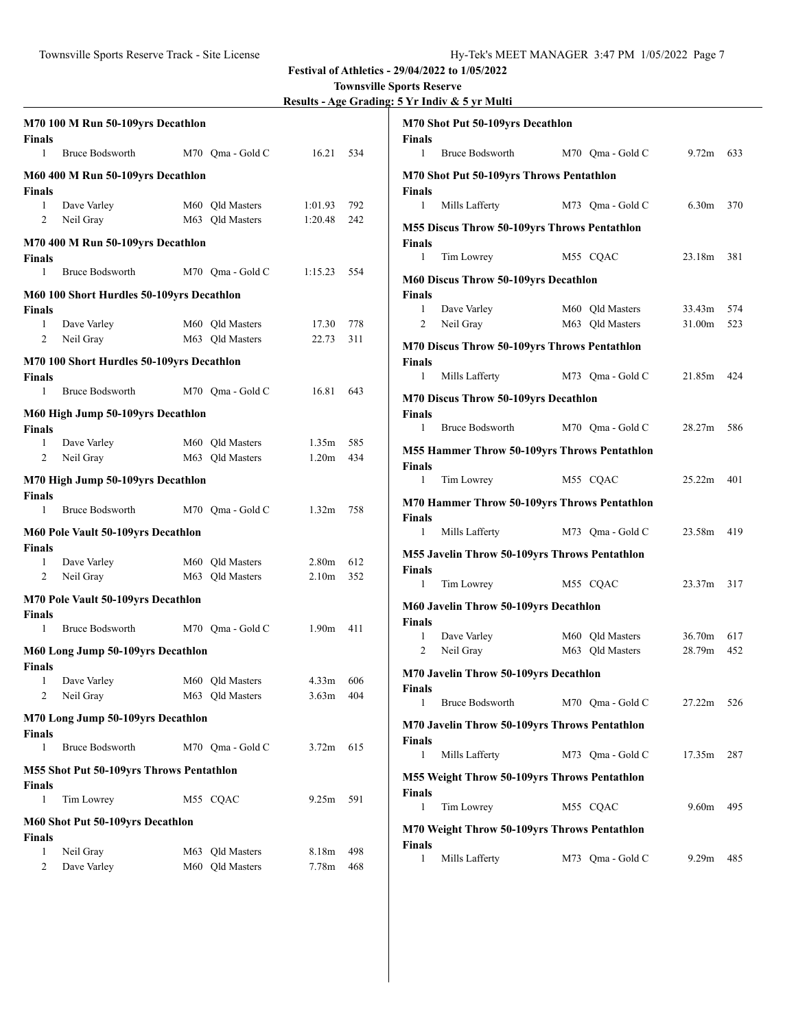| <u> Results - Age Grading: 5 Yr Indiv &amp; 5 yr Multi</u> |  |  |  |
|------------------------------------------------------------|--|--|--|
|------------------------------------------------------------|--|--|--|

| Finals                                                    | M70 100 M Run 50-109yrs Decathlon         |  |                                    |                          | M70 Shot Put 50-109yrs Decathlon<br><b>Finals</b> |                                                                           |  |  |  |
|-----------------------------------------------------------|-------------------------------------------|--|------------------------------------|--------------------------|---------------------------------------------------|---------------------------------------------------------------------------|--|--|--|
| $\mathbf{1}$                                              | <b>Bruce Bodsworth</b>                    |  | M70 Qma - Gold C                   | 16.21 534                |                                                   | Bruce Bodsworth<br>M70 Qma - Gold C<br>9.72m 633<br>1                     |  |  |  |
|                                                           | M60 400 M Run 50-109yrs Decathlon         |  |                                    |                          | M70 Shot Put 50-109yrs Throws Pentathlon          |                                                                           |  |  |  |
| <b>Finals</b><br>1                                        | Dave Varley                               |  | M60 Qld Masters                    | 1:01.93                  | 792                                               | Finals<br>Mills Lafferty<br>M73 Qma - Gold C<br>6.30m 370<br>$\mathbf{1}$ |  |  |  |
| 2                                                         | Neil Gray                                 |  | M63 Qld Masters                    | 1:20.48                  | 242                                               | <b>M55 Discus Throw 50-109yrs Throws Pentathlon</b>                       |  |  |  |
| M70 400 M Run 50-109yrs Decathlon                         |                                           |  |                                    |                          |                                                   | <b>Finals</b>                                                             |  |  |  |
| <b>Finals</b>                                             |                                           |  |                                    |                          |                                                   | 23.18m 381<br>Tim Lowrey<br>M55 CQAC<br>1                                 |  |  |  |
| 1                                                         | <b>Bruce Bodsworth</b>                    |  | M70 Qma - Gold C                   | $1:15.23$ 554            |                                                   | <b>M60 Discus Throw 50-109yrs Decathlon</b>                               |  |  |  |
| M60 100 Short Hurdles 50-109yrs Decathlon                 |                                           |  |                                    |                          |                                                   | <b>Finals</b>                                                             |  |  |  |
| Finals                                                    |                                           |  |                                    |                          |                                                   | Dave Varley<br>M60 Qld Masters<br>33.43m<br>574<br>1                      |  |  |  |
| -1                                                        | Dave Varley                               |  | M60 Qld Masters                    | 17.30                    | 778                                               | 31.00m<br>2<br>Neil Gray<br>M63 Qld Masters<br>523                        |  |  |  |
| 2                                                         | Neil Gray                                 |  | M63 Qld Masters                    | 22.73                    | 311                                               | <b>M70 Discus Throw 50-109yrs Throws Pentathlon</b>                       |  |  |  |
|                                                           | M70 100 Short Hurdles 50-109yrs Decathlon |  |                                    |                          |                                                   | Finals                                                                    |  |  |  |
| <b>Finals</b><br>$\mathbf{1}$                             | <b>Bruce Bodsworth</b>                    |  | M70 Qma - Gold C                   | 16.81 643                |                                                   | Mills Lafferty<br>M73 Oma - Gold C<br>21.85m 424<br>$\mathbf{1}$          |  |  |  |
|                                                           |                                           |  |                                    |                          | <b>M70 Discus Throw 50-109yrs Decathlon</b>       |                                                                           |  |  |  |
|                                                           | M60 High Jump 50-109yrs Decathlon         |  |                                    |                          |                                                   | <b>Finals</b><br><b>Bruce Bodsworth</b>                                   |  |  |  |
| <b>Finals</b><br>1                                        | Dave Varley                               |  | M60 Qld Masters                    | 1.35m 585                |                                                   | 28.27m 586<br>M70 Oma - Gold C<br>1                                       |  |  |  |
| 2                                                         | Neil Gray                                 |  | M63 Old Masters                    | 1.20 <sub>m</sub>        | 434                                               | M55 Hammer Throw 50-109yrs Throws Pentathlon                              |  |  |  |
| M70 High Jump 50-109yrs Decathlon                         |                                           |  |                                    |                          |                                                   | <b>Finals</b><br>Tim Lowrey<br>M55 CQAC<br>25.22m 401<br>1                |  |  |  |
| Finals                                                    |                                           |  |                                    |                          |                                                   |                                                                           |  |  |  |
| 1                                                         | <b>Bruce Bodsworth</b>                    |  | M70 Qma - Gold C                   | $1.32m$ 758              |                                                   | M70 Hammer Throw 50-109yrs Throws Pentathlon<br><b>Finals</b>             |  |  |  |
|                                                           | M60 Pole Vault 50-109yrs Decathlon        |  |                                    |                          |                                                   | 23.58m 419<br>Mills Lafferty<br>M73 Qma - Gold C<br>$\mathbf{1}$          |  |  |  |
| <b>Finals</b>                                             |                                           |  |                                    |                          |                                                   | M55 Javelin Throw 50-109yrs Throws Pentathlon                             |  |  |  |
| 1                                                         | Dave Varley                               |  | M60 Qld Masters                    | 2.80m 612                |                                                   | Finals                                                                    |  |  |  |
| 2                                                         | Neil Gray                                 |  | M63 Qld Masters                    | 2.10 <sub>m</sub>        | 352                                               | Tim Lowrey<br>23.37m 317<br>M55 CQAC<br>1                                 |  |  |  |
|                                                           | M70 Pole Vault 50-109yrs Decathlon        |  |                                    |                          | M60 Javelin Throw 50-109yrs Decathlon             |                                                                           |  |  |  |
| <b>Finals</b>                                             |                                           |  |                                    |                          |                                                   | <b>Finals</b>                                                             |  |  |  |
| $\mathbf{1}$                                              | <b>Bruce Bodsworth</b>                    |  | M70 Qma - Gold C                   | $1.90m$ 411              |                                                   | Dave Varley<br>M60 Qld Masters<br>36.70m<br>617<br>1                      |  |  |  |
|                                                           | M60 Long Jump 50-109yrs Decathlon         |  |                                    |                          |                                                   | 28.79m<br>2<br>Neil Gray<br>M63 Qld Masters<br>452                        |  |  |  |
| Finals<br>1                                               | Dave Varley                               |  |                                    |                          |                                                   | M70 Javelin Throw 50-109yrs Decathlon                                     |  |  |  |
|                                                           | 2 Neil Gray                               |  | M60 Qld Masters<br>M63 Qld Masters | $4.33m$ 606<br>3.63m 404 |                                                   | Finals                                                                    |  |  |  |
|                                                           |                                           |  |                                    |                          |                                                   | <b>Bruce Bodsworth</b><br>M70 Qma - Gold C<br>27.22m 526<br>1             |  |  |  |
| M70 Long Jump 50-109yrs Decathlon<br><b>Finals</b>        |                                           |  |                                    |                          |                                                   | M70 Javelin Throw 50-109yrs Throws Pentathlon                             |  |  |  |
| 1                                                         | <b>Bruce Bodsworth</b>                    |  | M70 Qma - Gold C                   | 3.72m 615                |                                                   | <b>Finals</b>                                                             |  |  |  |
|                                                           |                                           |  |                                    |                          |                                                   | Mills Lafferty<br>17.35m 287<br>M73 Oma - Gold C<br>1                     |  |  |  |
| <b>M55 Shot Put 50-109yrs Throws Pentathlon</b><br>Finals |                                           |  |                                    |                          |                                                   | M55 Weight Throw 50-109yrs Throws Pentathlon                              |  |  |  |
| $\mathbf{1}$                                              | Tim Lowrey                                |  | M55 CQAC                           | 9.25m 591                |                                                   | Finals<br>495<br>Tim Lowrey<br>M55 CQAC<br>9.60m<br>1                     |  |  |  |
|                                                           | M60 Shot Put 50-109yrs Decathlon          |  |                                    |                          |                                                   |                                                                           |  |  |  |
| <b>Finals</b>                                             |                                           |  |                                    |                          |                                                   | M70 Weight Throw 50-109yrs Throws Pentathlon<br><b>Finals</b>             |  |  |  |
| 1                                                         | Neil Gray                                 |  | M63 Qld Masters                    | 8.18m                    | 498                                               | Mills Lafferty<br>M73 Qma - Gold C<br>9.29m 485<br>$\mathbf{1}$           |  |  |  |
| 2                                                         | Dave Varley                               |  | M60 Qld Masters                    | 7.78m                    | 468                                               |                                                                           |  |  |  |